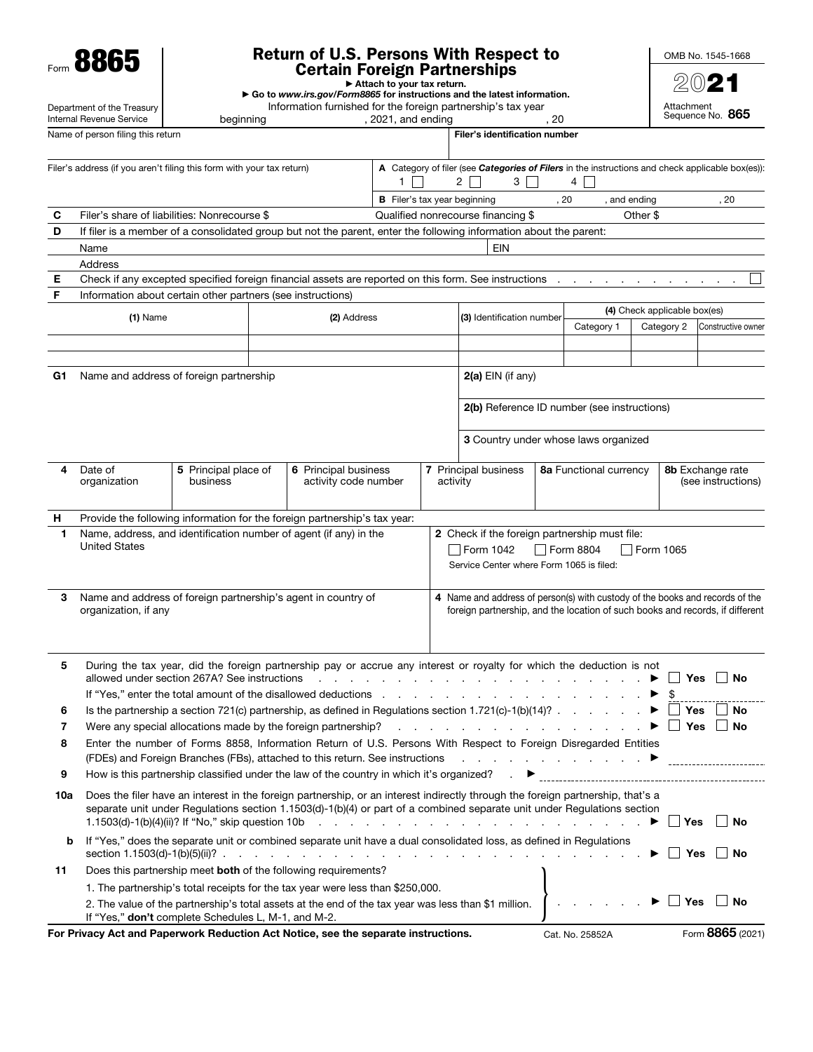Form 8865

Department of the Treasury

# Return of U.S. Persons With Respect to Certain Foreign Partnerships

OMB No. 1545-1668 2021

| <b>Vertain Foreign Fartherships</b> |  |
|-------------------------------------|--|
| ► Attach to your tax return.        |  |
|                                     |  |

▶ Go to *www.irs.gov/Form8865* for instructions and the latest information.

Information furnished for the foreign partnership's tax year<br>1921, and ending

Attachment Sequence No. 865

|            | Internal Revenue Service                                                                                                                                                                                                                                                                                                                                                                                                                                                                                                                                                                         | beginning |             |                                                                                                                                                                                                 | , 2021, and ending                  |                           |                                                                                                                                                                                                                                | , 20 |                                             |              | Sequence No. 865 |                    |
|------------|--------------------------------------------------------------------------------------------------------------------------------------------------------------------------------------------------------------------------------------------------------------------------------------------------------------------------------------------------------------------------------------------------------------------------------------------------------------------------------------------------------------------------------------------------------------------------------------------------|-----------|-------------|-------------------------------------------------------------------------------------------------------------------------------------------------------------------------------------------------|-------------------------------------|---------------------------|--------------------------------------------------------------------------------------------------------------------------------------------------------------------------------------------------------------------------------|------|---------------------------------------------|--------------|------------------|--------------------|
|            | Name of person filing this return                                                                                                                                                                                                                                                                                                                                                                                                                                                                                                                                                                |           |             |                                                                                                                                                                                                 |                                     |                           | <b>Filer's identification number</b>                                                                                                                                                                                           |      |                                             |              |                  |                    |
|            | Filer's address (if you aren't filing this form with your tax return)                                                                                                                                                                                                                                                                                                                                                                                                                                                                                                                            |           |             |                                                                                                                                                                                                 | $1 \mid$                            |                           | A Category of filer (see Categories of Filers in the instructions and check applicable box(es)):<br>$\mathbf{2}$<br>$3 \mid \mid$                                                                                              |      | 4                                           |              |                  |                    |
|            |                                                                                                                                                                                                                                                                                                                                                                                                                                                                                                                                                                                                  |           |             |                                                                                                                                                                                                 | <b>B</b> Filer's tax year beginning |                           |                                                                                                                                                                                                                                |      | , 20                                        | , and ending |                  | , 20               |
| С<br>D     | Filer's share of liabilities: Nonrecourse \$<br>If filer is a member of a consolidated group but not the parent, enter the following information about the parent:                                                                                                                                                                                                                                                                                                                                                                                                                               |           |             |                                                                                                                                                                                                 |                                     |                           | Qualified nonrecourse financing \$                                                                                                                                                                                             |      |                                             | Other \$     |                  |                    |
|            | Name                                                                                                                                                                                                                                                                                                                                                                                                                                                                                                                                                                                             |           |             |                                                                                                                                                                                                 |                                     |                           | <b>EIN</b>                                                                                                                                                                                                                     |      |                                             |              |                  |                    |
|            | Address                                                                                                                                                                                                                                                                                                                                                                                                                                                                                                                                                                                          |           |             |                                                                                                                                                                                                 |                                     |                           |                                                                                                                                                                                                                                |      |                                             |              |                  |                    |
| Е          | Check if any excepted specified foreign financial assets are reported on this form. See instructions                                                                                                                                                                                                                                                                                                                                                                                                                                                                                             |           |             |                                                                                                                                                                                                 |                                     |                           |                                                                                                                                                                                                                                |      |                                             |              |                  |                    |
| F          | Information about certain other partners (see instructions)                                                                                                                                                                                                                                                                                                                                                                                                                                                                                                                                      |           |             |                                                                                                                                                                                                 |                                     |                           |                                                                                                                                                                                                                                |      |                                             |              |                  |                    |
| $(1)$ Name |                                                                                                                                                                                                                                                                                                                                                                                                                                                                                                                                                                                                  |           | (2) Address |                                                                                                                                                                                                 |                                     | (3) Identification number |                                                                                                                                                                                                                                |      | (4) Check applicable box(es)                |              |                  |                    |
|            |                                                                                                                                                                                                                                                                                                                                                                                                                                                                                                                                                                                                  |           |             |                                                                                                                                                                                                 |                                     |                           |                                                                                                                                                                                                                                |      | Category 1                                  | Category 2   |                  | Constructive owner |
|            |                                                                                                                                                                                                                                                                                                                                                                                                                                                                                                                                                                                                  |           |             |                                                                                                                                                                                                 |                                     |                           |                                                                                                                                                                                                                                |      |                                             |              |                  |                    |
| G1         | Name and address of foreign partnership                                                                                                                                                                                                                                                                                                                                                                                                                                                                                                                                                          |           |             |                                                                                                                                                                                                 |                                     |                           | $2(a)$ EIN (if any)                                                                                                                                                                                                            |      |                                             |              |                  |                    |
|            |                                                                                                                                                                                                                                                                                                                                                                                                                                                                                                                                                                                                  |           |             |                                                                                                                                                                                                 |                                     |                           |                                                                                                                                                                                                                                |      |                                             |              |                  |                    |
|            |                                                                                                                                                                                                                                                                                                                                                                                                                                                                                                                                                                                                  |           |             |                                                                                                                                                                                                 |                                     |                           |                                                                                                                                                                                                                                |      | 2(b) Reference ID number (see instructions) |              |                  |                    |
|            |                                                                                                                                                                                                                                                                                                                                                                                                                                                                                                                                                                                                  |           |             |                                                                                                                                                                                                 |                                     |                           |                                                                                                                                                                                                                                |      | 3 Country under whose laws organized        |              |                  |                    |
| 4          | 6 Principal business<br>Date of<br>5 Principal place of<br>activity code number<br>organization<br>business                                                                                                                                                                                                                                                                                                                                                                                                                                                                                      |           |             |                                                                                                                                                                                                 |                                     | activity                  | 7 Principal business                                                                                                                                                                                                           |      | 8a Functional currency                      |              | 8b Exchange rate | (see instructions) |
| н          | Provide the following information for the foreign partnership's tax year:                                                                                                                                                                                                                                                                                                                                                                                                                                                                                                                        |           |             |                                                                                                                                                                                                 |                                     |                           |                                                                                                                                                                                                                                |      |                                             |              |                  |                    |
| 1          | Name, address, and identification number of agent (if any) in the<br><b>United States</b>                                                                                                                                                                                                                                                                                                                                                                                                                                                                                                        |           |             |                                                                                                                                                                                                 |                                     |                           | 2 Check if the foreign partnership must file:<br>Form 1042<br>Service Center where Form 1065 is filed:                                                                                                                         |      | $\Box$ Form 8804                            | Form 1065    |                  |                    |
| 3          | Name and address of foreign partnership's agent in country of<br>organization, if any                                                                                                                                                                                                                                                                                                                                                                                                                                                                                                            |           |             |                                                                                                                                                                                                 |                                     |                           | 4 Name and address of person(s) with custody of the books and records of the<br>foreign partnership, and the location of such books and records, if different                                                                  |      |                                             |              |                  |                    |
| 5          | allowed under section 267A? See instructions                                                                                                                                                                                                                                                                                                                                                                                                                                                                                                                                                     |           |             | During the tax year, did the foreign partnership pay or accrue any interest or royalty for which the deduction is not<br>If "Yes," enter the total amount of the disallowed deductions          |                                     | $\sim 100$                |                                                                                                                                                                                                                                |      |                                             |              | ∐ Yes  ∐ No      |                    |
| 6          |                                                                                                                                                                                                                                                                                                                                                                                                                                                                                                                                                                                                  |           |             | Is the partnership a section 721(c) partnership, as defined in Regulations section 1.721(c)-1(b)(14)?                                                                                           |                                     |                           |                                                                                                                                                                                                                                |      |                                             |              | Yes              | $\Box$ No          |
| 7          |                                                                                                                                                                                                                                                                                                                                                                                                                                                                                                                                                                                                  |           |             | Were any special allocations made by the foreign partnership?                                                                                                                                   |                                     |                           | and the contract of the contract of the contract of the contract of the contract of the contract of the contract of the contract of the contract of the contract of the contract of the contract of the contract of the contra |      |                                             |              | Yes              | No                 |
| 8          |                                                                                                                                                                                                                                                                                                                                                                                                                                                                                                                                                                                                  |           |             | Enter the number of Forms 8858, Information Return of U.S. Persons With Respect to Foreign Disregarded Entities<br>(FDEs) and Foreign Branches (FBs), attached to this return. See instructions |                                     |                           | $\mathcal{L}$ , and the set of the set of the set of $\mathcal{L}$ . $\blacktriangleright$                                                                                                                                     |      |                                             |              |                  |                    |
| 9          |                                                                                                                                                                                                                                                                                                                                                                                                                                                                                                                                                                                                  |           |             | How is this partnership classified under the law of the country in which it's organized?                                                                                                        |                                     |                           |                                                                                                                                                                                                                                |      |                                             |              |                  |                    |
| 10a        | Does the filer have an interest in the foreign partnership, or an interest indirectly through the foreign partnership, that's a<br>separate unit under Regulations section 1.1503(d)-1(b)(4) or part of a combined separate unit under Regulations section<br><b>No</b><br>1.1503(d)-1(b)(4)(ii)? If "No," skip question 10b<br>$\blacktriangleright \Box$ Yes<br>in the contract of the contract of the contract of the contract of the contract of the contract of the contract of the contract of the contract of the contract of the contract of the contract of the contract of the contrac |           |             |                                                                                                                                                                                                 |                                     |                           |                                                                                                                                                                                                                                |      |                                             |              |                  |                    |
| b          | If "Yes," does the separate unit or combined separate unit have a dual consolidated loss, as defined in Regulations<br>$\Box$ Yes<br>section 1.1503(d)-1(b)(5)(ii)? .<br>and the contract of the contract of the contract of the contract of the contract of                                                                                                                                                                                                                                                                                                                                     |           |             |                                                                                                                                                                                                 |                                     |                           | <b>No</b>                                                                                                                                                                                                                      |      |                                             |              |                  |                    |
| 11         |                                                                                                                                                                                                                                                                                                                                                                                                                                                                                                                                                                                                  |           |             | Does this partnership meet both of the following requirements?                                                                                                                                  |                                     |                           |                                                                                                                                                                                                                                |      |                                             |              |                  |                    |
|            | 1. The partnership's total receipts for the tax year were less than \$250,000.<br>$\Box$ Yes<br><b>No</b><br>2. The value of the partnership's total assets at the end of the tax year was less than \$1 million.<br>If "Yes," don't complete Schedules L, M-1, and M-2.                                                                                                                                                                                                                                                                                                                         |           |             |                                                                                                                                                                                                 |                                     |                           |                                                                                                                                                                                                                                |      |                                             |              |                  |                    |

For Privacy Act and Paperwork Reduction Act Notice, see the separate instructions. Cat. No. 25852A Form 8865 (2021)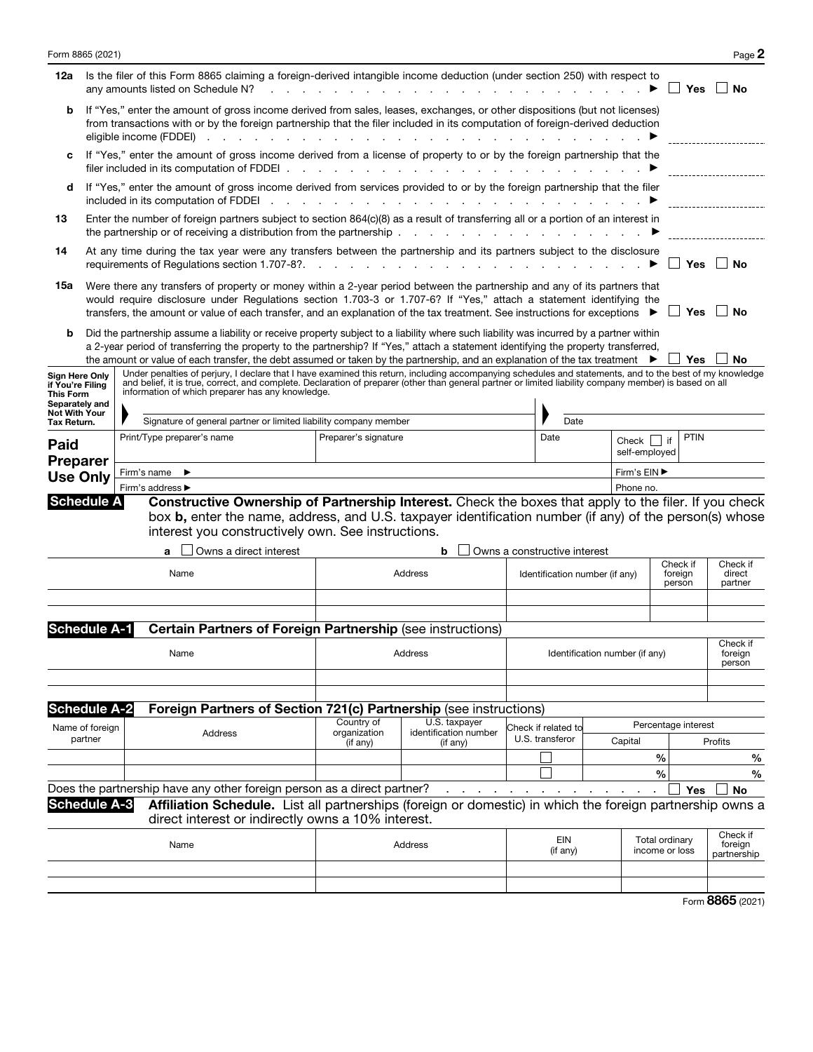| Form 8865 (2021)                                                                          |  |                                                  |      |         |                        |               |                      |                                                                                                                               |               |                                                                                                                                                                                                                                                                                                                                                                                                                                     |  |                                |                              |                                         |                                |                                  |                     |                   | Page 2                             |
|-------------------------------------------------------------------------------------------|--|--------------------------------------------------|------|---------|------------------------|---------------|----------------------|-------------------------------------------------------------------------------------------------------------------------------|---------------|-------------------------------------------------------------------------------------------------------------------------------------------------------------------------------------------------------------------------------------------------------------------------------------------------------------------------------------------------------------------------------------------------------------------------------------|--|--------------------------------|------------------------------|-----------------------------------------|--------------------------------|----------------------------------|---------------------|-------------------|------------------------------------|
| 12a                                                                                       |  | any amounts listed on Schedule N?                |      |         |                        |               |                      |                                                                                                                               |               | Is the filer of this Form 8865 claiming a foreign-derived intangible income deduction (under section 250) with respect to                                                                                                                                                                                                                                                                                                           |  |                                |                              |                                         |                                |                                  | Yes                 |                   | No                                 |
| b                                                                                         |  | eligible income (FDDEI) $\cdots$ $\cdots$        |      |         |                        |               | $\sim$ $\sim$ $\sim$ | <b>Contract Contract</b>                                                                                                      | $\sim$ $\sim$ | If "Yes," enter the amount of gross income derived from sales, leases, exchanges, or other dispositions (but not licenses)<br>from transactions with or by the foreign partnership that the filer included in its computation of foreign-derived deduction                                                                                                                                                                          |  |                                |                              |                                         |                                |                                  |                     |                   |                                    |
| c                                                                                         |  | filer included in its computation of FDDEI.      |      |         |                        |               |                      |                                                                                                                               |               | If "Yes," enter the amount of gross income derived from a license of property to or by the foreign partnership that the                                                                                                                                                                                                                                                                                                             |  |                                |                              |                                         |                                |                                  |                     |                   |                                    |
| d                                                                                         |  | included in its computation of FDDEI             |      |         |                        | $\sim$ $\sim$ |                      | $\sim$ $\sim$ $\sim$ $\sim$ $\sim$                                                                                            |               | If "Yes," enter the amount of gross income derived from services provided to or by the foreign partnership that the filer                                                                                                                                                                                                                                                                                                           |  |                                |                              |                                         |                                |                                  |                     |                   |                                    |
| 13                                                                                        |  |                                                  |      |         |                        |               |                      | the partnership or of receiving a distribution from the partnership.                                                          |               | Enter the number of foreign partners subject to section 864(c)(8) as a result of transferring all or a portion of an interest in<br>the contract of the contract of the contract of the                                                                                                                                                                                                                                             |  |                                |                              |                                         |                                |                                  |                     |                   |                                    |
| 14                                                                                        |  | requirements of Regulations section 1.707-8?.    |      |         |                        |               |                      |                                                                                                                               |               | At any time during the tax year were any transfers between the partnership and its partners subject to the disclosure<br>in the contract of the contract of the contract of the contract of the contract of the contract of the contract of the contract of the contract of the contract of the contract of the contract of the contract of the contrac                                                                             |  |                                |                              |                                         |                                |                                  | Yes                 |                   | No                                 |
| 15a                                                                                       |  |                                                  |      |         |                        |               |                      |                                                                                                                               |               | Were there any transfers of property or money within a 2-year period between the partnership and any of its partners that<br>would require disclosure under Regulations section 1.703-3 or 1.707-6? If "Yes," attach a statement identifying the<br>transfers, the amount or value of each transfer, and an explanation of the tax treatment. See instructions for exceptions                                                       |  |                                |                              |                                         |                                |                                  | Yes                 | ∣ ∣No             |                                    |
| b                                                                                         |  |                                                  |      |         |                        |               |                      |                                                                                                                               |               | Did the partnership assume a liability or receive property subject to a liability where such liability was incurred by a partner within<br>a 2-year period of transferring the property to the partnership? If "Yes," attach a statement identifying the property transferred,<br>the amount or value of each transfer, the debt assumed or taken by the partnership, and an explanation of the tax treatment $\blacktriangleright$ |  |                                |                              |                                         |                                |                                  | Yes                 | ∣ No              |                                    |
| Sign Here Only<br>if You're Filing<br><b>This Form</b><br>Separately and<br>Not With Your |  | information of which preparer has any knowledge. |      |         |                        |               |                      |                                                                                                                               |               | Under penalties of perjury, I declare that I have examined this return, including accompanying schedules and statements, and to the best of my knowledge<br>and belief, it is true, correct, and complete. Declaration of preparer (other than general partner or limited liability company member) is based on all                                                                                                                 |  |                                |                              |                                         |                                |                                  |                     |                   |                                    |
| Tax Return.                                                                               |  |                                                  |      |         |                        |               |                      | Signature of general partner or limited liability company member                                                              |               |                                                                                                                                                                                                                                                                                                                                                                                                                                     |  |                                | Date                         |                                         |                                |                                  |                     |                   |                                    |
| <b>Paid</b>                                                                               |  | Print/Type preparer's name                       |      |         |                        |               | Preparer's signature |                                                                                                                               |               |                                                                                                                                                                                                                                                                                                                                                                                                                                     |  | Date                           |                              | Check $\vert \vert$ if<br>self-employed | PTIN                           |                                  |                     |                   |                                    |
| <b>Preparer</b>                                                                           |  | Firm's name $\blacktriangleright$                |      |         |                        |               |                      |                                                                                                                               |               |                                                                                                                                                                                                                                                                                                                                                                                                                                     |  |                                |                              |                                         | Firm's EIN ▶                   |                                  |                     |                   |                                    |
| <b>Use Only</b>                                                                           |  | Firm's address ▶                                 |      |         |                        |               |                      |                                                                                                                               |               |                                                                                                                                                                                                                                                                                                                                                                                                                                     |  |                                |                              |                                         | Phone no.                      |                                  |                     |                   |                                    |
| <b>Schedule A</b>                                                                         |  |                                                  |      |         | Owns a direct interest |               |                      | interest you constructively own. See instructions.                                                                            |               | Constructive Ownership of Partnership Interest. Check the boxes that apply to the filer. If you check<br>box <b>b</b> , enter the name, address, and U.S. taxpayer identification number (if any) of the person(s) whose<br>b                                                                                                                                                                                                       |  |                                | Owns a constructive interest |                                         |                                | Check if                         |                     |                   | Check if                           |
|                                                                                           |  |                                                  | Name |         |                        |               |                      |                                                                                                                               | Address       |                                                                                                                                                                                                                                                                                                                                                                                                                                     |  | Identification number (if any) |                              |                                         |                                | foreign<br>person                |                     |                   | direct<br>partner                  |
| <b>Schedule A-1</b>                                                                       |  |                                                  |      |         |                        |               |                      |                                                                                                                               |               | <b>Certain Partners of Foreign Partnership (see instructions)</b>                                                                                                                                                                                                                                                                                                                                                                   |  |                                |                              |                                         |                                |                                  |                     |                   |                                    |
|                                                                                           |  |                                                  | Name |         |                        |               |                      |                                                                                                                               | Address       |                                                                                                                                                                                                                                                                                                                                                                                                                                     |  |                                |                              |                                         | Identification number (if any) |                                  |                     | foreign<br>person | Check if                           |
| <b>Schedule A-2</b>                                                                       |  |                                                  |      |         |                        |               |                      |                                                                                                                               |               | Foreign Partners of Section 721(c) Partnership (see instructions)                                                                                                                                                                                                                                                                                                                                                                   |  |                                |                              |                                         |                                |                                  |                     |                   |                                    |
| Name of foreign                                                                           |  |                                                  |      |         |                        |               |                      | Country of                                                                                                                    |               | U.S. taxpayer                                                                                                                                                                                                                                                                                                                                                                                                                       |  |                                | Check if related to          |                                         |                                |                                  | Percentage interest |                   |                                    |
| partner                                                                                   |  |                                                  |      | Address |                        |               |                      | organization<br>(if any)                                                                                                      |               | identification number<br>(if any)                                                                                                                                                                                                                                                                                                                                                                                                   |  |                                | U.S. transferor              |                                         | Capital                        |                                  |                     | Profits           |                                    |
|                                                                                           |  |                                                  |      |         |                        |               |                      |                                                                                                                               |               |                                                                                                                                                                                                                                                                                                                                                                                                                                     |  |                                |                              |                                         |                                | $\frac{0}{0}$                    |                     |                   | $\%$                               |
|                                                                                           |  |                                                  |      |         |                        |               |                      |                                                                                                                               |               |                                                                                                                                                                                                                                                                                                                                                                                                                                     |  |                                |                              |                                         |                                | $\frac{0}{0}$                    |                     |                   | $\frac{0}{0}$                      |
| <b>Schedule A-3</b>                                                                       |  |                                                  |      |         |                        |               |                      | Does the partnership have any other foreign person as a direct partner?<br>direct interest or indirectly owns a 10% interest. |               | Affiliation Schedule. List all partnerships (foreign or domestic) in which the foreign partnership owns a                                                                                                                                                                                                                                                                                                                           |  |                                |                              |                                         |                                |                                  | Yes                 |                   | <b>No</b>                          |
|                                                                                           |  |                                                  | Name |         |                        |               |                      |                                                                                                                               | Address       |                                                                                                                                                                                                                                                                                                                                                                                                                                     |  |                                | EIN<br>(if any)              |                                         |                                | Total ordinary<br>income or loss |                     |                   | Check if<br>foreign<br>partnership |
|                                                                                           |  |                                                  |      |         |                        |               |                      |                                                                                                                               |               |                                                                                                                                                                                                                                                                                                                                                                                                                                     |  |                                |                              |                                         |                                |                                  |                     |                   |                                    |
|                                                                                           |  |                                                  |      |         |                        |               |                      |                                                                                                                               |               |                                                                                                                                                                                                                                                                                                                                                                                                                                     |  |                                |                              |                                         |                                |                                  |                     |                   | Form 8865 (2021)                   |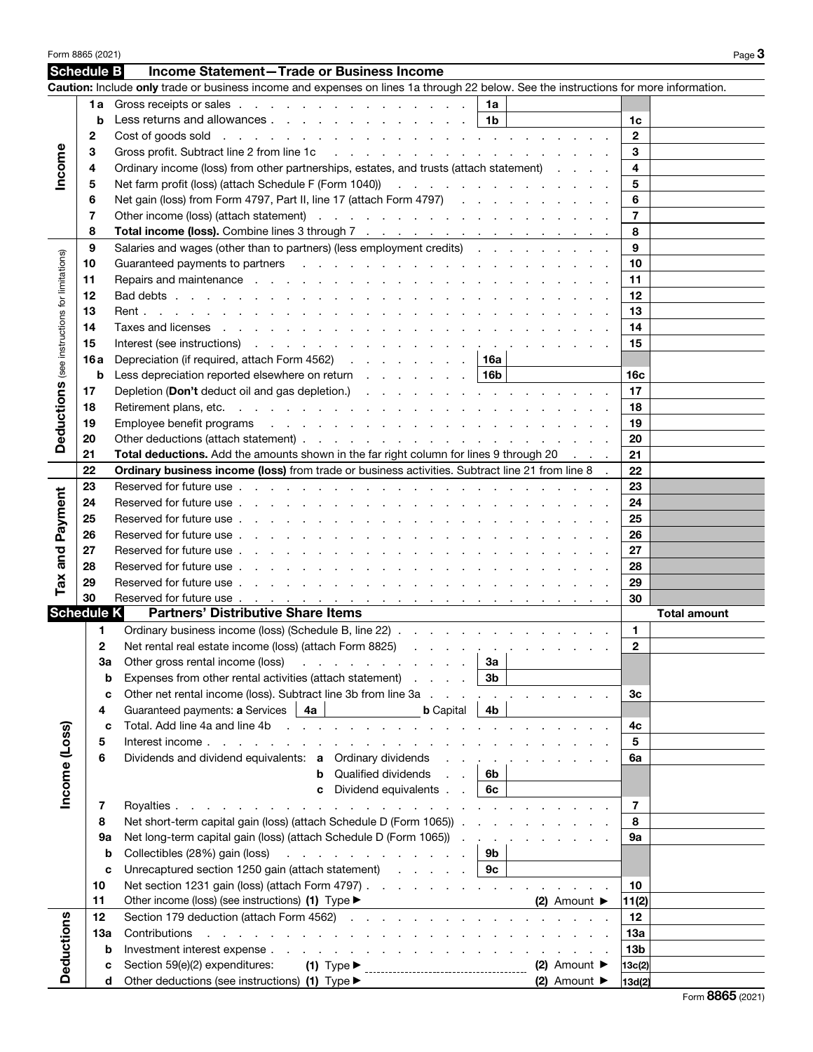| Schedule B<br>Income Statement-Trade or Business Income<br>Caution: Include only trade or business income and expenses on lines 1a through 22 below. See the instructions for more information.<br>Gross receipts or sales<br>1a<br>1a<br>Less returns and allowances<br>1b<br>b<br>1c<br>$\mathbf{2}$<br>2<br>Cost of goods sold with a way with a way with a way with a way of goods sold with a way with a way with $\sim$<br>Income<br>Gross profit. Subtract line 2 from line 1c (engine subseted by an application of the 2 from line 1c (engine subseted by a set of the set of the set of the set of the set of the set of the set of the set of the set of the s<br>3<br>3<br>Ordinary income (loss) from other partnerships, estates, and trusts (attach statement)<br>4<br>4<br>Net farm profit (loss) (attach Schedule F (Form 1040)) All Allen Allen Allen Allen Allen Allen Allen Allen All<br>5<br>5<br>Net gain (loss) from Form 4797, Part II, line 17 (attach Form 4797)<br>6<br>6<br>7<br>7<br>8<br>Total income (loss). Combine lines 3 through 7<br>8<br>9<br>Salaries and wages (other than to partners) (less employment credits)<br>9<br>(see instructions for limitations)<br>10<br>Guaranteed payments to partners enters and the contract of the contract of the contract of the contract of the contract of the contract of the contract of the contract of the contract of the contract of the contract of the<br>10<br>11<br>11<br>12<br>12<br>13<br>13<br>14<br>14<br>Taxes and licenses response to response the contract of the contract of the contract of the contract of the contract of the contract of the contract of the contract of the contract of the contract of the contract of the co<br>15<br>15<br>Depreciation (if required, attach Form 4562) 16a<br>16 a<br>Less depreciation reported elsewhere on return $\ldots$ $\ldots$ $\ldots$ $\mid$ 16b<br>b<br>16c<br><b>Deductions</b><br>Depletion (Don't deduct oil and gas depletion.) (and a series and a series of the series of the Depletion of De<br>17<br>17<br>18<br>18<br>Employee benefit programs response to the contract of the contract of the contract of the contract of the contract of the contract of the contract of the contract of the contract of the contract of the contract of the cont<br>19<br>19<br>20<br>20<br>21<br>Total deductions. Add the amounts shown in the far right column for lines 9 through 20<br>21<br>Ordinary business income (loss) from trade or business activities. Subtract line 21 from line 8 .<br>22<br>22<br>23<br>23<br>and Payment<br>24<br>24<br>25<br>25<br>26<br>26<br>27<br>27<br>28<br>28<br>Tax<br>29<br>29<br>30<br>30<br><b>Schedule K</b><br><b>Partners' Distributive Share Items</b><br><b>Total amount</b><br>Ordinary business income (loss) (Schedule B, line 22)<br>$\mathbf{1}$<br>1<br>Net rental real estate income (loss) (attach Form 8825)<br>$\mathbf{2}$<br>2<br>За<br>Other gross rental income (loss)<br>За<br>the contract of the contract of<br>Expenses from other rental activities (attach statement)<br>3 <sub>b</sub><br>b<br>and the control<br>Other net rental income (loss). Subtract line 3b from line 3a .<br>Зc<br>c<br>$\sim$ $\sim$<br><b>b</b> Capital<br>Guaranteed payments: a Services<br>4a<br>4b<br>4<br>Total. Add line 4a and line 4b<br>4c<br>Income (Loss)<br>C<br><b>Contract Contract</b><br>Interest income.<br>5<br>5<br>the contract of the contract of the contract of<br>Dividends and dividend equivalents: a Ordinary dividends<br>6<br>6a<br>$\sim 10^{-11}$ .<br>Qualified dividends<br>6b<br>b<br>Dividend equivalents<br>6с<br>c<br>$\overline{7}$<br>7<br>Royalties.<br>.<br>$\sim$<br>the contract of the contract of<br>$\mathbf{r}$<br>Net short-term capital gain (loss) (attach Schedule D (Form 1065)).<br>8<br>8<br><b>Service Control</b><br>Net long-term capital gain (loss) (attach Schedule D (Form 1065)).<br>9a<br>9а<br>$\sim$<br>Collectibles (28%) gain (loss)<br>9b<br>b<br>the contract of the contract of the contract of the contract of the contract of the contract of the contract of<br>Unrecaptured section 1250 gain (attach statement)<br>9с<br>c<br>Net section 1231 gain (loss) (attach Form 4797).<br>10<br>10<br>11<br>Other income (loss) (see instructions) (1) Type ▶<br>$(2)$ Amount $\blacktriangleright$<br>11(2)<br>Deductions<br>12<br>Section 179 deduction (attach Form 4562)<br>12<br>13а<br>Contributions<br>13a<br>the contract of the contract of the contract of<br>13 <sub>b</sub><br>b<br>(2) Amount $\blacktriangleright$<br>Section 59(e)(2) expenditures:<br>$(1)$ Type $\blacktriangleright$<br>13c(2)<br>c<br>Other deductions (see instructions) (1) Type ▶<br>$(2)$ Amount $\blacktriangleright$<br>d<br>13d(2) | Form 8865 (2021) |  |  | Page 3 |
|---------------------------------------------------------------------------------------------------------------------------------------------------------------------------------------------------------------------------------------------------------------------------------------------------------------------------------------------------------------------------------------------------------------------------------------------------------------------------------------------------------------------------------------------------------------------------------------------------------------------------------------------------------------------------------------------------------------------------------------------------------------------------------------------------------------------------------------------------------------------------------------------------------------------------------------------------------------------------------------------------------------------------------------------------------------------------------------------------------------------------------------------------------------------------------------------------------------------------------------------------------------------------------------------------------------------------------------------------------------------------------------------------------------------------------------------------------------------------------------------------------------------------------------------------------------------------------------------------------------------------------------------------------------------------------------------------------------------------------------------------------------------------------------------------------------------------------------------------------------------------------------------------------------------------------------------------------------------------------------------------------------------------------------------------------------------------------------------------------------------------------------------------------------------------------------------------------------------------------------------------------------------------------------------------------------------------------------------------------------------------------------------------------------------------------------------------------------------------------------------------------------------------------------------------------------------------------------------------------------------------------------------------------------------------------------------------------------------------------------------------------------------------------------------------------------------------------------------------------------------------------------------------------------------------------------------------------------------------------------------------------------------------------------------------------------------------------------------------------------------------------------------------------------------------------------------------------------------------------------------------------------------------------------------------------------------------------------------------------------------------------------------------------------------------------------------------------------------------------------------------------------------------------------------------------------------------------------------------------------------------------------------------------------------------------------------------------------------------------------------------------------------------------------------------------------------------------------------------------------------------------------------------------------------------------------------------------------------------------------------------------------------------------------------------------------------------------------------------------------------------------------------------------------------------------------------------------------------------------------------------------------------------------------------------------------------------------------------------------------------------------------------------------------------------------------------------------------------------------------------------------------------------------------------------------------------------------------------------------------------------------------------------------------------------------------------------------------------------------------------------------------------------------------------------|------------------|--|--|--------|
|                                                                                                                                                                                                                                                                                                                                                                                                                                                                                                                                                                                                                                                                                                                                                                                                                                                                                                                                                                                                                                                                                                                                                                                                                                                                                                                                                                                                                                                                                                                                                                                                                                                                                                                                                                                                                                                                                                                                                                                                                                                                                                                                                                                                                                                                                                                                                                                                                                                                                                                                                                                                                                                                                                                                                                                                                                                                                                                                                                                                                                                                                                                                                                                                                                                                                                                                                                                                                                                                                                                                                                                                                                                                                                                                                                                                                                                                                                                                                                                                                                                                                                                                                                                                                                                                                                                                                                                                                                                                                                                                                                                                                                                                                                                                                                                                   |                  |  |  |        |
|                                                                                                                                                                                                                                                                                                                                                                                                                                                                                                                                                                                                                                                                                                                                                                                                                                                                                                                                                                                                                                                                                                                                                                                                                                                                                                                                                                                                                                                                                                                                                                                                                                                                                                                                                                                                                                                                                                                                                                                                                                                                                                                                                                                                                                                                                                                                                                                                                                                                                                                                                                                                                                                                                                                                                                                                                                                                                                                                                                                                                                                                                                                                                                                                                                                                                                                                                                                                                                                                                                                                                                                                                                                                                                                                                                                                                                                                                                                                                                                                                                                                                                                                                                                                                                                                                                                                                                                                                                                                                                                                                                                                                                                                                                                                                                                                   |                  |  |  |        |
|                                                                                                                                                                                                                                                                                                                                                                                                                                                                                                                                                                                                                                                                                                                                                                                                                                                                                                                                                                                                                                                                                                                                                                                                                                                                                                                                                                                                                                                                                                                                                                                                                                                                                                                                                                                                                                                                                                                                                                                                                                                                                                                                                                                                                                                                                                                                                                                                                                                                                                                                                                                                                                                                                                                                                                                                                                                                                                                                                                                                                                                                                                                                                                                                                                                                                                                                                                                                                                                                                                                                                                                                                                                                                                                                                                                                                                                                                                                                                                                                                                                                                                                                                                                                                                                                                                                                                                                                                                                                                                                                                                                                                                                                                                                                                                                                   |                  |  |  |        |
|                                                                                                                                                                                                                                                                                                                                                                                                                                                                                                                                                                                                                                                                                                                                                                                                                                                                                                                                                                                                                                                                                                                                                                                                                                                                                                                                                                                                                                                                                                                                                                                                                                                                                                                                                                                                                                                                                                                                                                                                                                                                                                                                                                                                                                                                                                                                                                                                                                                                                                                                                                                                                                                                                                                                                                                                                                                                                                                                                                                                                                                                                                                                                                                                                                                                                                                                                                                                                                                                                                                                                                                                                                                                                                                                                                                                                                                                                                                                                                                                                                                                                                                                                                                                                                                                                                                                                                                                                                                                                                                                                                                                                                                                                                                                                                                                   |                  |  |  |        |
|                                                                                                                                                                                                                                                                                                                                                                                                                                                                                                                                                                                                                                                                                                                                                                                                                                                                                                                                                                                                                                                                                                                                                                                                                                                                                                                                                                                                                                                                                                                                                                                                                                                                                                                                                                                                                                                                                                                                                                                                                                                                                                                                                                                                                                                                                                                                                                                                                                                                                                                                                                                                                                                                                                                                                                                                                                                                                                                                                                                                                                                                                                                                                                                                                                                                                                                                                                                                                                                                                                                                                                                                                                                                                                                                                                                                                                                                                                                                                                                                                                                                                                                                                                                                                                                                                                                                                                                                                                                                                                                                                                                                                                                                                                                                                                                                   |                  |  |  |        |
|                                                                                                                                                                                                                                                                                                                                                                                                                                                                                                                                                                                                                                                                                                                                                                                                                                                                                                                                                                                                                                                                                                                                                                                                                                                                                                                                                                                                                                                                                                                                                                                                                                                                                                                                                                                                                                                                                                                                                                                                                                                                                                                                                                                                                                                                                                                                                                                                                                                                                                                                                                                                                                                                                                                                                                                                                                                                                                                                                                                                                                                                                                                                                                                                                                                                                                                                                                                                                                                                                                                                                                                                                                                                                                                                                                                                                                                                                                                                                                                                                                                                                                                                                                                                                                                                                                                                                                                                                                                                                                                                                                                                                                                                                                                                                                                                   |                  |  |  |        |
|                                                                                                                                                                                                                                                                                                                                                                                                                                                                                                                                                                                                                                                                                                                                                                                                                                                                                                                                                                                                                                                                                                                                                                                                                                                                                                                                                                                                                                                                                                                                                                                                                                                                                                                                                                                                                                                                                                                                                                                                                                                                                                                                                                                                                                                                                                                                                                                                                                                                                                                                                                                                                                                                                                                                                                                                                                                                                                                                                                                                                                                                                                                                                                                                                                                                                                                                                                                                                                                                                                                                                                                                                                                                                                                                                                                                                                                                                                                                                                                                                                                                                                                                                                                                                                                                                                                                                                                                                                                                                                                                                                                                                                                                                                                                                                                                   |                  |  |  |        |
|                                                                                                                                                                                                                                                                                                                                                                                                                                                                                                                                                                                                                                                                                                                                                                                                                                                                                                                                                                                                                                                                                                                                                                                                                                                                                                                                                                                                                                                                                                                                                                                                                                                                                                                                                                                                                                                                                                                                                                                                                                                                                                                                                                                                                                                                                                                                                                                                                                                                                                                                                                                                                                                                                                                                                                                                                                                                                                                                                                                                                                                                                                                                                                                                                                                                                                                                                                                                                                                                                                                                                                                                                                                                                                                                                                                                                                                                                                                                                                                                                                                                                                                                                                                                                                                                                                                                                                                                                                                                                                                                                                                                                                                                                                                                                                                                   |                  |  |  |        |
|                                                                                                                                                                                                                                                                                                                                                                                                                                                                                                                                                                                                                                                                                                                                                                                                                                                                                                                                                                                                                                                                                                                                                                                                                                                                                                                                                                                                                                                                                                                                                                                                                                                                                                                                                                                                                                                                                                                                                                                                                                                                                                                                                                                                                                                                                                                                                                                                                                                                                                                                                                                                                                                                                                                                                                                                                                                                                                                                                                                                                                                                                                                                                                                                                                                                                                                                                                                                                                                                                                                                                                                                                                                                                                                                                                                                                                                                                                                                                                                                                                                                                                                                                                                                                                                                                                                                                                                                                                                                                                                                                                                                                                                                                                                                                                                                   |                  |  |  |        |
|                                                                                                                                                                                                                                                                                                                                                                                                                                                                                                                                                                                                                                                                                                                                                                                                                                                                                                                                                                                                                                                                                                                                                                                                                                                                                                                                                                                                                                                                                                                                                                                                                                                                                                                                                                                                                                                                                                                                                                                                                                                                                                                                                                                                                                                                                                                                                                                                                                                                                                                                                                                                                                                                                                                                                                                                                                                                                                                                                                                                                                                                                                                                                                                                                                                                                                                                                                                                                                                                                                                                                                                                                                                                                                                                                                                                                                                                                                                                                                                                                                                                                                                                                                                                                                                                                                                                                                                                                                                                                                                                                                                                                                                                                                                                                                                                   |                  |  |  |        |
|                                                                                                                                                                                                                                                                                                                                                                                                                                                                                                                                                                                                                                                                                                                                                                                                                                                                                                                                                                                                                                                                                                                                                                                                                                                                                                                                                                                                                                                                                                                                                                                                                                                                                                                                                                                                                                                                                                                                                                                                                                                                                                                                                                                                                                                                                                                                                                                                                                                                                                                                                                                                                                                                                                                                                                                                                                                                                                                                                                                                                                                                                                                                                                                                                                                                                                                                                                                                                                                                                                                                                                                                                                                                                                                                                                                                                                                                                                                                                                                                                                                                                                                                                                                                                                                                                                                                                                                                                                                                                                                                                                                                                                                                                                                                                                                                   |                  |  |  |        |
|                                                                                                                                                                                                                                                                                                                                                                                                                                                                                                                                                                                                                                                                                                                                                                                                                                                                                                                                                                                                                                                                                                                                                                                                                                                                                                                                                                                                                                                                                                                                                                                                                                                                                                                                                                                                                                                                                                                                                                                                                                                                                                                                                                                                                                                                                                                                                                                                                                                                                                                                                                                                                                                                                                                                                                                                                                                                                                                                                                                                                                                                                                                                                                                                                                                                                                                                                                                                                                                                                                                                                                                                                                                                                                                                                                                                                                                                                                                                                                                                                                                                                                                                                                                                                                                                                                                                                                                                                                                                                                                                                                                                                                                                                                                                                                                                   |                  |  |  |        |
|                                                                                                                                                                                                                                                                                                                                                                                                                                                                                                                                                                                                                                                                                                                                                                                                                                                                                                                                                                                                                                                                                                                                                                                                                                                                                                                                                                                                                                                                                                                                                                                                                                                                                                                                                                                                                                                                                                                                                                                                                                                                                                                                                                                                                                                                                                                                                                                                                                                                                                                                                                                                                                                                                                                                                                                                                                                                                                                                                                                                                                                                                                                                                                                                                                                                                                                                                                                                                                                                                                                                                                                                                                                                                                                                                                                                                                                                                                                                                                                                                                                                                                                                                                                                                                                                                                                                                                                                                                                                                                                                                                                                                                                                                                                                                                                                   |                  |  |  |        |
|                                                                                                                                                                                                                                                                                                                                                                                                                                                                                                                                                                                                                                                                                                                                                                                                                                                                                                                                                                                                                                                                                                                                                                                                                                                                                                                                                                                                                                                                                                                                                                                                                                                                                                                                                                                                                                                                                                                                                                                                                                                                                                                                                                                                                                                                                                                                                                                                                                                                                                                                                                                                                                                                                                                                                                                                                                                                                                                                                                                                                                                                                                                                                                                                                                                                                                                                                                                                                                                                                                                                                                                                                                                                                                                                                                                                                                                                                                                                                                                                                                                                                                                                                                                                                                                                                                                                                                                                                                                                                                                                                                                                                                                                                                                                                                                                   |                  |  |  |        |
|                                                                                                                                                                                                                                                                                                                                                                                                                                                                                                                                                                                                                                                                                                                                                                                                                                                                                                                                                                                                                                                                                                                                                                                                                                                                                                                                                                                                                                                                                                                                                                                                                                                                                                                                                                                                                                                                                                                                                                                                                                                                                                                                                                                                                                                                                                                                                                                                                                                                                                                                                                                                                                                                                                                                                                                                                                                                                                                                                                                                                                                                                                                                                                                                                                                                                                                                                                                                                                                                                                                                                                                                                                                                                                                                                                                                                                                                                                                                                                                                                                                                                                                                                                                                                                                                                                                                                                                                                                                                                                                                                                                                                                                                                                                                                                                                   |                  |  |  |        |
|                                                                                                                                                                                                                                                                                                                                                                                                                                                                                                                                                                                                                                                                                                                                                                                                                                                                                                                                                                                                                                                                                                                                                                                                                                                                                                                                                                                                                                                                                                                                                                                                                                                                                                                                                                                                                                                                                                                                                                                                                                                                                                                                                                                                                                                                                                                                                                                                                                                                                                                                                                                                                                                                                                                                                                                                                                                                                                                                                                                                                                                                                                                                                                                                                                                                                                                                                                                                                                                                                                                                                                                                                                                                                                                                                                                                                                                                                                                                                                                                                                                                                                                                                                                                                                                                                                                                                                                                                                                                                                                                                                                                                                                                                                                                                                                                   |                  |  |  |        |
|                                                                                                                                                                                                                                                                                                                                                                                                                                                                                                                                                                                                                                                                                                                                                                                                                                                                                                                                                                                                                                                                                                                                                                                                                                                                                                                                                                                                                                                                                                                                                                                                                                                                                                                                                                                                                                                                                                                                                                                                                                                                                                                                                                                                                                                                                                                                                                                                                                                                                                                                                                                                                                                                                                                                                                                                                                                                                                                                                                                                                                                                                                                                                                                                                                                                                                                                                                                                                                                                                                                                                                                                                                                                                                                                                                                                                                                                                                                                                                                                                                                                                                                                                                                                                                                                                                                                                                                                                                                                                                                                                                                                                                                                                                                                                                                                   |                  |  |  |        |
|                                                                                                                                                                                                                                                                                                                                                                                                                                                                                                                                                                                                                                                                                                                                                                                                                                                                                                                                                                                                                                                                                                                                                                                                                                                                                                                                                                                                                                                                                                                                                                                                                                                                                                                                                                                                                                                                                                                                                                                                                                                                                                                                                                                                                                                                                                                                                                                                                                                                                                                                                                                                                                                                                                                                                                                                                                                                                                                                                                                                                                                                                                                                                                                                                                                                                                                                                                                                                                                                                                                                                                                                                                                                                                                                                                                                                                                                                                                                                                                                                                                                                                                                                                                                                                                                                                                                                                                                                                                                                                                                                                                                                                                                                                                                                                                                   |                  |  |  |        |
|                                                                                                                                                                                                                                                                                                                                                                                                                                                                                                                                                                                                                                                                                                                                                                                                                                                                                                                                                                                                                                                                                                                                                                                                                                                                                                                                                                                                                                                                                                                                                                                                                                                                                                                                                                                                                                                                                                                                                                                                                                                                                                                                                                                                                                                                                                                                                                                                                                                                                                                                                                                                                                                                                                                                                                                                                                                                                                                                                                                                                                                                                                                                                                                                                                                                                                                                                                                                                                                                                                                                                                                                                                                                                                                                                                                                                                                                                                                                                                                                                                                                                                                                                                                                                                                                                                                                                                                                                                                                                                                                                                                                                                                                                                                                                                                                   |                  |  |  |        |
|                                                                                                                                                                                                                                                                                                                                                                                                                                                                                                                                                                                                                                                                                                                                                                                                                                                                                                                                                                                                                                                                                                                                                                                                                                                                                                                                                                                                                                                                                                                                                                                                                                                                                                                                                                                                                                                                                                                                                                                                                                                                                                                                                                                                                                                                                                                                                                                                                                                                                                                                                                                                                                                                                                                                                                                                                                                                                                                                                                                                                                                                                                                                                                                                                                                                                                                                                                                                                                                                                                                                                                                                                                                                                                                                                                                                                                                                                                                                                                                                                                                                                                                                                                                                                                                                                                                                                                                                                                                                                                                                                                                                                                                                                                                                                                                                   |                  |  |  |        |
|                                                                                                                                                                                                                                                                                                                                                                                                                                                                                                                                                                                                                                                                                                                                                                                                                                                                                                                                                                                                                                                                                                                                                                                                                                                                                                                                                                                                                                                                                                                                                                                                                                                                                                                                                                                                                                                                                                                                                                                                                                                                                                                                                                                                                                                                                                                                                                                                                                                                                                                                                                                                                                                                                                                                                                                                                                                                                                                                                                                                                                                                                                                                                                                                                                                                                                                                                                                                                                                                                                                                                                                                                                                                                                                                                                                                                                                                                                                                                                                                                                                                                                                                                                                                                                                                                                                                                                                                                                                                                                                                                                                                                                                                                                                                                                                                   |                  |  |  |        |
|                                                                                                                                                                                                                                                                                                                                                                                                                                                                                                                                                                                                                                                                                                                                                                                                                                                                                                                                                                                                                                                                                                                                                                                                                                                                                                                                                                                                                                                                                                                                                                                                                                                                                                                                                                                                                                                                                                                                                                                                                                                                                                                                                                                                                                                                                                                                                                                                                                                                                                                                                                                                                                                                                                                                                                                                                                                                                                                                                                                                                                                                                                                                                                                                                                                                                                                                                                                                                                                                                                                                                                                                                                                                                                                                                                                                                                                                                                                                                                                                                                                                                                                                                                                                                                                                                                                                                                                                                                                                                                                                                                                                                                                                                                                                                                                                   |                  |  |  |        |
|                                                                                                                                                                                                                                                                                                                                                                                                                                                                                                                                                                                                                                                                                                                                                                                                                                                                                                                                                                                                                                                                                                                                                                                                                                                                                                                                                                                                                                                                                                                                                                                                                                                                                                                                                                                                                                                                                                                                                                                                                                                                                                                                                                                                                                                                                                                                                                                                                                                                                                                                                                                                                                                                                                                                                                                                                                                                                                                                                                                                                                                                                                                                                                                                                                                                                                                                                                                                                                                                                                                                                                                                                                                                                                                                                                                                                                                                                                                                                                                                                                                                                                                                                                                                                                                                                                                                                                                                                                                                                                                                                                                                                                                                                                                                                                                                   |                  |  |  |        |
|                                                                                                                                                                                                                                                                                                                                                                                                                                                                                                                                                                                                                                                                                                                                                                                                                                                                                                                                                                                                                                                                                                                                                                                                                                                                                                                                                                                                                                                                                                                                                                                                                                                                                                                                                                                                                                                                                                                                                                                                                                                                                                                                                                                                                                                                                                                                                                                                                                                                                                                                                                                                                                                                                                                                                                                                                                                                                                                                                                                                                                                                                                                                                                                                                                                                                                                                                                                                                                                                                                                                                                                                                                                                                                                                                                                                                                                                                                                                                                                                                                                                                                                                                                                                                                                                                                                                                                                                                                                                                                                                                                                                                                                                                                                                                                                                   |                  |  |  |        |
|                                                                                                                                                                                                                                                                                                                                                                                                                                                                                                                                                                                                                                                                                                                                                                                                                                                                                                                                                                                                                                                                                                                                                                                                                                                                                                                                                                                                                                                                                                                                                                                                                                                                                                                                                                                                                                                                                                                                                                                                                                                                                                                                                                                                                                                                                                                                                                                                                                                                                                                                                                                                                                                                                                                                                                                                                                                                                                                                                                                                                                                                                                                                                                                                                                                                                                                                                                                                                                                                                                                                                                                                                                                                                                                                                                                                                                                                                                                                                                                                                                                                                                                                                                                                                                                                                                                                                                                                                                                                                                                                                                                                                                                                                                                                                                                                   |                  |  |  |        |
|                                                                                                                                                                                                                                                                                                                                                                                                                                                                                                                                                                                                                                                                                                                                                                                                                                                                                                                                                                                                                                                                                                                                                                                                                                                                                                                                                                                                                                                                                                                                                                                                                                                                                                                                                                                                                                                                                                                                                                                                                                                                                                                                                                                                                                                                                                                                                                                                                                                                                                                                                                                                                                                                                                                                                                                                                                                                                                                                                                                                                                                                                                                                                                                                                                                                                                                                                                                                                                                                                                                                                                                                                                                                                                                                                                                                                                                                                                                                                                                                                                                                                                                                                                                                                                                                                                                                                                                                                                                                                                                                                                                                                                                                                                                                                                                                   |                  |  |  |        |
|                                                                                                                                                                                                                                                                                                                                                                                                                                                                                                                                                                                                                                                                                                                                                                                                                                                                                                                                                                                                                                                                                                                                                                                                                                                                                                                                                                                                                                                                                                                                                                                                                                                                                                                                                                                                                                                                                                                                                                                                                                                                                                                                                                                                                                                                                                                                                                                                                                                                                                                                                                                                                                                                                                                                                                                                                                                                                                                                                                                                                                                                                                                                                                                                                                                                                                                                                                                                                                                                                                                                                                                                                                                                                                                                                                                                                                                                                                                                                                                                                                                                                                                                                                                                                                                                                                                                                                                                                                                                                                                                                                                                                                                                                                                                                                                                   |                  |  |  |        |
|                                                                                                                                                                                                                                                                                                                                                                                                                                                                                                                                                                                                                                                                                                                                                                                                                                                                                                                                                                                                                                                                                                                                                                                                                                                                                                                                                                                                                                                                                                                                                                                                                                                                                                                                                                                                                                                                                                                                                                                                                                                                                                                                                                                                                                                                                                                                                                                                                                                                                                                                                                                                                                                                                                                                                                                                                                                                                                                                                                                                                                                                                                                                                                                                                                                                                                                                                                                                                                                                                                                                                                                                                                                                                                                                                                                                                                                                                                                                                                                                                                                                                                                                                                                                                                                                                                                                                                                                                                                                                                                                                                                                                                                                                                                                                                                                   |                  |  |  |        |
|                                                                                                                                                                                                                                                                                                                                                                                                                                                                                                                                                                                                                                                                                                                                                                                                                                                                                                                                                                                                                                                                                                                                                                                                                                                                                                                                                                                                                                                                                                                                                                                                                                                                                                                                                                                                                                                                                                                                                                                                                                                                                                                                                                                                                                                                                                                                                                                                                                                                                                                                                                                                                                                                                                                                                                                                                                                                                                                                                                                                                                                                                                                                                                                                                                                                                                                                                                                                                                                                                                                                                                                                                                                                                                                                                                                                                                                                                                                                                                                                                                                                                                                                                                                                                                                                                                                                                                                                                                                                                                                                                                                                                                                                                                                                                                                                   |                  |  |  |        |
|                                                                                                                                                                                                                                                                                                                                                                                                                                                                                                                                                                                                                                                                                                                                                                                                                                                                                                                                                                                                                                                                                                                                                                                                                                                                                                                                                                                                                                                                                                                                                                                                                                                                                                                                                                                                                                                                                                                                                                                                                                                                                                                                                                                                                                                                                                                                                                                                                                                                                                                                                                                                                                                                                                                                                                                                                                                                                                                                                                                                                                                                                                                                                                                                                                                                                                                                                                                                                                                                                                                                                                                                                                                                                                                                                                                                                                                                                                                                                                                                                                                                                                                                                                                                                                                                                                                                                                                                                                                                                                                                                                                                                                                                                                                                                                                                   |                  |  |  |        |
|                                                                                                                                                                                                                                                                                                                                                                                                                                                                                                                                                                                                                                                                                                                                                                                                                                                                                                                                                                                                                                                                                                                                                                                                                                                                                                                                                                                                                                                                                                                                                                                                                                                                                                                                                                                                                                                                                                                                                                                                                                                                                                                                                                                                                                                                                                                                                                                                                                                                                                                                                                                                                                                                                                                                                                                                                                                                                                                                                                                                                                                                                                                                                                                                                                                                                                                                                                                                                                                                                                                                                                                                                                                                                                                                                                                                                                                                                                                                                                                                                                                                                                                                                                                                                                                                                                                                                                                                                                                                                                                                                                                                                                                                                                                                                                                                   |                  |  |  |        |
|                                                                                                                                                                                                                                                                                                                                                                                                                                                                                                                                                                                                                                                                                                                                                                                                                                                                                                                                                                                                                                                                                                                                                                                                                                                                                                                                                                                                                                                                                                                                                                                                                                                                                                                                                                                                                                                                                                                                                                                                                                                                                                                                                                                                                                                                                                                                                                                                                                                                                                                                                                                                                                                                                                                                                                                                                                                                                                                                                                                                                                                                                                                                                                                                                                                                                                                                                                                                                                                                                                                                                                                                                                                                                                                                                                                                                                                                                                                                                                                                                                                                                                                                                                                                                                                                                                                                                                                                                                                                                                                                                                                                                                                                                                                                                                                                   |                  |  |  |        |
|                                                                                                                                                                                                                                                                                                                                                                                                                                                                                                                                                                                                                                                                                                                                                                                                                                                                                                                                                                                                                                                                                                                                                                                                                                                                                                                                                                                                                                                                                                                                                                                                                                                                                                                                                                                                                                                                                                                                                                                                                                                                                                                                                                                                                                                                                                                                                                                                                                                                                                                                                                                                                                                                                                                                                                                                                                                                                                                                                                                                                                                                                                                                                                                                                                                                                                                                                                                                                                                                                                                                                                                                                                                                                                                                                                                                                                                                                                                                                                                                                                                                                                                                                                                                                                                                                                                                                                                                                                                                                                                                                                                                                                                                                                                                                                                                   |                  |  |  |        |
|                                                                                                                                                                                                                                                                                                                                                                                                                                                                                                                                                                                                                                                                                                                                                                                                                                                                                                                                                                                                                                                                                                                                                                                                                                                                                                                                                                                                                                                                                                                                                                                                                                                                                                                                                                                                                                                                                                                                                                                                                                                                                                                                                                                                                                                                                                                                                                                                                                                                                                                                                                                                                                                                                                                                                                                                                                                                                                                                                                                                                                                                                                                                                                                                                                                                                                                                                                                                                                                                                                                                                                                                                                                                                                                                                                                                                                                                                                                                                                                                                                                                                                                                                                                                                                                                                                                                                                                                                                                                                                                                                                                                                                                                                                                                                                                                   |                  |  |  |        |
|                                                                                                                                                                                                                                                                                                                                                                                                                                                                                                                                                                                                                                                                                                                                                                                                                                                                                                                                                                                                                                                                                                                                                                                                                                                                                                                                                                                                                                                                                                                                                                                                                                                                                                                                                                                                                                                                                                                                                                                                                                                                                                                                                                                                                                                                                                                                                                                                                                                                                                                                                                                                                                                                                                                                                                                                                                                                                                                                                                                                                                                                                                                                                                                                                                                                                                                                                                                                                                                                                                                                                                                                                                                                                                                                                                                                                                                                                                                                                                                                                                                                                                                                                                                                                                                                                                                                                                                                                                                                                                                                                                                                                                                                                                                                                                                                   |                  |  |  |        |
|                                                                                                                                                                                                                                                                                                                                                                                                                                                                                                                                                                                                                                                                                                                                                                                                                                                                                                                                                                                                                                                                                                                                                                                                                                                                                                                                                                                                                                                                                                                                                                                                                                                                                                                                                                                                                                                                                                                                                                                                                                                                                                                                                                                                                                                                                                                                                                                                                                                                                                                                                                                                                                                                                                                                                                                                                                                                                                                                                                                                                                                                                                                                                                                                                                                                                                                                                                                                                                                                                                                                                                                                                                                                                                                                                                                                                                                                                                                                                                                                                                                                                                                                                                                                                                                                                                                                                                                                                                                                                                                                                                                                                                                                                                                                                                                                   |                  |  |  |        |
|                                                                                                                                                                                                                                                                                                                                                                                                                                                                                                                                                                                                                                                                                                                                                                                                                                                                                                                                                                                                                                                                                                                                                                                                                                                                                                                                                                                                                                                                                                                                                                                                                                                                                                                                                                                                                                                                                                                                                                                                                                                                                                                                                                                                                                                                                                                                                                                                                                                                                                                                                                                                                                                                                                                                                                                                                                                                                                                                                                                                                                                                                                                                                                                                                                                                                                                                                                                                                                                                                                                                                                                                                                                                                                                                                                                                                                                                                                                                                                                                                                                                                                                                                                                                                                                                                                                                                                                                                                                                                                                                                                                                                                                                                                                                                                                                   |                  |  |  |        |
|                                                                                                                                                                                                                                                                                                                                                                                                                                                                                                                                                                                                                                                                                                                                                                                                                                                                                                                                                                                                                                                                                                                                                                                                                                                                                                                                                                                                                                                                                                                                                                                                                                                                                                                                                                                                                                                                                                                                                                                                                                                                                                                                                                                                                                                                                                                                                                                                                                                                                                                                                                                                                                                                                                                                                                                                                                                                                                                                                                                                                                                                                                                                                                                                                                                                                                                                                                                                                                                                                                                                                                                                                                                                                                                                                                                                                                                                                                                                                                                                                                                                                                                                                                                                                                                                                                                                                                                                                                                                                                                                                                                                                                                                                                                                                                                                   |                  |  |  |        |
|                                                                                                                                                                                                                                                                                                                                                                                                                                                                                                                                                                                                                                                                                                                                                                                                                                                                                                                                                                                                                                                                                                                                                                                                                                                                                                                                                                                                                                                                                                                                                                                                                                                                                                                                                                                                                                                                                                                                                                                                                                                                                                                                                                                                                                                                                                                                                                                                                                                                                                                                                                                                                                                                                                                                                                                                                                                                                                                                                                                                                                                                                                                                                                                                                                                                                                                                                                                                                                                                                                                                                                                                                                                                                                                                                                                                                                                                                                                                                                                                                                                                                                                                                                                                                                                                                                                                                                                                                                                                                                                                                                                                                                                                                                                                                                                                   |                  |  |  |        |
|                                                                                                                                                                                                                                                                                                                                                                                                                                                                                                                                                                                                                                                                                                                                                                                                                                                                                                                                                                                                                                                                                                                                                                                                                                                                                                                                                                                                                                                                                                                                                                                                                                                                                                                                                                                                                                                                                                                                                                                                                                                                                                                                                                                                                                                                                                                                                                                                                                                                                                                                                                                                                                                                                                                                                                                                                                                                                                                                                                                                                                                                                                                                                                                                                                                                                                                                                                                                                                                                                                                                                                                                                                                                                                                                                                                                                                                                                                                                                                                                                                                                                                                                                                                                                                                                                                                                                                                                                                                                                                                                                                                                                                                                                                                                                                                                   |                  |  |  |        |
|                                                                                                                                                                                                                                                                                                                                                                                                                                                                                                                                                                                                                                                                                                                                                                                                                                                                                                                                                                                                                                                                                                                                                                                                                                                                                                                                                                                                                                                                                                                                                                                                                                                                                                                                                                                                                                                                                                                                                                                                                                                                                                                                                                                                                                                                                                                                                                                                                                                                                                                                                                                                                                                                                                                                                                                                                                                                                                                                                                                                                                                                                                                                                                                                                                                                                                                                                                                                                                                                                                                                                                                                                                                                                                                                                                                                                                                                                                                                                                                                                                                                                                                                                                                                                                                                                                                                                                                                                                                                                                                                                                                                                                                                                                                                                                                                   |                  |  |  |        |
|                                                                                                                                                                                                                                                                                                                                                                                                                                                                                                                                                                                                                                                                                                                                                                                                                                                                                                                                                                                                                                                                                                                                                                                                                                                                                                                                                                                                                                                                                                                                                                                                                                                                                                                                                                                                                                                                                                                                                                                                                                                                                                                                                                                                                                                                                                                                                                                                                                                                                                                                                                                                                                                                                                                                                                                                                                                                                                                                                                                                                                                                                                                                                                                                                                                                                                                                                                                                                                                                                                                                                                                                                                                                                                                                                                                                                                                                                                                                                                                                                                                                                                                                                                                                                                                                                                                                                                                                                                                                                                                                                                                                                                                                                                                                                                                                   |                  |  |  |        |
|                                                                                                                                                                                                                                                                                                                                                                                                                                                                                                                                                                                                                                                                                                                                                                                                                                                                                                                                                                                                                                                                                                                                                                                                                                                                                                                                                                                                                                                                                                                                                                                                                                                                                                                                                                                                                                                                                                                                                                                                                                                                                                                                                                                                                                                                                                                                                                                                                                                                                                                                                                                                                                                                                                                                                                                                                                                                                                                                                                                                                                                                                                                                                                                                                                                                                                                                                                                                                                                                                                                                                                                                                                                                                                                                                                                                                                                                                                                                                                                                                                                                                                                                                                                                                                                                                                                                                                                                                                                                                                                                                                                                                                                                                                                                                                                                   |                  |  |  |        |
|                                                                                                                                                                                                                                                                                                                                                                                                                                                                                                                                                                                                                                                                                                                                                                                                                                                                                                                                                                                                                                                                                                                                                                                                                                                                                                                                                                                                                                                                                                                                                                                                                                                                                                                                                                                                                                                                                                                                                                                                                                                                                                                                                                                                                                                                                                                                                                                                                                                                                                                                                                                                                                                                                                                                                                                                                                                                                                                                                                                                                                                                                                                                                                                                                                                                                                                                                                                                                                                                                                                                                                                                                                                                                                                                                                                                                                                                                                                                                                                                                                                                                                                                                                                                                                                                                                                                                                                                                                                                                                                                                                                                                                                                                                                                                                                                   |                  |  |  |        |
|                                                                                                                                                                                                                                                                                                                                                                                                                                                                                                                                                                                                                                                                                                                                                                                                                                                                                                                                                                                                                                                                                                                                                                                                                                                                                                                                                                                                                                                                                                                                                                                                                                                                                                                                                                                                                                                                                                                                                                                                                                                                                                                                                                                                                                                                                                                                                                                                                                                                                                                                                                                                                                                                                                                                                                                                                                                                                                                                                                                                                                                                                                                                                                                                                                                                                                                                                                                                                                                                                                                                                                                                                                                                                                                                                                                                                                                                                                                                                                                                                                                                                                                                                                                                                                                                                                                                                                                                                                                                                                                                                                                                                                                                                                                                                                                                   |                  |  |  |        |
|                                                                                                                                                                                                                                                                                                                                                                                                                                                                                                                                                                                                                                                                                                                                                                                                                                                                                                                                                                                                                                                                                                                                                                                                                                                                                                                                                                                                                                                                                                                                                                                                                                                                                                                                                                                                                                                                                                                                                                                                                                                                                                                                                                                                                                                                                                                                                                                                                                                                                                                                                                                                                                                                                                                                                                                                                                                                                                                                                                                                                                                                                                                                                                                                                                                                                                                                                                                                                                                                                                                                                                                                                                                                                                                                                                                                                                                                                                                                                                                                                                                                                                                                                                                                                                                                                                                                                                                                                                                                                                                                                                                                                                                                                                                                                                                                   |                  |  |  |        |
|                                                                                                                                                                                                                                                                                                                                                                                                                                                                                                                                                                                                                                                                                                                                                                                                                                                                                                                                                                                                                                                                                                                                                                                                                                                                                                                                                                                                                                                                                                                                                                                                                                                                                                                                                                                                                                                                                                                                                                                                                                                                                                                                                                                                                                                                                                                                                                                                                                                                                                                                                                                                                                                                                                                                                                                                                                                                                                                                                                                                                                                                                                                                                                                                                                                                                                                                                                                                                                                                                                                                                                                                                                                                                                                                                                                                                                                                                                                                                                                                                                                                                                                                                                                                                                                                                                                                                                                                                                                                                                                                                                                                                                                                                                                                                                                                   |                  |  |  |        |
|                                                                                                                                                                                                                                                                                                                                                                                                                                                                                                                                                                                                                                                                                                                                                                                                                                                                                                                                                                                                                                                                                                                                                                                                                                                                                                                                                                                                                                                                                                                                                                                                                                                                                                                                                                                                                                                                                                                                                                                                                                                                                                                                                                                                                                                                                                                                                                                                                                                                                                                                                                                                                                                                                                                                                                                                                                                                                                                                                                                                                                                                                                                                                                                                                                                                                                                                                                                                                                                                                                                                                                                                                                                                                                                                                                                                                                                                                                                                                                                                                                                                                                                                                                                                                                                                                                                                                                                                                                                                                                                                                                                                                                                                                                                                                                                                   |                  |  |  |        |
|                                                                                                                                                                                                                                                                                                                                                                                                                                                                                                                                                                                                                                                                                                                                                                                                                                                                                                                                                                                                                                                                                                                                                                                                                                                                                                                                                                                                                                                                                                                                                                                                                                                                                                                                                                                                                                                                                                                                                                                                                                                                                                                                                                                                                                                                                                                                                                                                                                                                                                                                                                                                                                                                                                                                                                                                                                                                                                                                                                                                                                                                                                                                                                                                                                                                                                                                                                                                                                                                                                                                                                                                                                                                                                                                                                                                                                                                                                                                                                                                                                                                                                                                                                                                                                                                                                                                                                                                                                                                                                                                                                                                                                                                                                                                                                                                   |                  |  |  |        |
|                                                                                                                                                                                                                                                                                                                                                                                                                                                                                                                                                                                                                                                                                                                                                                                                                                                                                                                                                                                                                                                                                                                                                                                                                                                                                                                                                                                                                                                                                                                                                                                                                                                                                                                                                                                                                                                                                                                                                                                                                                                                                                                                                                                                                                                                                                                                                                                                                                                                                                                                                                                                                                                                                                                                                                                                                                                                                                                                                                                                                                                                                                                                                                                                                                                                                                                                                                                                                                                                                                                                                                                                                                                                                                                                                                                                                                                                                                                                                                                                                                                                                                                                                                                                                                                                                                                                                                                                                                                                                                                                                                                                                                                                                                                                                                                                   |                  |  |  |        |
|                                                                                                                                                                                                                                                                                                                                                                                                                                                                                                                                                                                                                                                                                                                                                                                                                                                                                                                                                                                                                                                                                                                                                                                                                                                                                                                                                                                                                                                                                                                                                                                                                                                                                                                                                                                                                                                                                                                                                                                                                                                                                                                                                                                                                                                                                                                                                                                                                                                                                                                                                                                                                                                                                                                                                                                                                                                                                                                                                                                                                                                                                                                                                                                                                                                                                                                                                                                                                                                                                                                                                                                                                                                                                                                                                                                                                                                                                                                                                                                                                                                                                                                                                                                                                                                                                                                                                                                                                                                                                                                                                                                                                                                                                                                                                                                                   |                  |  |  |        |
|                                                                                                                                                                                                                                                                                                                                                                                                                                                                                                                                                                                                                                                                                                                                                                                                                                                                                                                                                                                                                                                                                                                                                                                                                                                                                                                                                                                                                                                                                                                                                                                                                                                                                                                                                                                                                                                                                                                                                                                                                                                                                                                                                                                                                                                                                                                                                                                                                                                                                                                                                                                                                                                                                                                                                                                                                                                                                                                                                                                                                                                                                                                                                                                                                                                                                                                                                                                                                                                                                                                                                                                                                                                                                                                                                                                                                                                                                                                                                                                                                                                                                                                                                                                                                                                                                                                                                                                                                                                                                                                                                                                                                                                                                                                                                                                                   |                  |  |  |        |
|                                                                                                                                                                                                                                                                                                                                                                                                                                                                                                                                                                                                                                                                                                                                                                                                                                                                                                                                                                                                                                                                                                                                                                                                                                                                                                                                                                                                                                                                                                                                                                                                                                                                                                                                                                                                                                                                                                                                                                                                                                                                                                                                                                                                                                                                                                                                                                                                                                                                                                                                                                                                                                                                                                                                                                                                                                                                                                                                                                                                                                                                                                                                                                                                                                                                                                                                                                                                                                                                                                                                                                                                                                                                                                                                                                                                                                                                                                                                                                                                                                                                                                                                                                                                                                                                                                                                                                                                                                                                                                                                                                                                                                                                                                                                                                                                   |                  |  |  |        |
|                                                                                                                                                                                                                                                                                                                                                                                                                                                                                                                                                                                                                                                                                                                                                                                                                                                                                                                                                                                                                                                                                                                                                                                                                                                                                                                                                                                                                                                                                                                                                                                                                                                                                                                                                                                                                                                                                                                                                                                                                                                                                                                                                                                                                                                                                                                                                                                                                                                                                                                                                                                                                                                                                                                                                                                                                                                                                                                                                                                                                                                                                                                                                                                                                                                                                                                                                                                                                                                                                                                                                                                                                                                                                                                                                                                                                                                                                                                                                                                                                                                                                                                                                                                                                                                                                                                                                                                                                                                                                                                                                                                                                                                                                                                                                                                                   |                  |  |  |        |
|                                                                                                                                                                                                                                                                                                                                                                                                                                                                                                                                                                                                                                                                                                                                                                                                                                                                                                                                                                                                                                                                                                                                                                                                                                                                                                                                                                                                                                                                                                                                                                                                                                                                                                                                                                                                                                                                                                                                                                                                                                                                                                                                                                                                                                                                                                                                                                                                                                                                                                                                                                                                                                                                                                                                                                                                                                                                                                                                                                                                                                                                                                                                                                                                                                                                                                                                                                                                                                                                                                                                                                                                                                                                                                                                                                                                                                                                                                                                                                                                                                                                                                                                                                                                                                                                                                                                                                                                                                                                                                                                                                                                                                                                                                                                                                                                   |                  |  |  |        |
|                                                                                                                                                                                                                                                                                                                                                                                                                                                                                                                                                                                                                                                                                                                                                                                                                                                                                                                                                                                                                                                                                                                                                                                                                                                                                                                                                                                                                                                                                                                                                                                                                                                                                                                                                                                                                                                                                                                                                                                                                                                                                                                                                                                                                                                                                                                                                                                                                                                                                                                                                                                                                                                                                                                                                                                                                                                                                                                                                                                                                                                                                                                                                                                                                                                                                                                                                                                                                                                                                                                                                                                                                                                                                                                                                                                                                                                                                                                                                                                                                                                                                                                                                                                                                                                                                                                                                                                                                                                                                                                                                                                                                                                                                                                                                                                                   |                  |  |  |        |
|                                                                                                                                                                                                                                                                                                                                                                                                                                                                                                                                                                                                                                                                                                                                                                                                                                                                                                                                                                                                                                                                                                                                                                                                                                                                                                                                                                                                                                                                                                                                                                                                                                                                                                                                                                                                                                                                                                                                                                                                                                                                                                                                                                                                                                                                                                                                                                                                                                                                                                                                                                                                                                                                                                                                                                                                                                                                                                                                                                                                                                                                                                                                                                                                                                                                                                                                                                                                                                                                                                                                                                                                                                                                                                                                                                                                                                                                                                                                                                                                                                                                                                                                                                                                                                                                                                                                                                                                                                                                                                                                                                                                                                                                                                                                                                                                   |                  |  |  |        |
|                                                                                                                                                                                                                                                                                                                                                                                                                                                                                                                                                                                                                                                                                                                                                                                                                                                                                                                                                                                                                                                                                                                                                                                                                                                                                                                                                                                                                                                                                                                                                                                                                                                                                                                                                                                                                                                                                                                                                                                                                                                                                                                                                                                                                                                                                                                                                                                                                                                                                                                                                                                                                                                                                                                                                                                                                                                                                                                                                                                                                                                                                                                                                                                                                                                                                                                                                                                                                                                                                                                                                                                                                                                                                                                                                                                                                                                                                                                                                                                                                                                                                                                                                                                                                                                                                                                                                                                                                                                                                                                                                                                                                                                                                                                                                                                                   |                  |  |  |        |
|                                                                                                                                                                                                                                                                                                                                                                                                                                                                                                                                                                                                                                                                                                                                                                                                                                                                                                                                                                                                                                                                                                                                                                                                                                                                                                                                                                                                                                                                                                                                                                                                                                                                                                                                                                                                                                                                                                                                                                                                                                                                                                                                                                                                                                                                                                                                                                                                                                                                                                                                                                                                                                                                                                                                                                                                                                                                                                                                                                                                                                                                                                                                                                                                                                                                                                                                                                                                                                                                                                                                                                                                                                                                                                                                                                                                                                                                                                                                                                                                                                                                                                                                                                                                                                                                                                                                                                                                                                                                                                                                                                                                                                                                                                                                                                                                   |                  |  |  |        |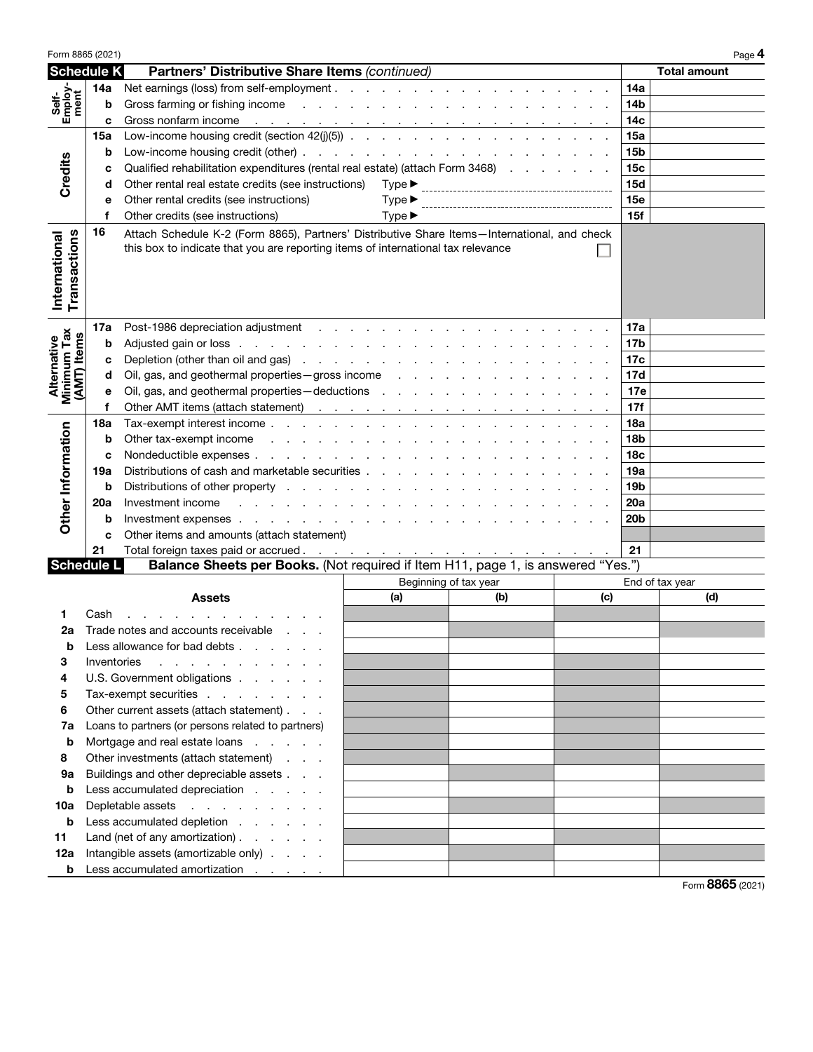| Form 8865 (2021)                  |                                                                                               |                                                                                                                                                                                                                                                     |                            |                 |     |                 | Page 4              |
|-----------------------------------|-----------------------------------------------------------------------------------------------|-----------------------------------------------------------------------------------------------------------------------------------------------------------------------------------------------------------------------------------------------------|----------------------------|-----------------|-----|-----------------|---------------------|
| <b>Schedule K</b>                 |                                                                                               | Partners' Distributive Share Items (continued)                                                                                                                                                                                                      |                            |                 |     |                 | <b>Total amount</b> |
|                                   | 14a                                                                                           |                                                                                                                                                                                                                                                     |                            |                 |     | <b>14a</b>      |                     |
| Employ<br>ment<br>Šeif            | b                                                                                             |                                                                                                                                                                                                                                                     |                            |                 |     | 14b             |                     |
|                                   | c                                                                                             | Gross nonfarm income response to the contract of the contract of the contract of the contract of the contract of the contract of the contract of the contract of the contract of the contract of the contract of the contract                       |                            |                 |     | 14 <sub>c</sub> |                     |
|                                   | 15a                                                                                           |                                                                                                                                                                                                                                                     |                            |                 |     | 15a             |                     |
|                                   | b                                                                                             |                                                                                                                                                                                                                                                     |                            |                 |     | 15 <sub>b</sub> |                     |
| Credits                           | с                                                                                             | Qualified rehabilitation expenditures (rental real estate) (attach Form 3468)                                                                                                                                                                       | 15 <sub>c</sub>            |                 |     |                 |                     |
|                                   | d                                                                                             | Other rental real estate credits (see instructions)                                                                                                                                                                                                 |                            | 15d             |     |                 |                     |
|                                   | е                                                                                             | Other rental credits (see instructions)                                                                                                                                                                                                             | $Type \blacktriangleright$ |                 |     | 15e             |                     |
|                                   | f                                                                                             | Other credits (see instructions)                                                                                                                                                                                                                    | $Type \blacktriangleright$ |                 |     | 15f             |                     |
| Transactions<br>International     | 16                                                                                            | Attach Schedule K-2 (Form 8865), Partners' Distributive Share Items-International, and check<br>this box to indicate that you are reporting items of international tax relevance                                                                    |                            |                 |     |                 |                     |
|                                   | 17a                                                                                           |                                                                                                                                                                                                                                                     |                            |                 |     | 17a             |                     |
| Minimum Tax<br><b>(AMT)</b> Items | b                                                                                             |                                                                                                                                                                                                                                                     |                            |                 |     | 17 <sub>b</sub> |                     |
|                                   | c                                                                                             |                                                                                                                                                                                                                                                     |                            |                 |     | 17c             |                     |
| Alternative                       | d                                                                                             |                                                                                                                                                                                                                                                     |                            |                 |     | 17d             |                     |
|                                   | e                                                                                             | Oil, gas, and geothermal properties - deductions results and results are a set of the control of the control of the control of the control of the control of the control of the control of the control of the control of the c                      |                            |                 |     | 17e             |                     |
|                                   | f                                                                                             |                                                                                                                                                                                                                                                     |                            |                 |     | 17f             |                     |
|                                   | 18a                                                                                           |                                                                                                                                                                                                                                                     |                            |                 |     | 18a             |                     |
|                                   | b                                                                                             | Other tax-exempt income response to the contract of the contract of the contract of the contract of the contract of the contract of the contract of the contract of the contract of the contract of the contract of the contra                      |                            | 18 <sub>b</sub> |     |                 |                     |
|                                   | c                                                                                             |                                                                                                                                                                                                                                                     |                            | 18 <sub>c</sub> |     |                 |                     |
|                                   | 19a                                                                                           | Distributions of cash and marketable securities                                                                                                                                                                                                     |                            | 19a             |     |                 |                     |
| Other Information                 | b                                                                                             | Distributions of other property research and contact the contact of the property research and contact the contact of the contact of the contact of the contact of the contact of the contact of the contact of the contact of                       |                            | 19 <sub>b</sub> |     |                 |                     |
|                                   | 20a                                                                                           | Investment income<br>the contract of the contract of the contract of the contract of the contract of the contract of the contract of the contract of the contract of the contract of the contract of the contract of the contract of the contract o |                            |                 |     | 20a             |                     |
|                                   | b                                                                                             |                                                                                                                                                                                                                                                     |                            |                 |     | 20 <sub>b</sub> |                     |
|                                   | c                                                                                             | Other items and amounts (attach statement)                                                                                                                                                                                                          |                            |                 |     |                 |                     |
|                                   | 21                                                                                            | Total foreign taxes paid or accrued. <u>.</u>                                                                                                                                                                                                       |                            |                 |     | 21              |                     |
| <b>Schedule L</b>                 |                                                                                               | Balance Sheets per Books. (Not required if Item H11, page 1, is answered "Yes.")                                                                                                                                                                    |                            |                 |     |                 |                     |
|                                   |                                                                                               |                                                                                                                                                                                                                                                     | Beginning of tax year      |                 | (c) |                 | End of tax year     |
|                                   |                                                                                               | Assets                                                                                                                                                                                                                                              | (a)                        | (b)             |     |                 | (d)                 |
| 1<br>2a                           | Cash                                                                                          |                                                                                                                                                                                                                                                     |                            |                 |     |                 |                     |
| b                                 |                                                                                               | Trade notes and accounts receivable<br>Less allowance for bad debts                                                                                                                                                                                 |                            |                 |     |                 |                     |
| 3                                 |                                                                                               |                                                                                                                                                                                                                                                     |                            |                 |     |                 |                     |
| 4                                 | Inventories<br>the contract of the contract of the contract of<br>U.S. Government obligations |                                                                                                                                                                                                                                                     |                            |                 |     |                 |                     |
| 5                                 | Tax-exempt securities                                                                         |                                                                                                                                                                                                                                                     |                            |                 |     |                 |                     |
| 6                                 | Other current assets (attach statement)                                                       |                                                                                                                                                                                                                                                     |                            |                 |     |                 |                     |
| 7a                                | Loans to partners (or persons related to partners)                                            |                                                                                                                                                                                                                                                     |                            |                 |     |                 |                     |
| b                                 | Mortgage and real estate loans                                                                |                                                                                                                                                                                                                                                     |                            |                 |     |                 |                     |
| 8                                 | Other investments (attach statement)                                                          |                                                                                                                                                                                                                                                     |                            |                 |     |                 |                     |
| 9a                                |                                                                                               | Buildings and other depreciable assets                                                                                                                                                                                                              |                            |                 |     |                 |                     |
| b                                 | Less accumulated depreciation                                                                 |                                                                                                                                                                                                                                                     |                            |                 |     |                 |                     |
| 10a                               |                                                                                               | Depletable assets                                                                                                                                                                                                                                   |                            |                 |     |                 |                     |
| b                                 |                                                                                               | Less accumulated depletion                                                                                                                                                                                                                          |                            |                 |     |                 |                     |
| 11                                |                                                                                               | Land (net of any amortization) $\ldots$ $\ldots$                                                                                                                                                                                                    |                            |                 |     |                 |                     |
| 12a                               |                                                                                               | Intangible assets (amortizable only)                                                                                                                                                                                                                |                            |                 |     |                 |                     |
| b                                 |                                                                                               | Less accumulated amortization                                                                                                                                                                                                                       |                            |                 |     |                 |                     |
|                                   |                                                                                               |                                                                                                                                                                                                                                                     |                            |                 |     |                 | $F_{2}$ 0065 (0001) |

Form 8865 (2021)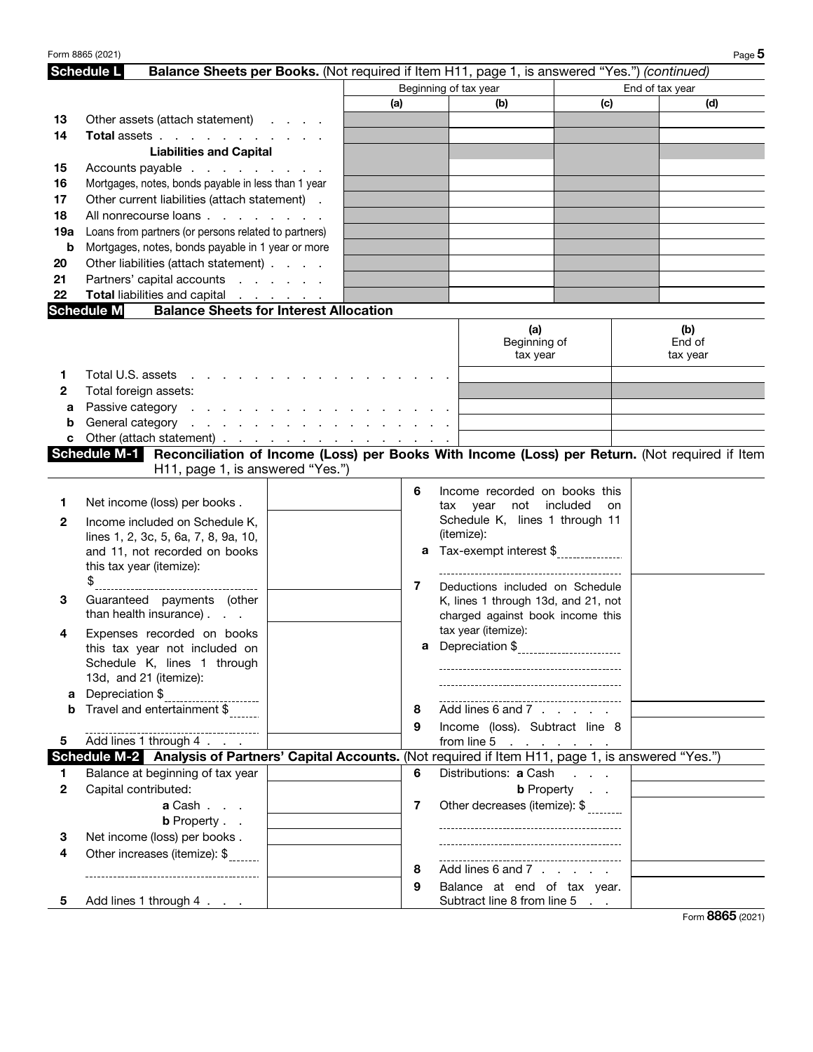|              | Form 8865 (2021)                                                                                                  |                                               |     |     |                                        |     | Page 5          |
|--------------|-------------------------------------------------------------------------------------------------------------------|-----------------------------------------------|-----|-----|----------------------------------------|-----|-----------------|
|              | <b>Schedule L</b><br>Balance Sheets per Books. (Not required if Item H11, page 1, is answered "Yes.") (continued) |                                               |     |     |                                        |     |                 |
|              |                                                                                                                   |                                               |     |     | Beginning of tax year                  |     | End of tax year |
|              |                                                                                                                   |                                               | (a) |     | (b)                                    | (c) | (d)             |
| 13           | Other assets (attach statement)                                                                                   |                                               |     |     |                                        |     |                 |
| 14           | Total assets                                                                                                      |                                               |     |     |                                        |     |                 |
|              | <b>Liabilities and Capital</b>                                                                                    |                                               |     |     |                                        |     |                 |
| 15           | Accounts payable                                                                                                  |                                               |     |     |                                        |     |                 |
| 16           | Mortgages, notes, bonds payable in less than 1 year                                                               |                                               |     |     |                                        |     |                 |
| 17           | Other current liabilities (attach statement).                                                                     |                                               |     |     |                                        |     |                 |
| 18           | All nonrecourse loans                                                                                             |                                               |     |     |                                        |     |                 |
| 19a          | Loans from partners (or persons related to partners)                                                              |                                               |     |     |                                        |     |                 |
| b            | Mortgages, notes, bonds payable in 1 year or more                                                                 |                                               |     |     |                                        |     |                 |
| 20           | Other liabilities (attach statement)                                                                              |                                               |     |     |                                        |     |                 |
| 21           | Partners' capital accounts                                                                                        |                                               |     |     |                                        |     |                 |
| 22           | Total liabilities and capital                                                                                     |                                               |     |     |                                        |     |                 |
|              | <b>Schedule M</b>                                                                                                 | <b>Balance Sheets for Interest Allocation</b> |     |     |                                        |     |                 |
|              |                                                                                                                   |                                               |     |     |                                        |     |                 |
|              |                                                                                                                   |                                               |     |     | (a)<br>Beginning of                    |     | (b)<br>End of   |
|              |                                                                                                                   |                                               |     |     | tax year                               |     | tax year        |
|              |                                                                                                                   |                                               |     |     |                                        |     |                 |
| 1            | Total U.S. assets<br>the contract of the contract of                                                              |                                               |     |     |                                        |     |                 |
| 2            | Total foreign assets:                                                                                             |                                               |     |     |                                        |     |                 |
| а            | Passive category                                                                                                  |                                               |     |     |                                        |     |                 |
| b            |                                                                                                                   |                                               |     |     |                                        |     |                 |
| c            | Other (attach statement) <u>.</u>                                                                                 |                                               |     |     |                                        |     |                 |
|              | Schedule M-1 Reconciliation of Income (Loss) per Books With Income (Loss) per Return. (Not required if Item       |                                               |     |     |                                        |     |                 |
|              | H11, page 1, is answered "Yes.")                                                                                  |                                               |     |     |                                        |     |                 |
|              |                                                                                                                   |                                               | 6   |     | Income recorded on books this          |     |                 |
| 1            | Net income (loss) per books.                                                                                      |                                               |     | tax | not included<br>year                   | on  |                 |
| 2            | Income included on Schedule K,                                                                                    |                                               |     |     | Schedule K, lines 1 through 11         |     |                 |
|              | lines 1, 2, 3c, 5, 6a, 7, 8, 9a, 10,                                                                              |                                               |     |     | (itemize):                             |     |                 |
|              | and 11, not recorded on books                                                                                     |                                               |     |     | a Tax-exempt interest \$               |     |                 |
|              | this tax year (itemize):                                                                                          |                                               |     |     |                                        |     |                 |
|              | \$                                                                                                                |                                               | 7   |     | Deductions included on Schedule        |     |                 |
| 3            | Guaranteed payments (other                                                                                        |                                               |     |     | K, lines 1 through 13d, and 21, not    |     |                 |
|              | than health insurance).                                                                                           |                                               |     |     | charged against book income this       |     |                 |
| 4            | Expenses recorded on books                                                                                        |                                               |     |     | tax year (itemize):                    |     |                 |
|              | this tax year not included on                                                                                     |                                               |     |     |                                        |     |                 |
|              | Schedule K, lines 1 through                                                                                       |                                               |     |     |                                        |     |                 |
|              | 13d, and 21 (itemize):                                                                                            |                                               |     |     | -------------------------------------- |     |                 |
| а            | Depreciation \$                                                                                                   |                                               |     |     |                                        |     |                 |
| b            | Travel and entertainment \$                                                                                       |                                               | 8   |     | Add lines 6 and 7                      |     |                 |
|              | ----------------------------------                                                                                |                                               | 9   |     | Income (loss). Subtract line 8         |     |                 |
| 5.           | Add lines 1 through 4                                                                                             |                                               |     |     | from line 5 $\cdots$ $\cdots$          |     |                 |
|              | Schedule M-2 Analysis of Partners' Capital Accounts. (Not required if Item H11, page 1, is answered "Yes.")       |                                               |     |     |                                        |     |                 |
| 1.           | Balance at beginning of tax year                                                                                  |                                               | 6   |     | Distributions: a Cash                  |     |                 |
| $\mathbf{2}$ | Capital contributed:                                                                                              |                                               |     |     | <b>b</b> Property                      |     |                 |
|              | a Cash                                                                                                            |                                               | 7   |     | Other decreases (itemize): \$          |     |                 |
|              | <b>b</b> Property                                                                                                 |                                               |     |     |                                        |     |                 |
| 3            | Net income (loss) per books.                                                                                      |                                               |     |     |                                        |     |                 |
| 4            | Other increases (itemize): \$                                                                                     |                                               |     |     |                                        |     |                 |
|              |                                                                                                                   |                                               | 8   |     | Add lines 6 and 7                      |     |                 |
|              | -----------------------------------                                                                               |                                               | 9   |     | Balance at end of tax year.            |     |                 |
| 5.           | Add lines 1 through 4                                                                                             |                                               |     |     | Subtract line 8 from line 5            |     |                 |
|              |                                                                                                                   |                                               |     |     |                                        |     |                 |

Form 8865 (2021)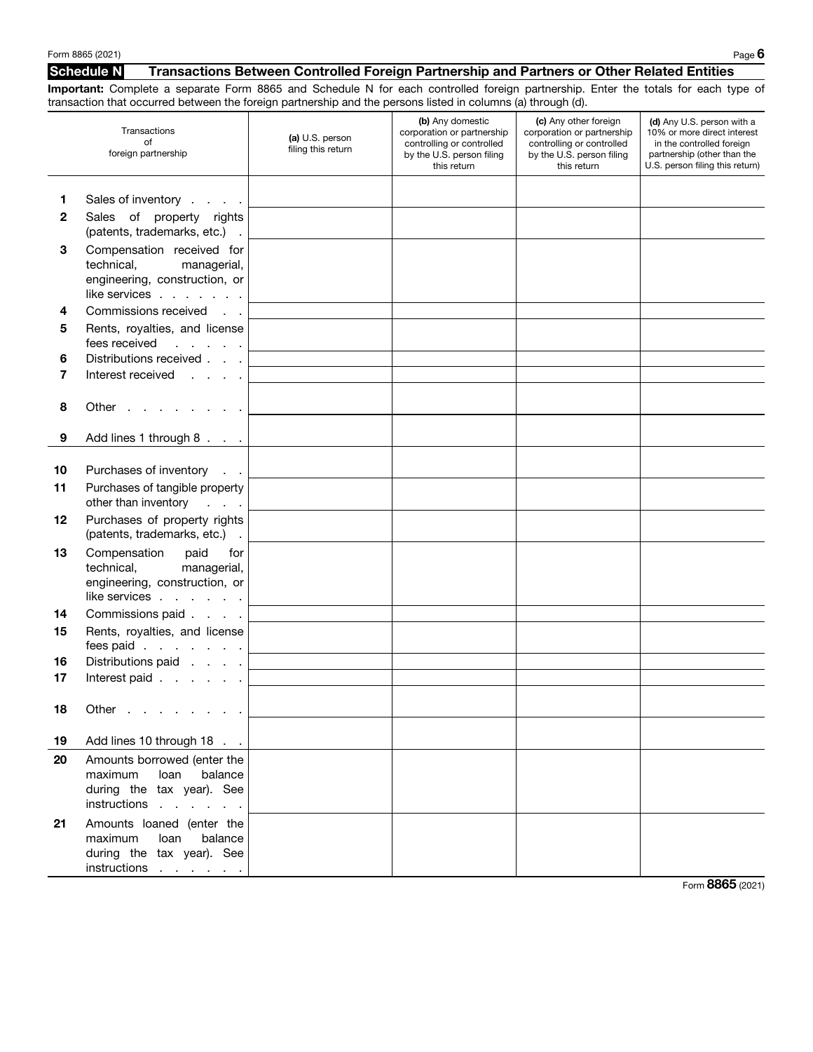#### Schedule N Transactions Between Controlled Foreign Partnership and Partners or Other Related Entities

Important: Complete a separate Form 8865 and Schedule N for each controlled foreign partnership. Enter the totals for each type of transaction that occurred between the foreign partnership and the persons listed in columns (a) through (d).

|          | andaction that coodinca between the foreign partnereing and the persons heted in columns (a) through (a).                        |                                              |                                                                                                                         |                                                                                                                              |                                                                                                                                                          |
|----------|----------------------------------------------------------------------------------------------------------------------------------|----------------------------------------------|-------------------------------------------------------------------------------------------------------------------------|------------------------------------------------------------------------------------------------------------------------------|----------------------------------------------------------------------------------------------------------------------------------------------------------|
|          | Transactions<br>of<br>foreign partnership                                                                                        | (a) U.S. person<br>filing this return        | (b) Any domestic<br>corporation or partnership<br>controlling or controlled<br>by the U.S. person filing<br>this return | (c) Any other foreign<br>corporation or partnership<br>controlling or controlled<br>by the U.S. person filing<br>this return | (d) Any U.S. person with a<br>10% or more direct interest<br>in the controlled foreign<br>partnership (other than the<br>U.S. person filing this return) |
| 1        | Sales of inventory                                                                                                               |                                              |                                                                                                                         |                                                                                                                              |                                                                                                                                                          |
| 2        | Sales of property rights<br>(patents, trademarks, etc.) .                                                                        |                                              |                                                                                                                         |                                                                                                                              |                                                                                                                                                          |
| 3        | Compensation received for<br>technical, managerial,<br>engineering, construction, or<br>like services $\ldots$ $\ldots$ $\ldots$ |                                              |                                                                                                                         |                                                                                                                              |                                                                                                                                                          |
| 4        | Commissions received                                                                                                             |                                              |                                                                                                                         |                                                                                                                              |                                                                                                                                                          |
| 5        | Rents, royalties, and license<br>fees received<br><b>Contract Contract Contract</b>                                              |                                              |                                                                                                                         |                                                                                                                              |                                                                                                                                                          |
| 6        | Distributions received                                                                                                           |                                              |                                                                                                                         |                                                                                                                              |                                                                                                                                                          |
| 7        | Interest received                                                                                                                |                                              |                                                                                                                         |                                                                                                                              |                                                                                                                                                          |
| 8        | Other                                                                                                                            |                                              |                                                                                                                         |                                                                                                                              |                                                                                                                                                          |
| 9        | Add lines 1 through 8                                                                                                            |                                              |                                                                                                                         |                                                                                                                              |                                                                                                                                                          |
| 10<br>11 | Purchases of inventory<br>Purchases of tangible property                                                                         |                                              |                                                                                                                         |                                                                                                                              |                                                                                                                                                          |
| 12       | other than inventory<br><b>Carl Carl Carl</b><br>Purchases of property rights<br>(patents, trademarks, etc.) .                   |                                              |                                                                                                                         |                                                                                                                              |                                                                                                                                                          |
| 13       | Compensation paid<br>for<br>technical, managerial,<br>engineering, construction, or<br>like services                             |                                              |                                                                                                                         |                                                                                                                              |                                                                                                                                                          |
| 14       | Commissions paid                                                                                                                 |                                              |                                                                                                                         |                                                                                                                              |                                                                                                                                                          |
| 15       | Rents, royalties, and license<br>fees paid                                                                                       |                                              |                                                                                                                         |                                                                                                                              |                                                                                                                                                          |
| 16       | Distributions paid                                                                                                               | the control of the control of the control of |                                                                                                                         |                                                                                                                              |                                                                                                                                                          |
| 17       | Interest paid                                                                                                                    |                                              |                                                                                                                         |                                                                                                                              |                                                                                                                                                          |
|          |                                                                                                                                  |                                              |                                                                                                                         |                                                                                                                              |                                                                                                                                                          |
| 18       | Other                                                                                                                            |                                              |                                                                                                                         |                                                                                                                              |                                                                                                                                                          |
| 19       | Add lines 10 through 18                                                                                                          |                                              |                                                                                                                         |                                                                                                                              |                                                                                                                                                          |
| 20       | Amounts borrowed (enter the<br>balance<br>maximum<br>Ioan<br>during the tax year). See<br>instructions                           |                                              |                                                                                                                         |                                                                                                                              |                                                                                                                                                          |
| 21       | Amounts loaned (enter the<br>loan<br>balance<br>maximum<br>during the tax year). See<br>instructions                             |                                              |                                                                                                                         |                                                                                                                              |                                                                                                                                                          |

Form 8865 (2021)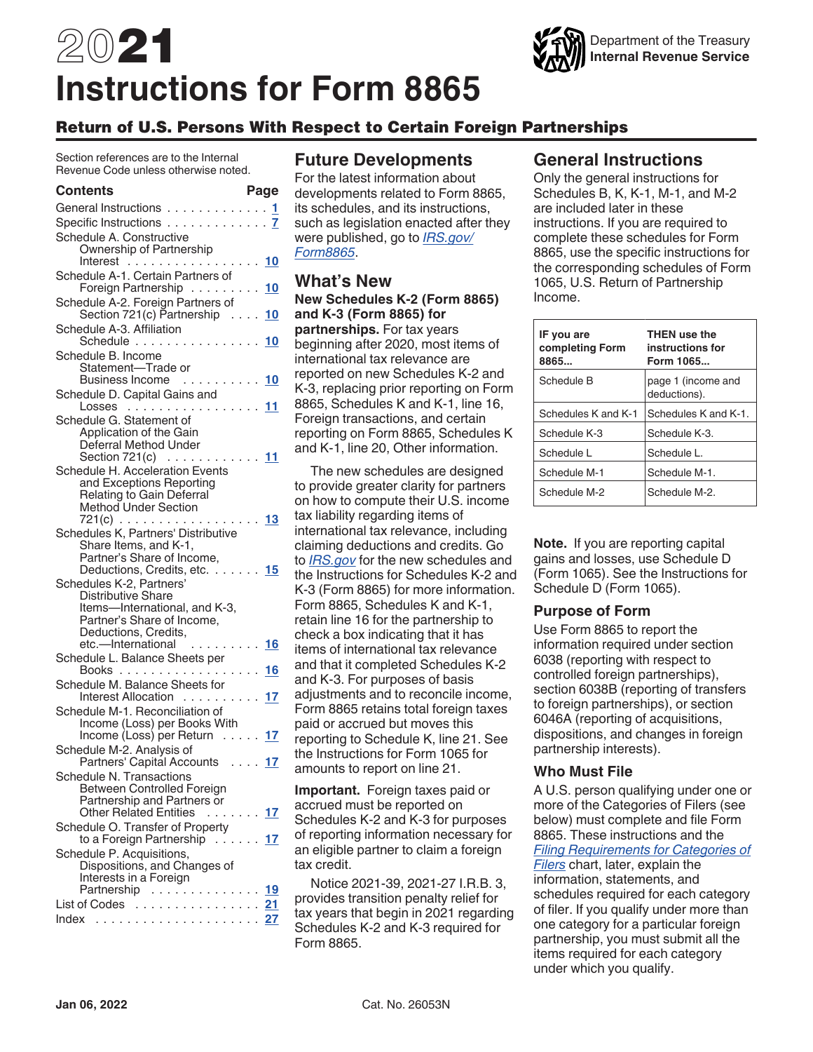# 2021 **Instructions for Form 8865**



# Return of U.S. Persons With Respect to Certain Foreign Partnerships

Section references are to the Internal Revenue Code unless otherwise noted.

#### **Contents Page**

| General Instructions 1                                                |
|-----------------------------------------------------------------------|
| Specific Instructions 7                                               |
| Schedule A. Constructive                                              |
| Ownership of Partnership                                              |
| Interest<br>10                                                        |
| Schedule A-1. Certain Partners of<br>Foreign Partnership<br>10        |
|                                                                       |
| Schedule A-2. Foreign Partners of<br>Section 721(c) Partnership<br>10 |
| Schedule A-3. Affiliation                                             |
| Schedule 10                                                           |
| Schedule B. Income                                                    |
| Statement—Trade or<br>Business Income  10                             |
| Schedule D. Capital Gains and                                         |
| Losses <u>11</u>                                                      |
| Schedule G. Statement of                                              |
| Application of the Gain                                               |
| Deferral Method Under                                                 |
| Section 721(c) $\ldots \ldots \ldots \frac{11}{1}$                    |
| Schedule H. Acceleration Events<br>and Exceptions Reporting           |
| Relating to Gain Deferral                                             |
| Method Under Section                                                  |
| 721(c) 13                                                             |
| Schedules K, Partners' Distributive                                   |
| Share Items, and K-1,                                                 |
| Partner's Share of Income,<br>Deductions, Credits, etc. 15            |
| Schedules K-2, Partners'                                              |
| <b>Distributive Share</b>                                             |
| Items-International, and K-3,                                         |
| Partner's Share of Income,                                            |
| Deductions, Credits,<br>etc.-International<br>. <u>16</u>             |
| Schedule L. Balance Sheets per                                        |
| 16                                                                    |
| Schedule M. Balance Sheets for                                        |
| Interest Allocation 17                                                |
| Schedule M-1. Reconciliation of                                       |
| Income (Loss) per Books With                                          |
| Income (Loss) per Return 17                                           |
| Schedule M-2. Analysis of<br>Partners' Capital Accounts  17           |
| Schedule N. Transactions                                              |
| Between Controlled Foreign                                            |
| Partnership and Partners or                                           |
| <b>Other Related Entities</b><br>. <u>17</u>                          |
| Schedule O. Transfer of Property                                      |
| to a Foreign Partnership<br>. 17                                      |
| Schedule P. Acquisitions,<br>Dispositions, and Changes of             |
| Interests in a Foreign                                                |
| Partnership<br>19                                                     |
| List of Codes<br>21                                                   |
|                                                                       |

# **Future Developments**

For the latest information about developments related to Form 8865, its schedules, and its instructions, such as legislation enacted after they were published, go to *[IRS.gov/](https://www.irs.gov/form8865) [Form8865](https://www.irs.gov/form8865)*.

#### **What's New New Schedules K-2 (Form 8865) and K-3 (Form 8865) for partnerships.** For tax years

beginning after 2020, most items of international tax relevance are reported on new Schedules K-2 and K-3, replacing prior reporting on Form 8865, Schedules K and K-1, line 16, Foreign transactions, and certain reporting on Form 8865, Schedules K and K-1, line 20, Other information.

The new schedules are designed to provide greater clarity for partners on how to compute their U.S. income tax liability regarding items of international tax relevance, including claiming deductions and credits. Go to *[IRS.gov](https://www.irs.gov/)* for the new schedules and the Instructions for Schedules K-2 and K-3 (Form 8865) for more information. Form 8865, Schedules K and K-1, retain line 16 for the partnership to check a box indicating that it has items of international tax relevance and that it completed Schedules K-2 and K-3. For purposes of basis adjustments and to reconcile income, Form 8865 retains total foreign taxes paid or accrued but moves this reporting to Schedule K, line 21. See the Instructions for Form 1065 for amounts to report on line 21.

**Important.** Foreign taxes paid or accrued must be reported on Schedules K-2 and K-3 for purposes of reporting information necessary for an eligible partner to claim a foreign tax credit.

Notice 2021-39, 2021-27 I.R.B. 3, provides transition penalty relief for tax years that begin in 2021 regarding Schedules K-2 and K-3 required for Form 8865.

# **General Instructions**

Only the general instructions for Schedules B, K, K-1, M-1, and M-2 are included later in these instructions. If you are required to complete these schedules for Form 8865, use the specific instructions for the corresponding schedules of Form 1065, U.S. Return of Partnership Income.

| IF you are<br>completing Form<br>8865 | <b>THEN use the</b><br>instructions for<br>Form 1065 |
|---------------------------------------|------------------------------------------------------|
| Schedule B                            | page 1 (income and<br>deductions).                   |
| Schedules K and K-1                   | Schedules K and K-1.                                 |
| Schedule K-3                          | Schedule K-3.                                        |
| Schedule L                            | Schedule L.                                          |
| Schedule M-1                          | Schedule M-1.                                        |
| Schedule M-2                          | Schedule M-2.                                        |

**Note.** If you are reporting capital gains and losses, use Schedule D (Form 1065). See the Instructions for Schedule D (Form 1065).

## **Purpose of Form**

Use Form 8865 to report the information required under section 6038 (reporting with respect to controlled foreign partnerships), section 6038B (reporting of transfers to foreign partnerships), or section 6046A (reporting of acquisitions, dispositions, and changes in foreign partnership interests).

#### **Who Must File**

A U.S. person qualifying under one or more of the Categories of Filers (see below) must complete and file Form 8865. These instructions and the *Filing Requirements for Categories of Filers* chart, later, explain the information, statements, and schedules required for each category of filer. If you qualify under more than one category for a particular foreign partnership, you must submit all the items required for each category under which you qualify.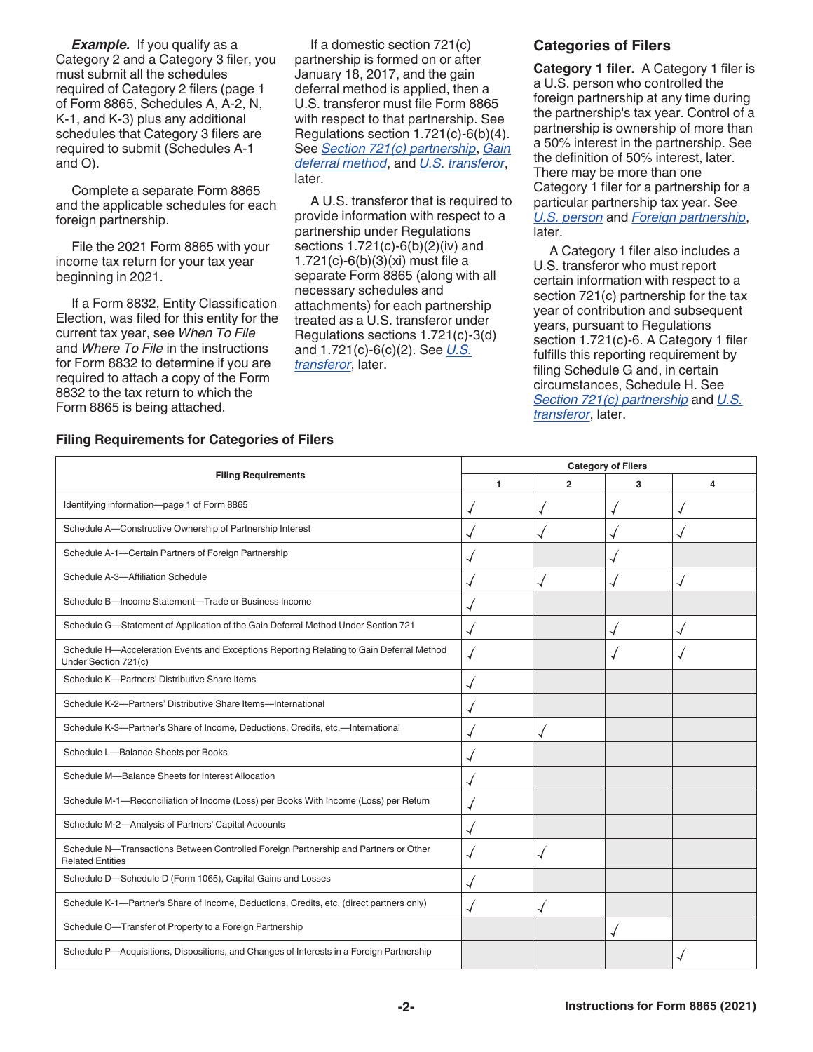**Example.** If you qualify as a Category 2 and a Category 3 filer, you must submit all the schedules required of Category 2 filers (page 1 of Form 8865, Schedules A, A-2, N, K-1, and K-3) plus any additional schedules that Category 3 filers are required to submit (Schedules A-1 and O).

Complete a separate Form 8865 and the applicable schedules for each foreign partnership.

File the 2021 Form 8865 with your income tax return for your tax year beginning in 2021.

If a Form 8832, Entity Classification Election, was filed for this entity for the current tax year, see *When To File*  and *Where To File* in the instructions for Form 8832 to determine if you are required to attach a copy of the Form 8832 to the tax return to which the Form 8865 is being attached.

If a domestic section 721(c) partnership is formed on or after January 18, 2017, and the gain deferral method is applied, then a U.S. transferor must file Form 8865 with respect to that partnership. See Regulations section 1.721(c)-6(b)(4). See *Section 721(c) partnership*, *Gain deferral method*, and *U.S. transferor*, later.

A U.S. transferor that is required to provide information with respect to a partnership under Regulations sections 1.721(c)-6(b)(2)(iv) and 1.721(c)-6(b)(3)(xi) must file a separate Form 8865 (along with all necessary schedules and attachments) for each partnership treated as a U.S. transferor under Regulations sections 1.721(c)-3(d) and 1.721(c)-6(c)(2). See *U.S. transferor*, later.

#### **Categories of Filers**

**Category 1 filer.** A Category 1 filer is a U.S. person who controlled the foreign partnership at any time during the partnership's tax year. Control of a partnership is ownership of more than a 50% interest in the partnership. See the definition of 50% interest, later. There may be more than one Category 1 filer for a partnership for a particular partnership tax year. See *U.S. person* and *Foreign partnership*, later.

A Category 1 filer also includes a U.S. transferor who must report certain information with respect to a section 721(c) partnership for the tax year of contribution and subsequent years, pursuant to Regulations section 1.721(c)-6. A Category 1 filer fulfills this reporting requirement by filing Schedule G and, in certain circumstances, Schedule H. See *Section 721(c) partnership* and *U.S. transferor*, later.

#### **Filing Requirements for Categories of Filers**

|                                                                                                                  | <b>Category of Filers</b> |                |   |   |  |  |  |
|------------------------------------------------------------------------------------------------------------------|---------------------------|----------------|---|---|--|--|--|
| <b>Filing Requirements</b>                                                                                       | 1                         | $\overline{2}$ | 3 | 4 |  |  |  |
| Identifying information-page 1 of Form 8865                                                                      |                           |                | √ |   |  |  |  |
| Schedule A-Constructive Ownership of Partnership Interest                                                        |                           |                |   |   |  |  |  |
| Schedule A-1-Certain Partners of Foreign Partnership                                                             |                           |                |   |   |  |  |  |
| Schedule A-3-Affiliation Schedule                                                                                |                           |                |   |   |  |  |  |
| Schedule B-Income Statement-Trade or Business Income                                                             |                           |                |   |   |  |  |  |
| Schedule G-Statement of Application of the Gain Deferral Method Under Section 721                                |                           |                |   |   |  |  |  |
| Schedule H-Acceleration Events and Exceptions Reporting Relating to Gain Deferral Method<br>Under Section 721(c) |                           |                |   |   |  |  |  |
| Schedule K-Partners' Distributive Share Items                                                                    |                           |                |   |   |  |  |  |
| Schedule K-2-Partners' Distributive Share Items-International                                                    |                           |                |   |   |  |  |  |
| Schedule K-3-Partner's Share of Income, Deductions, Credits, etc.-International                                  |                           |                |   |   |  |  |  |
| Schedule L-Balance Sheets per Books                                                                              |                           |                |   |   |  |  |  |
| Schedule M-Balance Sheets for Interest Allocation                                                                |                           |                |   |   |  |  |  |
| Schedule M-1-Reconciliation of Income (Loss) per Books With Income (Loss) per Return                             |                           |                |   |   |  |  |  |
| Schedule M-2-Analysis of Partners' Capital Accounts                                                              |                           |                |   |   |  |  |  |
| Schedule N-Transactions Between Controlled Foreign Partnership and Partners or Other<br><b>Related Entities</b>  |                           |                |   |   |  |  |  |
| Schedule D-Schedule D (Form 1065), Capital Gains and Losses                                                      |                           |                |   |   |  |  |  |
| Schedule K-1-Partner's Share of Income, Deductions, Credits, etc. (direct partners only)                         |                           |                |   |   |  |  |  |
| Schedule O-Transfer of Property to a Foreign Partnership                                                         |                           |                |   |   |  |  |  |
| Schedule P-Acquisitions, Dispositions, and Changes of Interests in a Foreign Partnership                         |                           |                |   |   |  |  |  |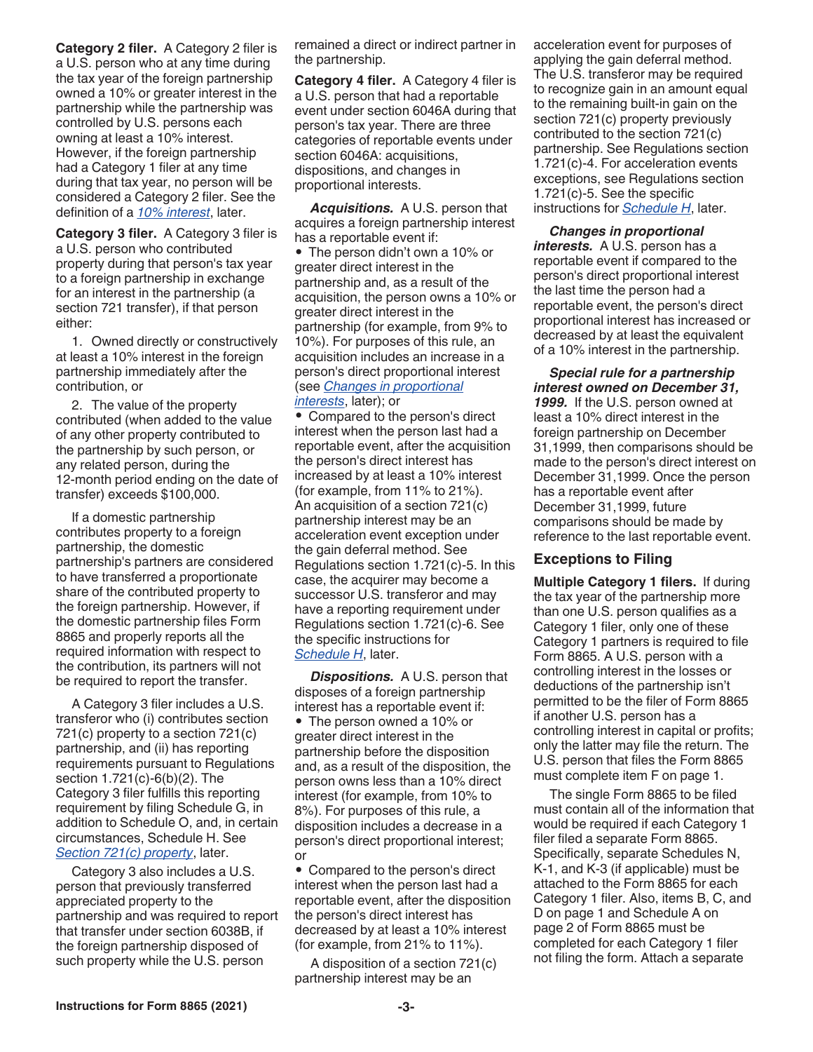**Category 2 filer.** A Category 2 filer is a U.S. person who at any time during the tax year of the foreign partnership owned a 10% or greater interest in the partnership while the partnership was controlled by U.S. persons each owning at least a 10% interest. However, if the foreign partnership had a Category 1 filer at any time during that tax year, no person will be considered a Category 2 filer. See the definition of a *10% interest*, later.

**Category 3 filer.** A Category 3 filer is a U.S. person who contributed property during that person's tax year to a foreign partnership in exchange for an interest in the partnership (a section 721 transfer), if that person either:

1. Owned directly or constructively at least a 10% interest in the foreign partnership immediately after the contribution, or

2. The value of the property contributed (when added to the value of any other property contributed to the partnership by such person, or any related person, during the 12-month period ending on the date of transfer) exceeds \$100,000.

If a domestic partnership contributes property to a foreign partnership, the domestic partnership's partners are considered to have transferred a proportionate share of the contributed property to the foreign partnership. However, if the domestic partnership files Form 8865 and properly reports all the required information with respect to the contribution, its partners will not be required to report the transfer.

A Category 3 filer includes a U.S. transferor who (i) contributes section 721(c) property to a section 721(c) partnership, and (ii) has reporting requirements pursuant to Regulations section 1.721(c)-6(b)(2). The Category 3 filer fulfills this reporting requirement by filing Schedule G, in addition to Schedule O, and, in certain circumstances, Schedule H. See *Section 721(c) property*, later.

Category 3 also includes a U.S. person that previously transferred appreciated property to the partnership and was required to report that transfer under section 6038B, if the foreign partnership disposed of such property while the U.S. person

remained a direct or indirect partner in the partnership.

**Category 4 filer.** A Category 4 filer is a U.S. person that had a reportable event under section 6046A during that person's tax year. There are three categories of reportable events under section 6046A: acquisitions, dispositions, and changes in proportional interests.

*Acquisitions.* A U.S. person that acquires a foreign partnership interest has a reportable event if:

• The person didn't own a 10% or greater direct interest in the partnership and, as a result of the acquisition, the person owns a 10% or greater direct interest in the partnership (for example, from 9% to 10%). For purposes of this rule, an acquisition includes an increase in a person's direct proportional interest (see *Changes in proportional interests*, later); or

• Compared to the person's direct interest when the person last had a reportable event, after the acquisition the person's direct interest has increased by at least a 10% interest (for example, from 11% to 21%). An acquisition of a section 721(c) partnership interest may be an acceleration event exception under the gain deferral method. See Regulations section 1.721(c)-5. In this case, the acquirer may become a successor U.S. transferor and may have a reporting requirement under Regulations section 1.721(c)-6. See the specific instructions for *Schedule H*, later.

*Dispositions.* A U.S. person that disposes of a foreign partnership interest has a reportable event if: • The person owned a 10% or

greater direct interest in the partnership before the disposition and, as a result of the disposition, the person owns less than a 10% direct interest (for example, from 10% to 8%). For purposes of this rule, a disposition includes a decrease in a person's direct proportional interest; or

• Compared to the person's direct interest when the person last had a reportable event, after the disposition the person's direct interest has decreased by at least a 10% interest (for example, from 21% to 11%).

A disposition of a section 721(c) partnership interest may be an

acceleration event for purposes of applying the gain deferral method. The U.S. transferor may be required to recognize gain in an amount equal to the remaining built-in gain on the section 721(c) property previously contributed to the section 721(c) partnership. See Regulations section 1.721(c)-4. For acceleration events exceptions, see Regulations section 1.721(c)-5. See the specific instructions for *Schedule H*, later.

*Changes in proportional interests.* A U.S. person has a reportable event if compared to the person's direct proportional interest the last time the person had a reportable event, the person's direct proportional interest has increased or decreased by at least the equivalent of a 10% interest in the partnership.

*Special rule for a partnership interest owned on December 31,*  1999. If the U.S. person owned at least a 10% direct interest in the foreign partnership on December 31,1999, then comparisons should be made to the person's direct interest on December 31,1999. Once the person has a reportable event after December 31,1999, future comparisons should be made by reference to the last reportable event.

#### **Exceptions to Filing**

**Multiple Category 1 filers.** If during the tax year of the partnership more than one U.S. person qualifies as a Category 1 filer, only one of these Category 1 partners is required to file Form 8865. A U.S. person with a controlling interest in the losses or deductions of the partnership isn't permitted to be the filer of Form 8865 if another U.S. person has a controlling interest in capital or profits; only the latter may file the return. The U.S. person that files the Form 8865 must complete item F on page 1.

The single Form 8865 to be filed must contain all of the information that would be required if each Category 1 filer filed a separate Form 8865. Specifically, separate Schedules N, K-1, and K-3 (if applicable) must be attached to the Form 8865 for each Category 1 filer. Also, items B, C, and D on page 1 and Schedule A on page 2 of Form 8865 must be completed for each Category 1 filer not filing the form. Attach a separate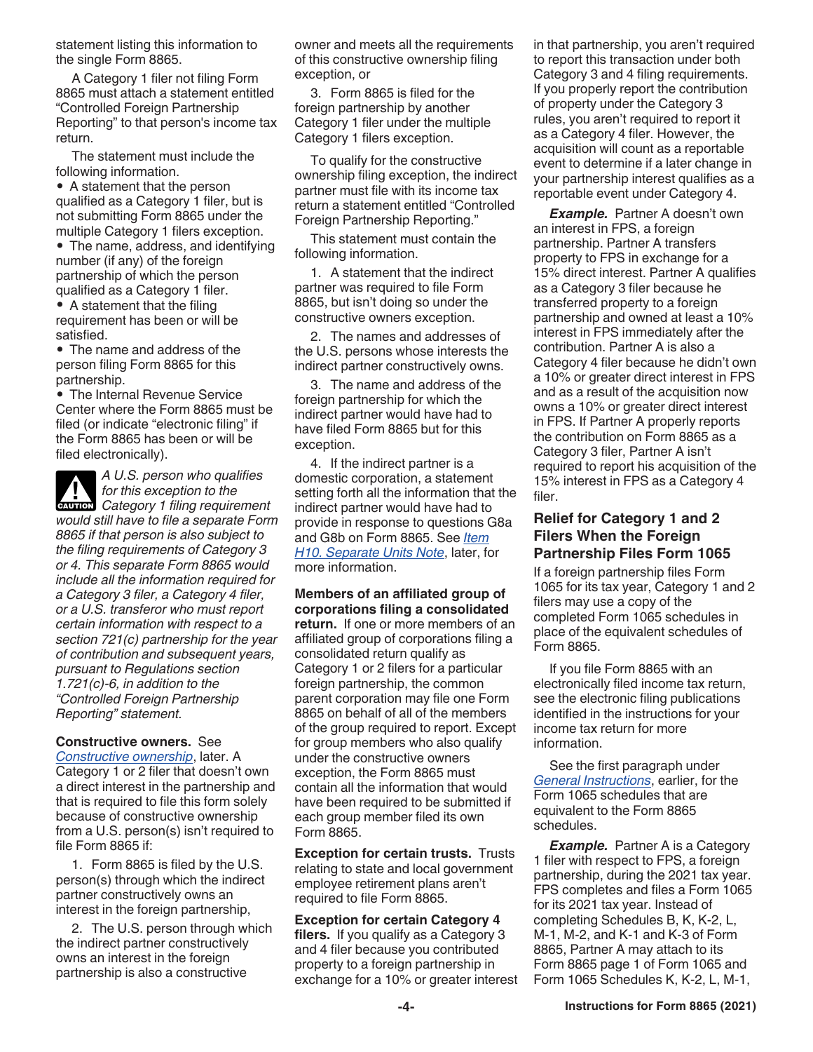statement listing this information to the single Form 8865.

A Category 1 filer not filing Form 8865 must attach a statement entitled "Controlled Foreign Partnership Reporting" to that person's income tax return.

The statement must include the following information.

• A statement that the person qualified as a Category 1 filer, but is not submitting Form 8865 under the multiple Category 1 filers exception.

• The name, address, and identifying number (if any) of the foreign partnership of which the person qualified as a Category 1 filer.

• A statement that the filing requirement has been or will be satisfied.

• The name and address of the person filing Form 8865 for this partnership.

• The Internal Revenue Service Center where the Form 8865 must be filed (or indicate "electronic filing" if the Form 8865 has been or will be filed electronically).

*A U.S. person who qualifies for this exception to the*  **CATEGORY 1** filing requirement *would still have to file a separate Form 8865 if that person is also subject to the filing requirements of Category 3 or 4. This separate Form 8865 would include all the information required for a Category 3 filer, a Category 4 filer, or a U.S. transferor who must report certain information with respect to a section 721(c) partnership for the year of contribution and subsequent years, pursuant to Regulations section 1.721(c)-6, in addition to the "Controlled Foreign Partnership Reporting" statement.*

**Constructive owners.** See *Constructive ownership*, later. A Category 1 or 2 filer that doesn't own a direct interest in the partnership and that is required to file this form solely because of constructive ownership from a U.S. person(s) isn't required to file Form 8865 if:

1. Form 8865 is filed by the U.S. person(s) through which the indirect partner constructively owns an interest in the foreign partnership,

2. The U.S. person through which the indirect partner constructively owns an interest in the foreign partnership is also a constructive

owner and meets all the requirements of this constructive ownership filing exception, or

3. Form 8865 is filed for the foreign partnership by another Category 1 filer under the multiple Category 1 filers exception.

To qualify for the constructive ownership filing exception, the indirect partner must file with its income tax return a statement entitled "Controlled Foreign Partnership Reporting."

This statement must contain the following information.

1. A statement that the indirect partner was required to file Form 8865, but isn't doing so under the constructive owners exception.

2. The names and addresses of the U.S. persons whose interests the indirect partner constructively owns.

3. The name and address of the foreign partnership for which the indirect partner would have had to have filed Form 8865 but for this exception.

4. If the indirect partner is a domestic corporation, a statement setting forth all the information that the indirect partner would have had to provide in response to questions G8a and G8b on Form 8865. See *Item H10. Separate Units Note*, later, for more information.

**Members of an affiliated group of corporations filing a consolidated return.** If one or more members of an affiliated group of corporations filing a consolidated return qualify as Category 1 or 2 filers for a particular foreign partnership, the common parent corporation may file one Form 8865 on behalf of all of the members of the group required to report. Except for group members who also qualify under the constructive owners exception, the Form 8865 must contain all the information that would have been required to be submitted if each group member filed its own Form 8865.

**Exception for certain trusts.** Trusts relating to state and local government employee retirement plans aren't required to file Form 8865.

**Exception for certain Category 4 filers.** If you qualify as a Category 3 and 4 filer because you contributed property to a foreign partnership in exchange for a 10% or greater interest in that partnership, you aren't required to report this transaction under both Category 3 and 4 filing requirements. If you properly report the contribution of property under the Category 3 rules, you aren't required to report it as a Category 4 filer. However, the acquisition will count as a reportable event to determine if a later change in your partnership interest qualifies as a reportable event under Category 4.

**Example.** Partner A doesn't own an interest in FPS, a foreign partnership. Partner A transfers property to FPS in exchange for a 15% direct interest. Partner A qualifies as a Category 3 filer because he transferred property to a foreign partnership and owned at least a 10% interest in FPS immediately after the contribution. Partner A is also a Category 4 filer because he didn't own a 10% or greater direct interest in FPS and as a result of the acquisition now owns a 10% or greater direct interest in FPS. If Partner A properly reports the contribution on Form 8865 as a Category 3 filer, Partner A isn't required to report his acquisition of the 15% interest in FPS as a Category 4 filer.

#### **Relief for Category 1 and 2 Filers When the Foreign Partnership Files Form 1065**

If a foreign partnership files Form 1065 for its tax year, Category 1 and 2 filers may use a copy of the completed Form 1065 schedules in place of the equivalent schedules of Form 8865.

If you file Form 8865 with an electronically filed income tax return, see the electronic filing publications identified in the instructions for your income tax return for more information.

See the first paragraph under *General Instructions*, earlier, for the Form 1065 schedules that are equivalent to the Form 8865 schedules.

**Example.** Partner A is a Category 1 filer with respect to FPS, a foreign partnership, during the 2021 tax year. FPS completes and files a Form 1065 for its 2021 tax year. Instead of completing Schedules B, K, K-2, L, M-1, M-2, and K-1 and K-3 of Form 8865, Partner A may attach to its Form 8865 page 1 of Form 1065 and Form 1065 Schedules K, K-2, L, M-1,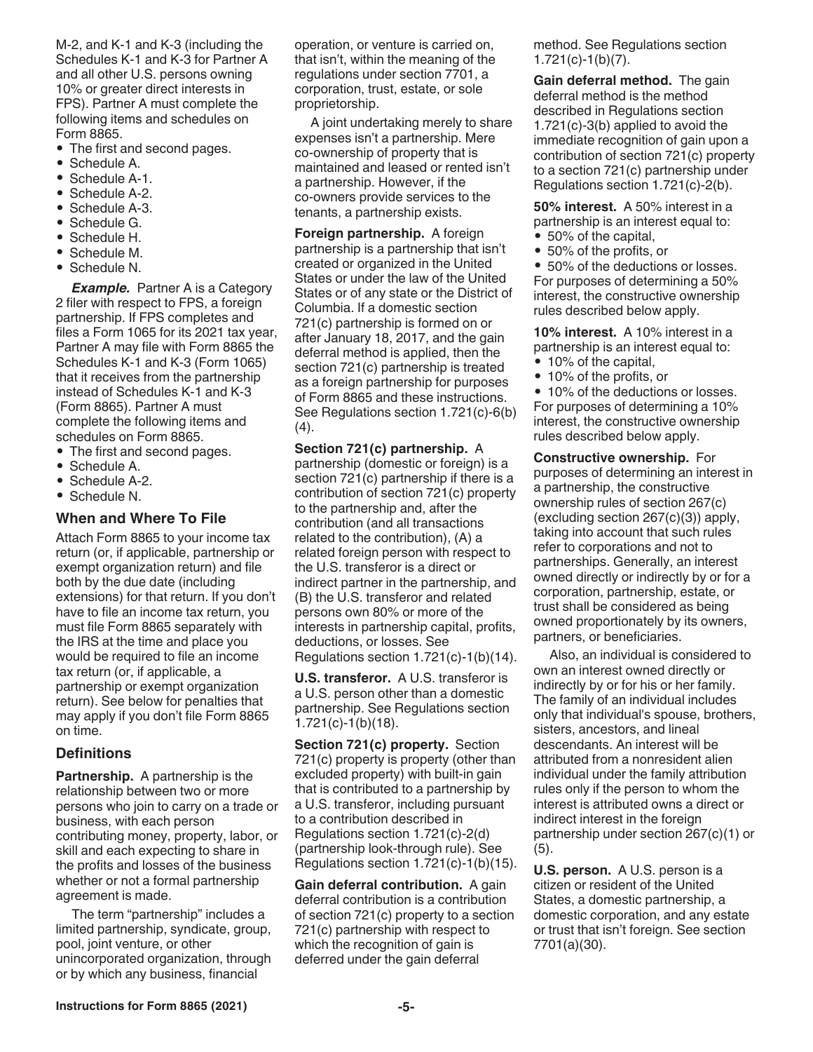M-2, and K-1 and K-3 (including the Schedules K-1 and K-3 for Partner A and all other U.S. persons owning 10% or greater direct interests in FPS). Partner A must complete the following items and schedules on Form 8865.

• The first and second pages.

- Schedule A.
- Schedule A-1.
- Schedule A-2.
- Schedule A-3.
- Schedule G.
- Schedule H.
- Schedule M.
- Schedule N.

*Example.* Partner A is a Category 2 filer with respect to FPS, a foreign partnership. If FPS completes and files a Form 1065 for its 2021 tax year, Partner A may file with Form 8865 the Schedules K-1 and K-3 (Form 1065) that it receives from the partnership instead of Schedules K-1 and K-3 (Form 8865). Partner A must complete the following items and schedules on Form 8865.

- The first and second pages.
- Schedule A.
- Schedule A-2.
- Schedule N.

# **When and Where To File**

Attach Form 8865 to your income tax return (or, if applicable, partnership or exempt organization return) and file both by the due date (including extensions) for that return. If you don't have to file an income tax return, you must file Form 8865 separately with the IRS at the time and place you would be required to file an income tax return (or, if applicable, a partnership or exempt organization return). See below for penalties that may apply if you don't file Form 8865 on time.

## **Definitions**

**Partnership.** A partnership is the relationship between two or more persons who join to carry on a trade or business, with each person contributing money, property, labor, or skill and each expecting to share in the profits and losses of the business whether or not a formal partnership agreement is made.

The term "partnership" includes a limited partnership, syndicate, group, pool, joint venture, or other unincorporated organization, through or by which any business, financial

operation, or venture is carried on, that isn't, within the meaning of the regulations under section 7701, a corporation, trust, estate, or sole proprietorship.

A joint undertaking merely to share expenses isn't a partnership. Mere co-ownership of property that is maintained and leased or rented isn't a partnership. However, if the co-owners provide services to the tenants, a partnership exists.

**Foreign partnership.** A foreign partnership is a partnership that isn't created or organized in the United States or under the law of the United States or of any state or the District of Columbia. If a domestic section 721(c) partnership is formed on or after January 18, 2017, and the gain deferral method is applied, then the section 721(c) partnership is treated as a foreign partnership for purposes of Form 8865 and these instructions. See Regulations section 1.721(c)-6(b)  $(4).$ 

#### **Section 721(c) partnership.** A

partnership (domestic or foreign) is a section 721(c) partnership if there is a contribution of section 721(c) property to the partnership and, after the contribution (and all transactions related to the contribution), (A) a related foreign person with respect to the U.S. transferor is a direct or indirect partner in the partnership, and (B) the U.S. transferor and related persons own 80% or more of the interests in partnership capital, profits, deductions, or losses. See Regulations section 1.721(c)-1(b)(14).

**U.S. transferor.** A U.S. transferor is a U.S. person other than a domestic partnership. See Regulations section 1.721(c)-1(b)(18).

**Section 721(c) property.** Section 721(c) property is property (other than excluded property) with built-in gain that is contributed to a partnership by a U.S. transferor, including pursuant to a contribution described in Regulations section 1.721(c)-2(d) (partnership look-through rule). See Regulations section 1.721(c)-1(b)(15).

**Gain deferral contribution.** A gain deferral contribution is a contribution of section 721(c) property to a section 721(c) partnership with respect to which the recognition of gain is deferred under the gain deferral

method. See Regulations section 1.721(c)-1(b)(7).

**Gain deferral method.** The gain deferral method is the method described in Regulations section 1.721(c)-3(b) applied to avoid the immediate recognition of gain upon a contribution of section 721(c) property to a section 721(c) partnership under Regulations section 1.721(c)-2(b).

**50% interest.** A 50% interest in a partnership is an interest equal to:

- 50% of the capital,
- 50% of the profits, or

• 50% of the deductions or losses. For purposes of determining a 50% interest, the constructive ownership rules described below apply.

**10% interest.** A 10% interest in a partnership is an interest equal to:

• 10% of the capital, • 10% of the profits, or

• 10% of the deductions or losses. For purposes of determining a 10% interest, the constructive ownership rules described below apply.

**Constructive ownership.** For purposes of determining an interest in a partnership, the constructive ownership rules of section 267(c) (excluding section 267(c)(3)) apply, taking into account that such rules refer to corporations and not to partnerships. Generally, an interest owned directly or indirectly by or for a corporation, partnership, estate, or trust shall be considered as being owned proportionately by its owners, partners, or beneficiaries.

Also, an individual is considered to own an interest owned directly or indirectly by or for his or her family. The family of an individual includes only that individual's spouse, brothers, sisters, ancestors, and lineal descendants. An interest will be attributed from a nonresident alien individual under the family attribution rules only if the person to whom the interest is attributed owns a direct or indirect interest in the foreign partnership under section 267(c)(1) or (5).

**U.S. person.** A U.S. person is a citizen or resident of the United States, a domestic partnership, a domestic corporation, and any estate or trust that isn't foreign. See section 7701(a)(30).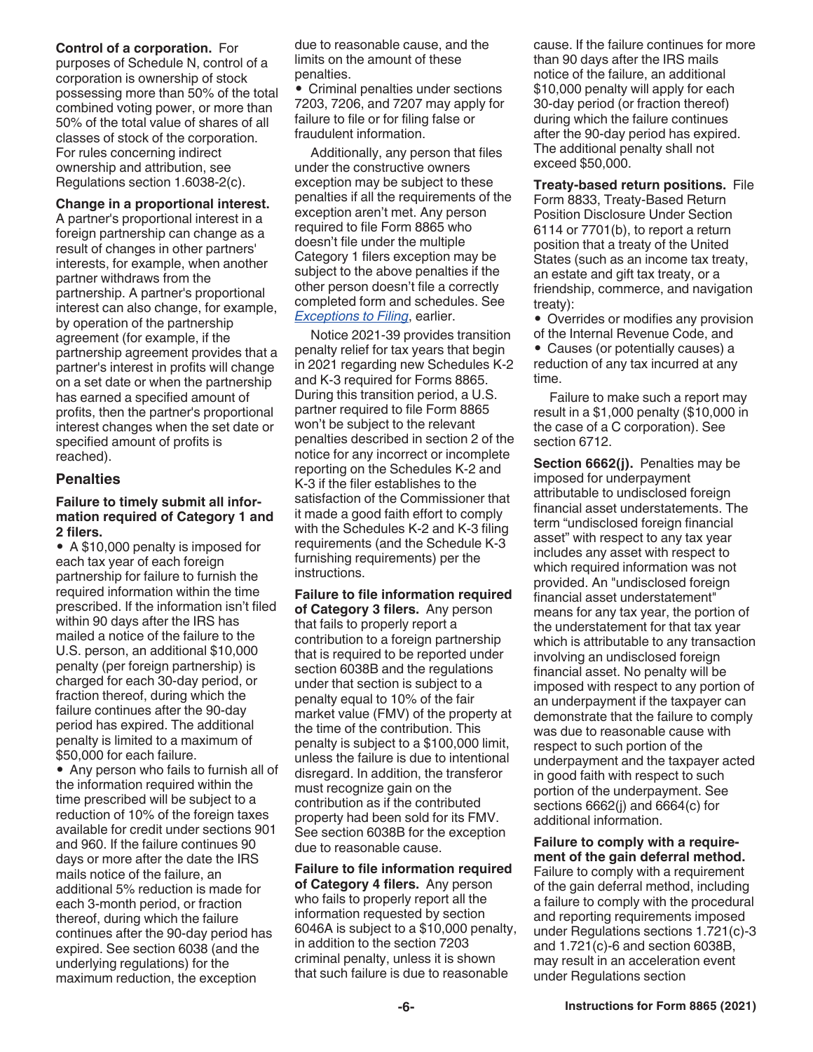**Control of a corporation.** For purposes of Schedule N, control of a corporation is ownership of stock possessing more than 50% of the total combined voting power, or more than 50% of the total value of shares of all classes of stock of the corporation. For rules concerning indirect ownership and attribution, see Regulations section 1.6038-2(c).

#### **Change in a proportional interest.**

A partner's proportional interest in a foreign partnership can change as a result of changes in other partners' interests, for example, when another partner withdraws from the partnership. A partner's proportional interest can also change, for example, by operation of the partnership agreement (for example, if the partnership agreement provides that a partner's interest in profits will change on a set date or when the partnership has earned a specified amount of profits, then the partner's proportional interest changes when the set date or specified amount of profits is reached).

#### **Penalties**

#### **Failure to timely submit all information required of Category 1 and 2 filers.**

• A \$10,000 penalty is imposed for each tax year of each foreign partnership for failure to furnish the required information within the time prescribed. If the information isn't filed within 90 days after the IRS has mailed a notice of the failure to the U.S. person, an additional \$10,000 penalty (per foreign partnership) is charged for each 30-day period, or fraction thereof, during which the failure continues after the 90-day period has expired. The additional penalty is limited to a maximum of \$50,000 for each failure.

• Any person who fails to furnish all of the information required within the time prescribed will be subject to a reduction of 10% of the foreign taxes available for credit under sections 901 and 960. If the failure continues 90 days or more after the date the IRS mails notice of the failure, an additional 5% reduction is made for each 3-month period, or fraction thereof, during which the failure continues after the 90-day period has expired. See section 6038 (and the underlying regulations) for the maximum reduction, the exception

due to reasonable cause, and the limits on the amount of these penalties.

• Criminal penalties under sections 7203, 7206, and 7207 may apply for failure to file or for filing false or fraudulent information.

Additionally, any person that files under the constructive owners exception may be subject to these penalties if all the requirements of the exception aren't met. Any person required to file Form 8865 who doesn't file under the multiple Category 1 filers exception may be subject to the above penalties if the other person doesn't file a correctly completed form and schedules. See *Exceptions to Filing*, earlier.

Notice 2021-39 provides transition penalty relief for tax years that begin in 2021 regarding new Schedules K-2 and K-3 required for Forms 8865. During this transition period, a U.S. partner required to file Form 8865 won't be subject to the relevant penalties described in section 2 of the notice for any incorrect or incomplete reporting on the Schedules K-2 and K-3 if the filer establishes to the satisfaction of the Commissioner that it made a good faith effort to comply with the Schedules K-2 and K-3 filing requirements (and the Schedule K-3 furnishing requirements) per the instructions.

#### **Failure to file information required of Category 3 filers.** Any person

that fails to properly report a contribution to a foreign partnership that is required to be reported under section 6038B and the regulations under that section is subject to a penalty equal to 10% of the fair market value (FMV) of the property at the time of the contribution. This penalty is subject to a \$100,000 limit, unless the failure is due to intentional disregard. In addition, the transferor must recognize gain on the contribution as if the contributed property had been sold for its FMV. See section 6038B for the exception due to reasonable cause.

**Failure to file information required of Category 4 filers.** Any person who fails to properly report all the information requested by section 6046A is subject to a \$10,000 penalty, in addition to the section 7203 criminal penalty, unless it is shown that such failure is due to reasonable

cause. If the failure continues for more than 90 days after the IRS mails notice of the failure, an additional \$10,000 penalty will apply for each 30-day period (or fraction thereof) during which the failure continues after the 90-day period has expired. The additional penalty shall not exceed \$50,000.

**Treaty-based return positions.** File Form 8833, Treaty-Based Return Position Disclosure Under Section 6114 or 7701(b), to report a return position that a treaty of the United States (such as an income tax treaty, an estate and gift tax treaty, or a friendship, commerce, and navigation treaty):

- Overrides or modifies any provision
- of the Internal Revenue Code, and • Causes (or potentially causes) a reduction of any tax incurred at any time.

Failure to make such a report may result in a \$1,000 penalty (\$10,000 in the case of a C corporation). See section 6712.

**Section 6662(j).** Penalties may be imposed for underpayment attributable to undisclosed foreign financial asset understatements. The term "undisclosed foreign financial asset" with respect to any tax year includes any asset with respect to which required information was not provided. An "undisclosed foreign financial asset understatement" means for any tax year, the portion of the understatement for that tax year which is attributable to any transaction involving an undisclosed foreign financial asset. No penalty will be imposed with respect to any portion of an underpayment if the taxpayer can demonstrate that the failure to comply was due to reasonable cause with respect to such portion of the underpayment and the taxpayer acted in good faith with respect to such portion of the underpayment. See sections 6662(j) and 6664(c) for additional information.

## **Failure to comply with a requirement of the gain deferral method.**

Failure to comply with a requirement of the gain deferral method, including a failure to comply with the procedural and reporting requirements imposed under Regulations sections 1.721(c)-3 and 1.721(c)-6 and section 6038B, may result in an acceleration event under Regulations section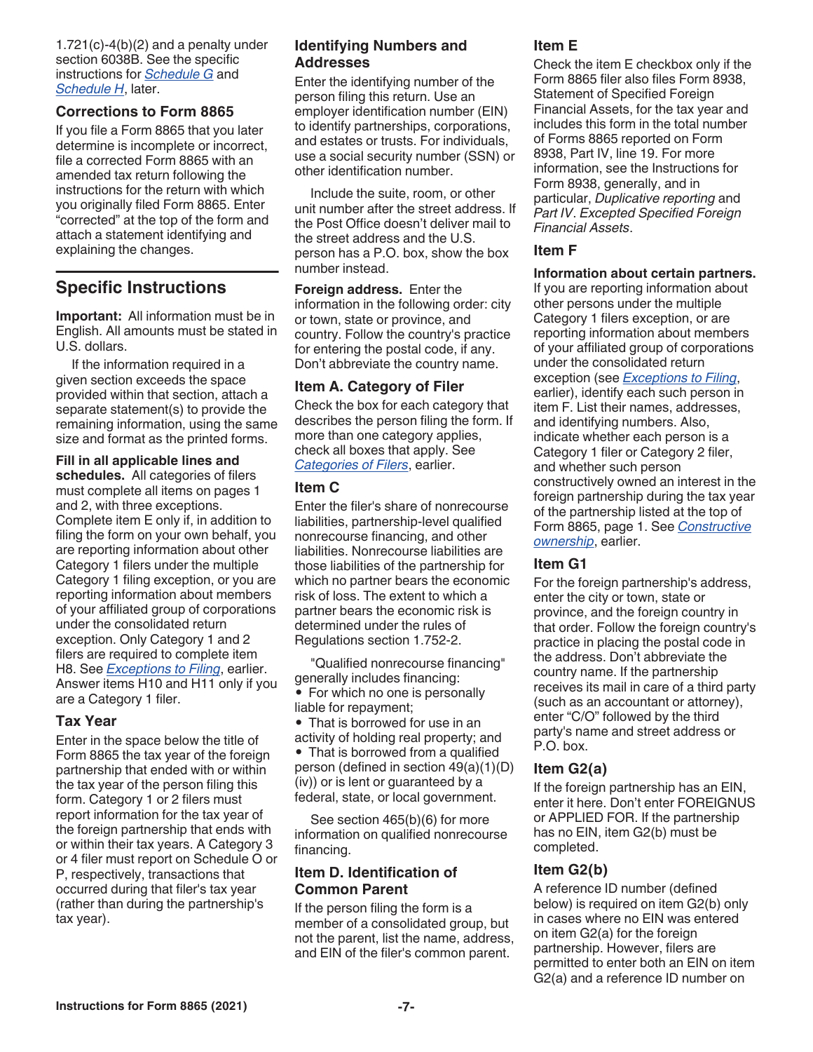$1.721(c)-4(b)(2)$  and a penalty under section 6038B. See the specific instructions for *Schedule G* and *Schedule H*, later.

#### **Corrections to Form 8865**

If you file a Form 8865 that you later determine is incomplete or incorrect, file a corrected Form 8865 with an amended tax return following the instructions for the return with which you originally filed Form 8865. Enter "corrected" at the top of the form and attach a statement identifying and explaining the changes.

# **Specific Instructions**

**Important:** All information must be in English. All amounts must be stated in U.S. dollars.

If the information required in a given section exceeds the space provided within that section, attach a separate statement(s) to provide the remaining information, using the same size and format as the printed forms.

**Fill in all applicable lines and schedules.** All categories of filers must complete all items on pages 1 and 2, with three exceptions. Complete item E only if, in addition to filing the form on your own behalf, you are reporting information about other Category 1 filers under the multiple Category 1 filing exception, or you are reporting information about members of your affiliated group of corporations under the consolidated return exception. Only Category 1 and 2 filers are required to complete item H8. See *Exceptions to Filing*, earlier. Answer items H10 and H11 only if you are a Category 1 filer.

#### **Tax Year**

Enter in the space below the title of Form 8865 the tax year of the foreign partnership that ended with or within the tax year of the person filing this form. Category 1 or 2 filers must report information for the tax year of the foreign partnership that ends with or within their tax years. A Category 3 or 4 filer must report on Schedule O or P, respectively, transactions that occurred during that filer's tax year (rather than during the partnership's tax year).

#### **Identifying Numbers and Addresses**

Enter the identifying number of the person filing this return. Use an employer identification number (EIN) to identify partnerships, corporations, and estates or trusts. For individuals, use a social security number (SSN) or other identification number.

Include the suite, room, or other unit number after the street address. If the Post Office doesn't deliver mail to the street address and the U.S. person has a P.O. box, show the box number instead.

**Foreign address.** Enter the information in the following order: city or town, state or province, and country. Follow the country's practice for entering the postal code, if any. Don't abbreviate the country name.

#### **Item A. Category of Filer**

Check the box for each category that describes the person filing the form. If more than one category applies, check all boxes that apply. See *Categories of Filers*, earlier.

#### **Item C**

Enter the filer's share of nonrecourse liabilities, partnership-level qualified nonrecourse financing, and other liabilities. Nonrecourse liabilities are those liabilities of the partnership for which no partner bears the economic risk of loss. The extent to which a partner bears the economic risk is determined under the rules of Regulations section 1.752-2.

"Qualified nonrecourse financing" generally includes financing:

• For which no one is personally liable for repayment;

• That is borrowed for use in an activity of holding real property; and • That is borrowed from a qualified person (defined in section 49(a)(1)(D) (iv)) or is lent or guaranteed by a federal, state, or local government.

See section 465(b)(6) for more information on qualified nonrecourse financing.

#### **Item D. Identification of Common Parent**

If the person filing the form is a member of a consolidated group, but not the parent, list the name, address, and EIN of the filer's common parent.

#### **Item E**

Check the item E checkbox only if the Form 8865 filer also files Form 8938, Statement of Specified Foreign Financial Assets, for the tax year and includes this form in the total number of Forms 8865 reported on Form 8938, Part IV, line 19. For more information, see the Instructions for Form 8938, generally, and in particular, *Duplicative reporting* and *Part IV*. *Excepted Specified Foreign Financial Assets*.

#### **Item F**

#### **Information about certain partners.**

If you are reporting information about other persons under the multiple Category 1 filers exception, or are reporting information about members of your affiliated group of corporations under the consolidated return exception (see *Exceptions to Filing*, earlier), identify each such person in item F. List their names, addresses, and identifying numbers. Also, indicate whether each person is a Category 1 filer or Category 2 filer, and whether such person constructively owned an interest in the foreign partnership during the tax year of the partnership listed at the top of Form 8865, page 1. See *Constructive ownership*, earlier.

#### **Item G1**

For the foreign partnership's address, enter the city or town, state or province, and the foreign country in that order. Follow the foreign country's practice in placing the postal code in the address. Don't abbreviate the country name. If the partnership receives its mail in care of a third party (such as an accountant or attorney), enter "C/O" followed by the third party's name and street address or P.O. box.

#### **Item G2(a)**

If the foreign partnership has an EIN, enter it here. Don't enter FOREIGNUS or APPLIED FOR. If the partnership has no EIN, item G2(b) must be completed.

## **Item G2(b)**

A reference ID number (defined below) is required on item G2(b) only in cases where no EIN was entered on item G2(a) for the foreign partnership. However, filers are permitted to enter both an EIN on item G2(a) and a reference ID number on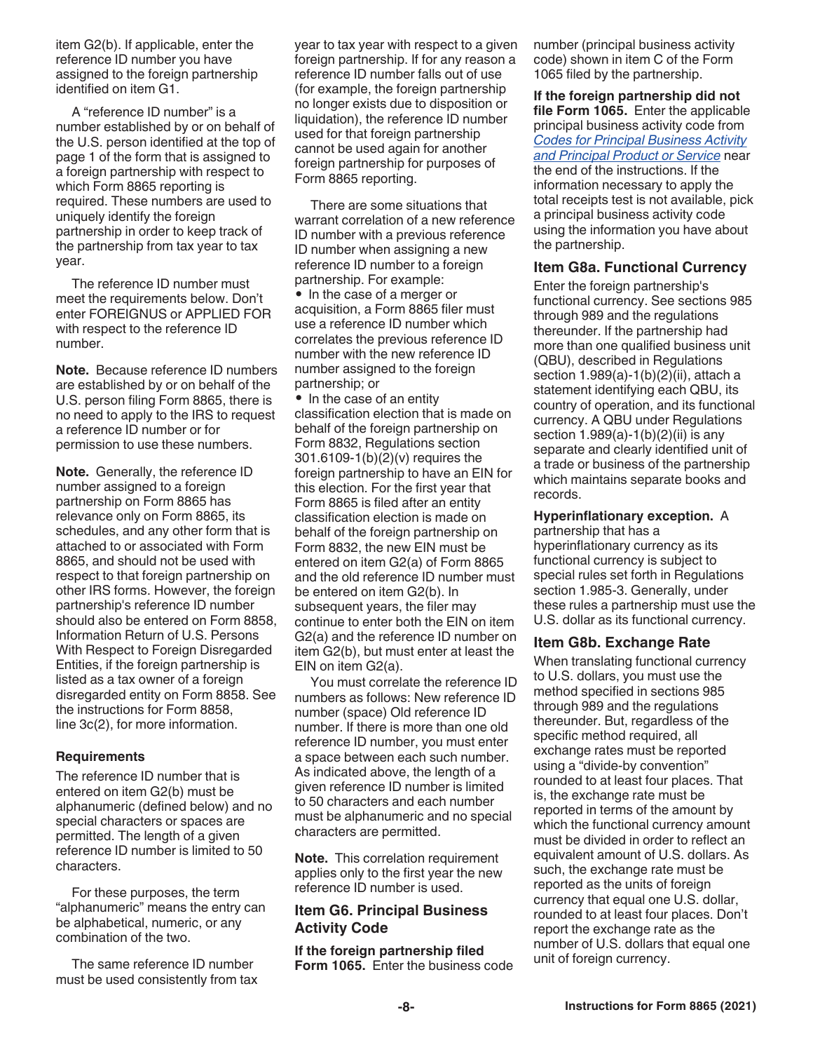item G2(b). If applicable, enter the reference ID number you have assigned to the foreign partnership identified on item G1.

A "reference ID number" is a number established by or on behalf of the U.S. person identified at the top of page 1 of the form that is assigned to a foreign partnership with respect to which Form 8865 reporting is required. These numbers are used to uniquely identify the foreign partnership in order to keep track of the partnership from tax year to tax year.

The reference ID number must meet the requirements below. Don't enter FOREIGNUS or APPLIED FOR with respect to the reference ID number.

**Note.** Because reference ID numbers are established by or on behalf of the U.S. person filing Form 8865, there is no need to apply to the IRS to request a reference ID number or for permission to use these numbers.

**Note.** Generally, the reference ID number assigned to a foreign partnership on Form 8865 has relevance only on Form 8865, its schedules, and any other form that is attached to or associated with Form 8865, and should not be used with respect to that foreign partnership on other IRS forms. However, the foreign partnership's reference ID number should also be entered on Form 8858, Information Return of U.S. Persons With Respect to Foreign Disregarded Entities, if the foreign partnership is listed as a tax owner of a foreign disregarded entity on Form 8858. See the instructions for Form 8858, line 3c(2), for more information.

#### **Requirements**

The reference ID number that is entered on item G2(b) must be alphanumeric (defined below) and no special characters or spaces are permitted. The length of a given reference ID number is limited to 50 characters.

For these purposes, the term "alphanumeric" means the entry can be alphabetical, numeric, or any combination of the two.

The same reference ID number must be used consistently from tax year to tax year with respect to a given foreign partnership. If for any reason a reference ID number falls out of use (for example, the foreign partnership no longer exists due to disposition or liquidation), the reference ID number used for that foreign partnership cannot be used again for another foreign partnership for purposes of Form 8865 reporting.

There are some situations that warrant correlation of a new reference ID number with a previous reference ID number when assigning a new reference ID number to a foreign partnership. For example: • In the case of a merger or acquisition, a Form 8865 filer must use a reference ID number which correlates the previous reference ID number with the new reference ID number assigned to the foreign partnership; or

• In the case of an entity classification election that is made on behalf of the foreign partnership on Form 8832, Regulations section 301.6109-1(b)(2)(v) requires the foreign partnership to have an EIN for this election. For the first year that Form 8865 is filed after an entity classification election is made on behalf of the foreign partnership on Form 8832, the new EIN must be entered on item G2(a) of Form 8865 and the old reference ID number must be entered on item G2(b). In subsequent years, the filer may continue to enter both the EIN on item G2(a) and the reference ID number on item G2(b), but must enter at least the EIN on item G2(a).

You must correlate the reference ID numbers as follows: New reference ID number (space) Old reference ID number. If there is more than one old reference ID number, you must enter a space between each such number. As indicated above, the length of a given reference ID number is limited to 50 characters and each number must be alphanumeric and no special characters are permitted.

**Note.** This correlation requirement applies only to the first year the new reference ID number is used.

#### **Item G6. Principal Business Activity Code**

**If the foreign partnership filed Form 1065.** Enter the business code number (principal business activity code) shown in item C of the Form 1065 filed by the partnership.

**If the foreign partnership did not file Form 1065.** Enter the applicable principal business activity code from *Codes for Principal Business Activity and Principal Product or Service* near the end of the instructions. If the information necessary to apply the total receipts test is not available, pick a principal business activity code using the information you have about the partnership.

#### **Item G8a. Functional Currency**

Enter the foreign partnership's functional currency. See sections 985 through 989 and the regulations thereunder. If the partnership had more than one qualified business unit (QBU), described in Regulations section 1.989(a)-1(b)(2)(ii), attach a statement identifying each QBU, its country of operation, and its functional currency. A QBU under Regulations section 1.989(a)-1(b)(2)(ii) is any separate and clearly identified unit of a trade or business of the partnership which maintains separate books and records.

#### **Hyperinflationary exception.** A

partnership that has a hyperinflationary currency as its functional currency is subject to special rules set forth in Regulations section 1.985-3. Generally, under these rules a partnership must use the U.S. dollar as its functional currency.

#### **Item G8b. Exchange Rate**

When translating functional currency to U.S. dollars, you must use the method specified in sections 985 through 989 and the regulations thereunder. But, regardless of the specific method required, all exchange rates must be reported using a "divide-by convention" rounded to at least four places. That is, the exchange rate must be reported in terms of the amount by which the functional currency amount must be divided in order to reflect an equivalent amount of U.S. dollars. As such, the exchange rate must be reported as the units of foreign currency that equal one U.S. dollar, rounded to at least four places. Don't report the exchange rate as the number of U.S. dollars that equal one unit of foreign currency.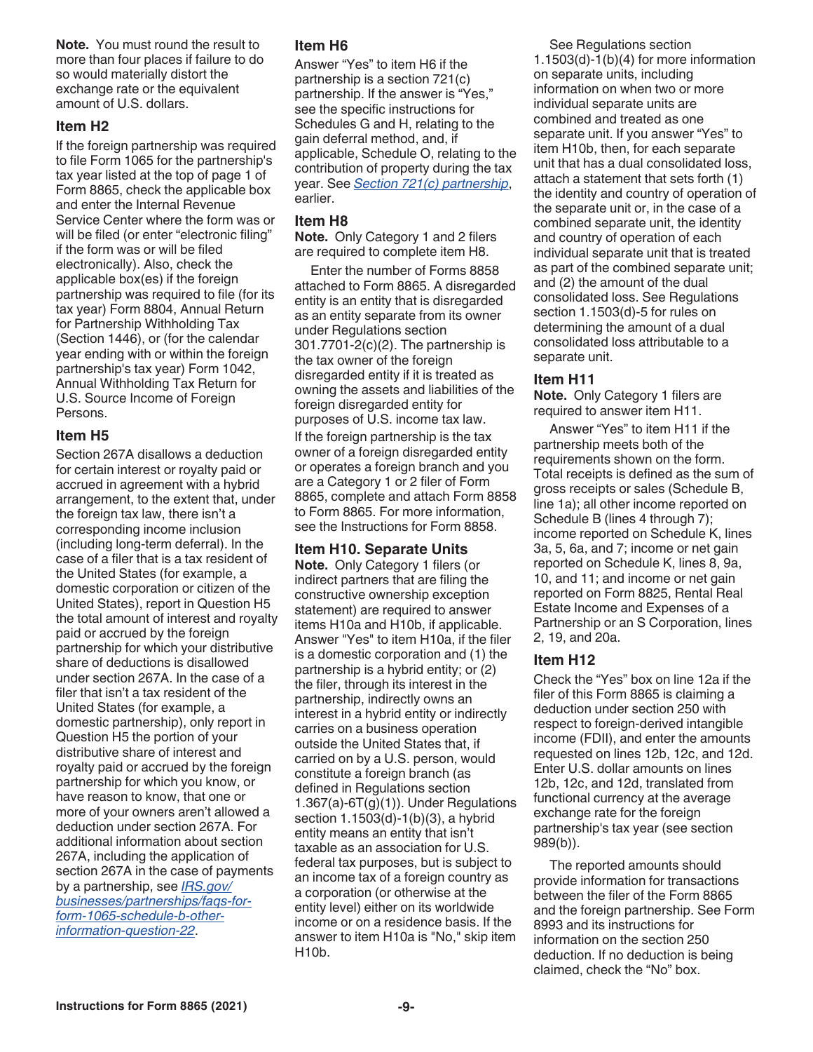**Note.** You must round the result to more than four places if failure to do so would materially distort the exchange rate or the equivalent amount of U.S. dollars.

#### **Item H2**

If the foreign partnership was required to file Form 1065 for the partnership's tax year listed at the top of page 1 of Form 8865, check the applicable box and enter the Internal Revenue Service Center where the form was or will be filed (or enter "electronic filing" if the form was or will be filed electronically). Also, check the applicable box(es) if the foreign partnership was required to file (for its tax year) Form 8804, Annual Return for Partnership Withholding Tax (Section 1446), or (for the calendar year ending with or within the foreign partnership's tax year) Form 1042, Annual Withholding Tax Return for U.S. Source Income of Foreign Persons.

## **Item H5**

Section 267A disallows a deduction for certain interest or royalty paid or accrued in agreement with a hybrid arrangement, to the extent that, under the foreign tax law, there isn't a corresponding income inclusion (including long-term deferral). In the case of a filer that is a tax resident of the United States (for example, a domestic corporation or citizen of the United States), report in Question H5 the total amount of interest and royalty paid or accrued by the foreign partnership for which your distributive share of deductions is disallowed under section 267A. In the case of a filer that isn't a tax resident of the United States (for example, a domestic partnership), only report in Question H5 the portion of your distributive share of interest and royalty paid or accrued by the foreign partnership for which you know, or have reason to know, that one or more of your owners aren't allowed a deduction under section 267A. For additional information about section 267A, including the application of section 267A in the case of payments by a partnership, see *[IRS.gov/](https://www.irs.gov/businesses/partnerships/faqs-for-form-1065-schedule-b-other-information-question-22) [businesses/partnerships/faqs-for](https://www.irs.gov/businesses/partnerships/faqs-for-form-1065-schedule-b-other-information-question-22)[form-1065-schedule-b-other](https://www.irs.gov/businesses/partnerships/faqs-for-form-1065-schedule-b-other-information-question-22)[information-question-22](https://www.irs.gov/businesses/partnerships/faqs-for-form-1065-schedule-b-other-information-question-22)*.

## **Item H6**

Answer "Yes" to item H6 if the partnership is a section 721(c) partnership. If the answer is "Yes," see the specific instructions for Schedules G and H, relating to the gain deferral method, and, if applicable, Schedule O, relating to the contribution of property during the tax year. See *Section 721(c) partnership*, earlier.

#### **Item H8**

**Note.** Only Category 1 and 2 filers are required to complete item H8.

Enter the number of Forms 8858 attached to Form 8865. A disregarded entity is an entity that is disregarded as an entity separate from its owner under Regulations section 301.7701-2(c)(2). The partnership is the tax owner of the foreign disregarded entity if it is treated as owning the assets and liabilities of the foreign disregarded entity for purposes of U.S. income tax law. If the foreign partnership is the tax owner of a foreign disregarded entity or operates a foreign branch and you are a Category 1 or 2 filer of Form 8865, complete and attach Form 8858 to Form 8865. For more information, see the Instructions for Form 8858.

## **Item H10. Separate Units**

**Note.** Only Category 1 filers (or indirect partners that are filing the constructive ownership exception statement) are required to answer items H10a and H10b, if applicable. Answer "Yes" to item H10a, if the filer is a domestic corporation and (1) the partnership is a hybrid entity; or (2) the filer, through its interest in the partnership, indirectly owns an interest in a hybrid entity or indirectly carries on a business operation outside the United States that, if carried on by a U.S. person, would constitute a foreign branch (as defined in Regulations section 1.367(a)-6T(g)(1)). Under Regulations section 1.1503(d)-1(b)(3), a hybrid entity means an entity that isn't taxable as an association for U.S. federal tax purposes, but is subject to an income tax of a foreign country as a corporation (or otherwise at the entity level) either on its worldwide income or on a residence basis. If the answer to item H10a is "No," skip item H10b.

See Regulations section 1.1503(d)-1(b)(4) for more information on separate units, including information on when two or more individual separate units are combined and treated as one separate unit. If you answer "Yes" to item H10b, then, for each separate unit that has a dual consolidated loss, attach a statement that sets forth (1) the identity and country of operation of the separate unit or, in the case of a combined separate unit, the identity and country of operation of each individual separate unit that is treated as part of the combined separate unit; and (2) the amount of the dual consolidated loss. See Regulations section 1.1503(d)-5 for rules on determining the amount of a dual consolidated loss attributable to a separate unit.

#### **Item H11**

**Note.** Only Category 1 filers are required to answer item H11.

Answer "Yes" to item H11 if the partnership meets both of the requirements shown on the form. Total receipts is defined as the sum of gross receipts or sales (Schedule B, line 1a); all other income reported on Schedule B (lines 4 through 7); income reported on Schedule K, lines 3a, 5, 6a, and 7; income or net gain reported on Schedule K, lines 8, 9a, 10, and 11; and income or net gain reported on Form 8825, Rental Real Estate Income and Expenses of a Partnership or an S Corporation, lines 2, 19, and 20a.

## **Item H12**

Check the "Yes" box on line 12a if the filer of this Form 8865 is claiming a deduction under section 250 with respect to foreign-derived intangible income (FDII), and enter the amounts requested on lines 12b, 12c, and 12d. Enter U.S. dollar amounts on lines 12b, 12c, and 12d, translated from functional currency at the average exchange rate for the foreign partnership's tax year (see section 989(b)).

The reported amounts should provide information for transactions between the filer of the Form 8865 and the foreign partnership. See Form 8993 and its instructions for information on the section 250 deduction. If no deduction is being claimed, check the "No" box.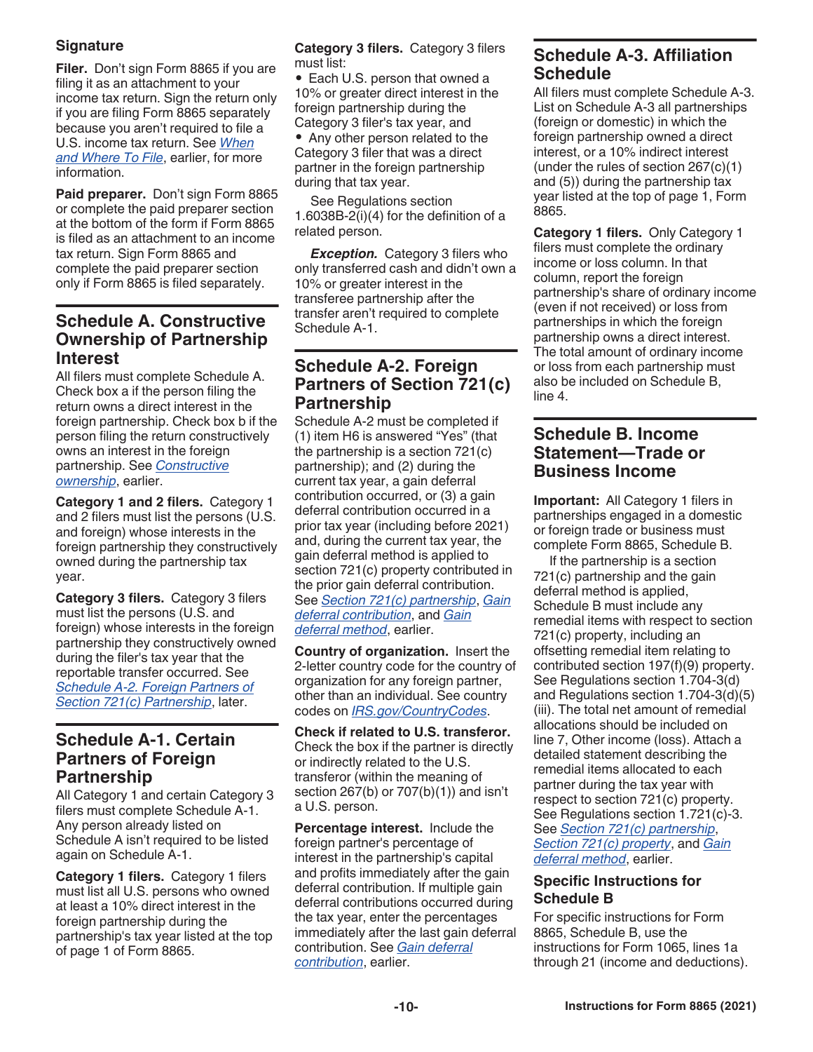## **Signature**

**Filer.** Don't sign Form 8865 if you are filing it as an attachment to your income tax return. Sign the return only if you are filing Form 8865 separately because you aren't required to file a U.S. income tax return. See *When and Where To File*, earlier, for more information.

**Paid preparer.** Don't sign Form 8865 or complete the paid preparer section at the bottom of the form if Form 8865 is filed as an attachment to an income tax return. Sign Form 8865 and complete the paid preparer section only if Form 8865 is filed separately.

# **Schedule A. Constructive Ownership of Partnership Interest**

All filers must complete Schedule A. Check box a if the person filing the return owns a direct interest in the foreign partnership. Check box b if the person filing the return constructively owns an interest in the foreign partnership. See *Constructive ownership*, earlier.

**Category 1 and 2 filers.** Category 1 and 2 filers must list the persons (U.S. and foreign) whose interests in the foreign partnership they constructively owned during the partnership tax year.

**Category 3 filers.** Category 3 filers must list the persons (U.S. and foreign) whose interests in the foreign partnership they constructively owned during the filer's tax year that the reportable transfer occurred. See *Schedule A-2. Foreign Partners of Section 721(c) Partnership*, later.

# **Schedule A-1. Certain Partners of Foreign Partnership**

All Category 1 and certain Category 3 filers must complete Schedule A-1. Any person already listed on Schedule A isn't required to be listed again on Schedule A-1.

**Category 1 filers.** Category 1 filers must list all U.S. persons who owned at least a 10% direct interest in the foreign partnership during the partnership's tax year listed at the top of page 1 of Form 8865.

**Category 3 filers.** Category 3 filers must list:

• Each U.S. person that owned a 10% or greater direct interest in the foreign partnership during the Category 3 filer's tax year, and • Any other person related to the Category 3 filer that was a direct partner in the foreign partnership during that tax year.

See Regulations section 1.6038B-2(i)(4) for the definition of a related person.

*Exception.* Category 3 filers who only transferred cash and didn't own a 10% or greater interest in the transferee partnership after the transfer aren't required to complete Schedule A-1.

# **Schedule A-2. Foreign Partners of Section 721(c) Partnership**

Schedule A-2 must be completed if (1) item H6 is answered "Yes" (that the partnership is a section 721(c) partnership); and (2) during the current tax year, a gain deferral contribution occurred, or (3) a gain deferral contribution occurred in a prior tax year (including before 2021) and, during the current tax year, the gain deferral method is applied to section 721(c) property contributed in the prior gain deferral contribution. See *Section 721(c) partnership*, *Gain deferral contribution*, and *Gain deferral method*, earlier.

**Country of organization.** Insert the 2-letter country code for the country of organization for any foreign partner, other than an individual. See country codes on *[IRS.gov/CountryCodes](https://www.irs.gov/e-file-providers/foreign-country-code-listing-for-modernized-e-file)*.

**Check if related to U.S. transferor.**  Check the box if the partner is directly or indirectly related to the U.S. transferor (within the meaning of section 267(b) or 707(b)(1)) and isn't a U.S. person.

**Percentage interest.** Include the foreign partner's percentage of interest in the partnership's capital and profits immediately after the gain deferral contribution. If multiple gain deferral contributions occurred during the tax year, enter the percentages immediately after the last gain deferral contribution. See *Gain deferral contribution*, earlier.

# **Schedule A-3. Affiliation Schedule**

All filers must complete Schedule A-3. List on Schedule A-3 all partnerships (foreign or domestic) in which the foreign partnership owned a direct interest, or a 10% indirect interest (under the rules of section 267(c)(1) and (5)) during the partnership tax year listed at the top of page 1, Form 8865.

**Category 1 filers.** Only Category 1 filers must complete the ordinary income or loss column. In that column, report the foreign partnership's share of ordinary income (even if not received) or loss from partnerships in which the foreign partnership owns a direct interest. The total amount of ordinary income or loss from each partnership must also be included on Schedule B, line 4.

# **Schedule B. Income Statement—Trade or Business Income**

**Important:** All Category 1 filers in partnerships engaged in a domestic or foreign trade or business must complete Form 8865, Schedule B.

If the partnership is a section 721(c) partnership and the gain deferral method is applied, Schedule B must include any remedial items with respect to section 721(c) property, including an offsetting remedial item relating to contributed section 197(f)(9) property. See Regulations section 1.704-3(d) and Regulations section 1.704-3(d)(5) (iii). The total net amount of remedial allocations should be included on line 7, Other income (loss). Attach a detailed statement describing the remedial items allocated to each partner during the tax year with respect to section 721(c) property. See Regulations section 1.721(c)-3. See *Section 721(c) partnership*, *Section 721(c) property*, and *Gain deferral method*, earlier.

## **Specific Instructions for Schedule B**

For specific instructions for Form 8865, Schedule B, use the instructions for Form 1065, lines 1a through 21 (income and deductions).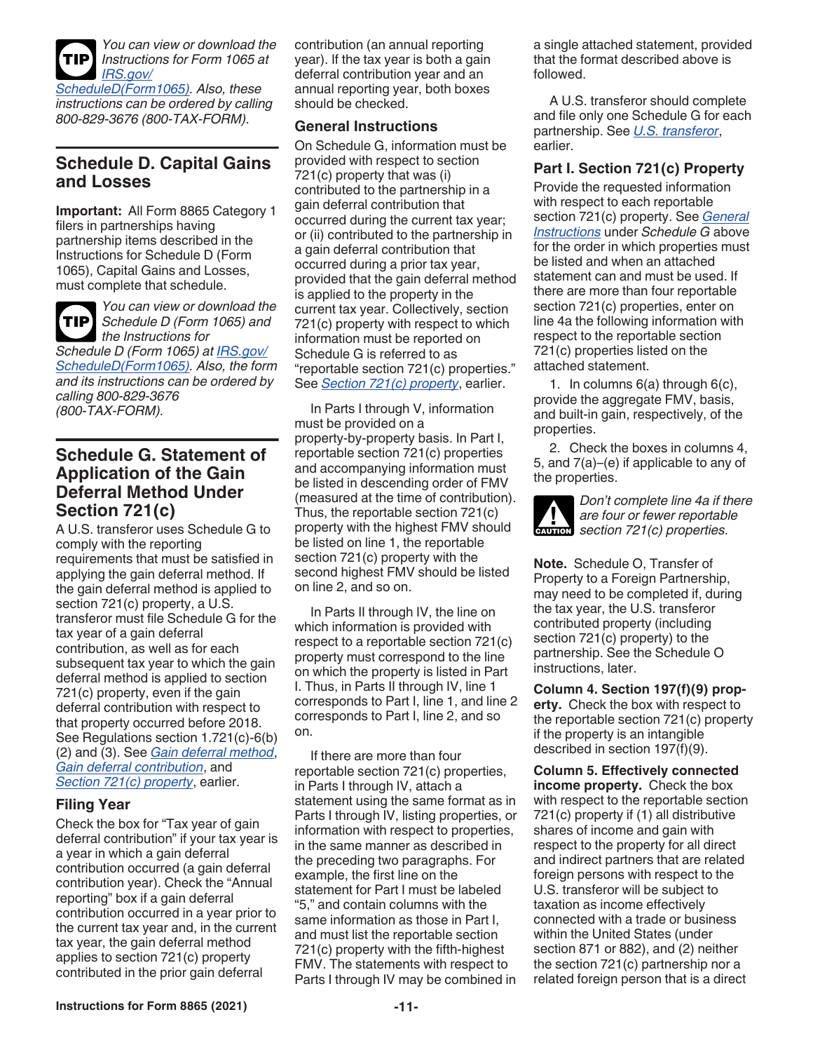

*You can view or download the Instructions for Form 1065 at [IRS.gov/](https://www.irs.gov/forms-pubs/about-schedule-d-form-1065)*

*[ScheduleD\(Form1065\).](https://www.irs.gov/forms-pubs/about-schedule-d-form-1065) Also, these instructions can be ordered by calling 800-829-3676 (800-TAX-FORM).*

# **Schedule D. Capital Gains and Losses**

**Important:** All Form 8865 Category 1 filers in partnerships having partnership items described in the Instructions for Schedule D (Form 1065), Capital Gains and Losses, must complete that schedule.



*You can view or download the Schedule D (Form 1065) and*  **TIP** *the Instructions for Schedule D (Form 1065) at [IRS.gov/](https://www.irs.gov/forms-pubs/about-schedule-d-form-1065)*

*[ScheduleD\(Form1065\).](https://www.irs.gov/forms-pubs/about-schedule-d-form-1065) Also, the form and its instructions can be ordered by calling 800-829-3676 (800-TAX-FORM).*

# **Schedule G. Statement of Application of the Gain Deferral Method Under Section 721(c)**

A U.S. transferor uses Schedule G to comply with the reporting requirements that must be satisfied in applying the gain deferral method. If the gain deferral method is applied to section 721(c) property, a U.S. transferor must file Schedule G for the tax year of a gain deferral contribution, as well as for each subsequent tax year to which the gain deferral method is applied to section 721(c) property, even if the gain deferral contribution with respect to that property occurred before 2018. See Regulations section 1.721(c)-6(b) (2) and (3). See *Gain deferral method*, *Gain deferral contribution*, and *Section 721(c) property*, earlier.

#### **Filing Year**

Check the box for "Tax year of gain deferral contribution" if your tax year is a year in which a gain deferral contribution occurred (a gain deferral contribution year). Check the "Annual reporting" box if a gain deferral contribution occurred in a year prior to the current tax year and, in the current tax year, the gain deferral method applies to section 721(c) property contributed in the prior gain deferral

contribution (an annual reporting year). If the tax year is both a gain deferral contribution year and an annual reporting year, both boxes should be checked.

#### **General Instructions**

On Schedule G, information must be provided with respect to section 721(c) property that was (i) contributed to the partnership in a gain deferral contribution that occurred during the current tax year; or (ii) contributed to the partnership in a gain deferral contribution that occurred during a prior tax year, provided that the gain deferral method is applied to the property in the current tax year. Collectively, section 721(c) property with respect to which information must be reported on Schedule G is referred to as "reportable section 721(c) properties." See *Section 721(c) property*, earlier.

In Parts I through V, information must be provided on a property-by-property basis. In Part I, reportable section 721(c) properties and accompanying information must be listed in descending order of FMV (measured at the time of contribution). Thus, the reportable section 721(c) property with the highest FMV should be listed on line 1, the reportable section 721(c) property with the second highest FMV should be listed on line 2, and so on.

In Parts II through IV, the line on which information is provided with respect to a reportable section 721(c) property must correspond to the line on which the property is listed in Part I. Thus, in Parts II through IV, line 1 corresponds to Part I, line 1, and line 2 corresponds to Part I, line 2, and so on.

If there are more than four reportable section 721(c) properties, in Parts I through IV, attach a statement using the same format as in Parts I through IV, listing properties, or information with respect to properties, in the same manner as described in the preceding two paragraphs. For example, the first line on the statement for Part I must be labeled "5," and contain columns with the same information as those in Part I, and must list the reportable section 721(c) property with the fifth-highest FMV. The statements with respect to Parts I through IV may be combined in a single attached statement, provided that the format described above is followed.

A U.S. transferor should complete and file only one Schedule G for each partnership. See *U.S. transferor*, earlier.

## **Part I. Section 721(c) Property**

Provide the requested information with respect to each reportable section 721(c) property. See *General Instructions* under *Schedule G* above for the order in which properties must be listed and when an attached statement can and must be used. If there are more than four reportable section 721(c) properties, enter on line 4a the following information with respect to the reportable section 721(c) properties listed on the attached statement.

1. In columns 6(a) through 6(c), provide the aggregate FMV, basis, and built-in gain, respectively, of the properties.

2. Check the boxes in columns 4, 5, and 7(a)–(e) if applicable to any of the properties.

*Don't complete line 4a if there are four or fewer reportable*  **dec** are four or fewer reportable<br>
section 721(c) properties.

**Note.** Schedule O, Transfer of Property to a Foreign Partnership, may need to be completed if, during the tax year, the U.S. transferor contributed property (including section 721(c) property) to the partnership. See the Schedule O instructions, later.

**Column 4. Section 197(f)(9) property.** Check the box with respect to the reportable section 721(c) property if the property is an intangible described in section 197(f)(9).

**Column 5. Effectively connected income property.** Check the box with respect to the reportable section 721(c) property if (1) all distributive shares of income and gain with respect to the property for all direct and indirect partners that are related foreign persons with respect to the U.S. transferor will be subject to taxation as income effectively connected with a trade or business within the United States (under section 871 or 882), and (2) neither the section 721(c) partnership nor a related foreign person that is a direct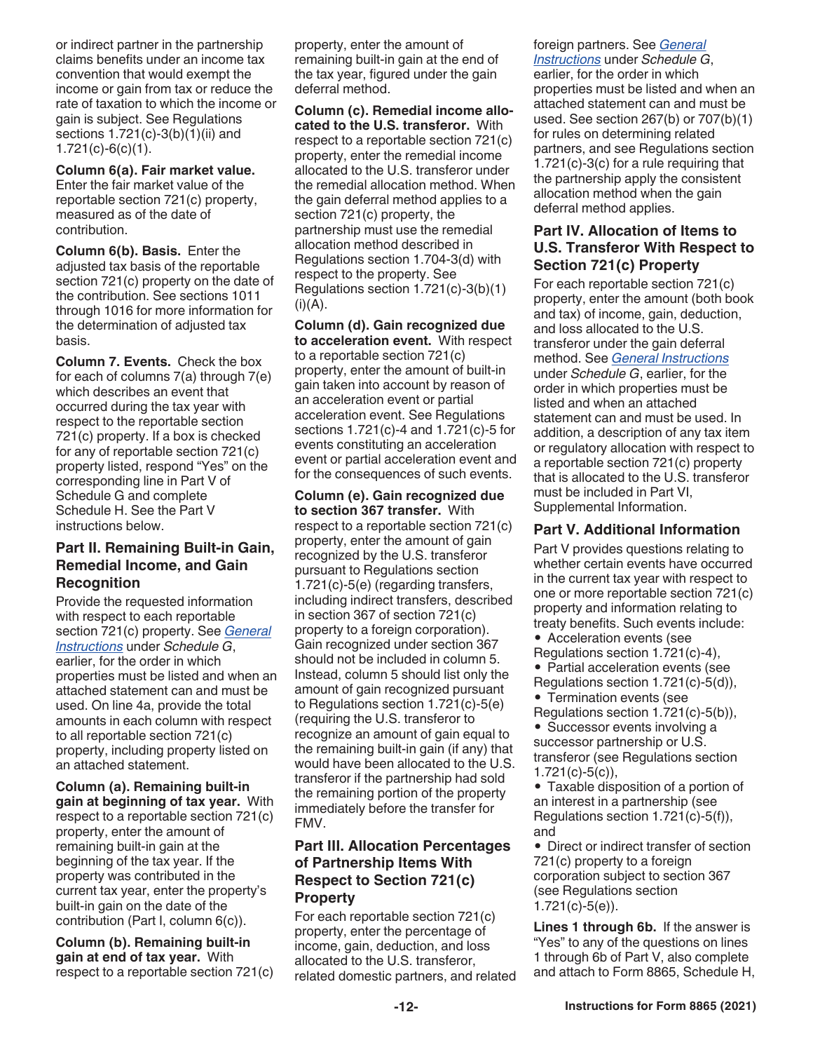or indirect partner in the partnership claims benefits under an income tax convention that would exempt the income or gain from tax or reduce the rate of taxation to which the income or gain is subject. See Regulations sections 1.721(c)-3(b)(1)(ii) and 1.721(c)-6(c)(1).

**Column 6(a). Fair market value.**  Enter the fair market value of the reportable section 721(c) property, measured as of the date of contribution.

**Column 6(b). Basis.** Enter the adjusted tax basis of the reportable section 721(c) property on the date of the contribution. See sections 1011 through 1016 for more information for the determination of adjusted tax basis.

**Column 7. Events.** Check the box for each of columns 7(a) through 7(e) which describes an event that occurred during the tax year with respect to the reportable section 721(c) property. If a box is checked for any of reportable section 721(c) property listed, respond "Yes" on the corresponding line in Part V of Schedule G and complete Schedule H. See the Part V instructions below.

#### **Part II. Remaining Built-in Gain, Remedial Income, and Gain Recognition**

Provide the requested information with respect to each reportable section 721(c) property. See *General Instructions* under *Schedule G*, earlier, for the order in which properties must be listed and when an attached statement can and must be used. On line 4a, provide the total amounts in each column with respect to all reportable section 721(c) property, including property listed on an attached statement.

**Column (a). Remaining built-in gain at beginning of tax year.** With respect to a reportable section 721(c) property, enter the amount of remaining built-in gain at the beginning of the tax year. If the property was contributed in the current tax year, enter the property's built-in gain on the date of the contribution (Part I, column 6(c)).

**Column (b). Remaining built-in gain at end of tax year.** With respect to a reportable section 721(c) property, enter the amount of remaining built-in gain at the end of the tax year, figured under the gain deferral method.

**Column (c). Remedial income allocated to the U.S. transferor.** With respect to a reportable section 721(c) property, enter the remedial income allocated to the U.S. transferor under the remedial allocation method. When the gain deferral method applies to a section 721(c) property, the partnership must use the remedial allocation method described in Regulations section 1.704-3(d) with respect to the property. See Regulations section 1.721(c)-3(b)(1)  $(i)(A)$ .

**Column (d). Gain recognized due to acceleration event.** With respect to a reportable section 721(c) property, enter the amount of built-in gain taken into account by reason of an acceleration event or partial acceleration event. See Regulations sections 1.721(c)-4 and 1.721(c)-5 for events constituting an acceleration event or partial acceleration event and for the consequences of such events.

**Column (e). Gain recognized due to section 367 transfer.** With respect to a reportable section 721(c) property, enter the amount of gain recognized by the U.S. transferor pursuant to Regulations section 1.721(c)-5(e) (regarding transfers, including indirect transfers, described in section 367 of section 721(c) property to a foreign corporation). Gain recognized under section 367 should not be included in column 5. Instead, column 5 should list only the amount of gain recognized pursuant to Regulations section 1.721(c)-5(e) (requiring the U.S. transferor to recognize an amount of gain equal to the remaining built-in gain (if any) that would have been allocated to the U.S. transferor if the partnership had sold the remaining portion of the property immediately before the transfer for FMV.

## **Part III. Allocation Percentages of Partnership Items With Respect to Section 721(c) Property**

For each reportable section 721(c) property, enter the percentage of income, gain, deduction, and loss allocated to the U.S. transferor, related domestic partners, and related

# foreign partners. See *General*

*Instructions* under *Schedule G*, earlier, for the order in which properties must be listed and when an attached statement can and must be used. See section 267(b) or 707(b)(1) for rules on determining related partners, and see Regulations section 1.721(c)-3(c) for a rule requiring that the partnership apply the consistent allocation method when the gain deferral method applies.

## **Part IV. Allocation of Items to U.S. Transferor With Respect to Section 721(c) Property**

For each reportable section 721(c) property, enter the amount (both book and tax) of income, gain, deduction, and loss allocated to the U.S. transferor under the gain deferral method. See *General Instructions*  under *Schedule G*, earlier, for the order in which properties must be listed and when an attached statement can and must be used. In addition, a description of any tax item or regulatory allocation with respect to a reportable section 721(c) property that is allocated to the U.S. transferor must be included in Part VI, Supplemental Information.

## **Part V. Additional Information**

Part V provides questions relating to whether certain events have occurred in the current tax year with respect to one or more reportable section 721(c) property and information relating to treaty benefits. Such events include:

- Acceleration events (see
- Regulations section 1.721(c)-4),

• Partial acceleration events (see Regulations section 1.721(c)-5(d)),

- Termination events (see
- Regulations section 1.721(c)-5(b)),

• Successor events involving a successor partnership or U.S. transferor (see Regulations section 1.721(c)-5(c)),

• Taxable disposition of a portion of an interest in a partnership (see Regulations section 1.721(c)-5(f)), and

• Direct or indirect transfer of section 721(c) property to a foreign corporation subject to section 367 (see Regulations section 1.721(c)-5(e)).

**Lines 1 through 6b.** If the answer is "Yes" to any of the questions on lines 1 through 6b of Part V, also complete and attach to Form 8865, Schedule H,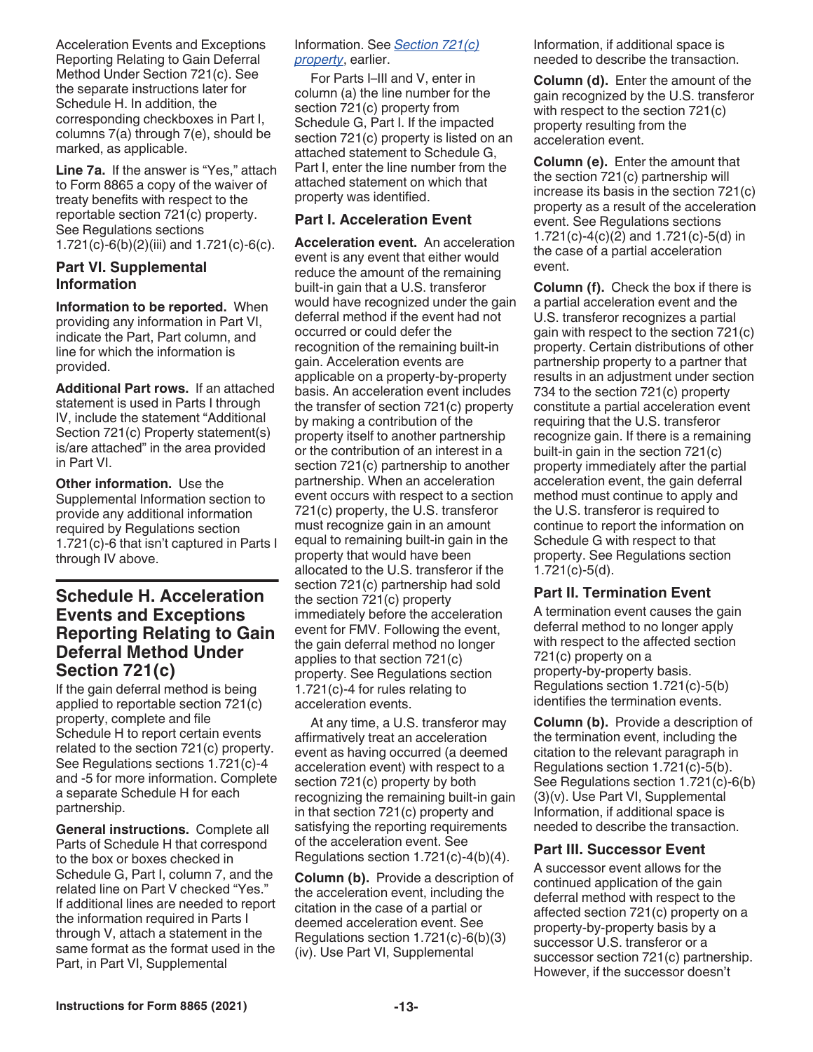Acceleration Events and Exceptions Reporting Relating to Gain Deferral Method Under Section 721(c). See the separate instructions later for Schedule H. In addition, the corresponding checkboxes in Part I, columns 7(a) through 7(e), should be marked, as applicable.

**Line 7a.** If the answer is "Yes," attach to Form 8865 a copy of the waiver of treaty benefits with respect to the reportable section 721(c) property. See Regulations sections 1.721(c)-6(b)(2)(iii) and 1.721(c)-6(c).

#### **Part VI. Supplemental Information**

**Information to be reported.** When providing any information in Part VI, indicate the Part, Part column, and line for which the information is provided.

**Additional Part rows.** If an attached statement is used in Parts I through IV, include the statement "Additional Section 721(c) Property statement(s) is/are attached" in the area provided in Part VI.

**Other information.** Use the Supplemental Information section to provide any additional information required by Regulations section 1.721(c)-6 that isn't captured in Parts I through IV above.

# **Schedule H. Acceleration Events and Exceptions Reporting Relating to Gain Deferral Method Under Section 721(c)**

If the gain deferral method is being applied to reportable section 721(c) property, complete and file Schedule H to report certain events related to the section 721(c) property. See Regulations sections 1.721(c)-4 and -5 for more information. Complete a separate Schedule H for each partnership.

**General instructions.** Complete all Parts of Schedule H that correspond to the box or boxes checked in Schedule G, Part I, column 7, and the related line on Part V checked "Yes." If additional lines are needed to report the information required in Parts I through V, attach a statement in the same format as the format used in the Part, in Part VI, Supplemental

#### Information. See *Section 721(c) property*, earlier.

For Parts I–III and V, enter in column (a) the line number for the section 721(c) property from Schedule G, Part I. If the impacted section 721(c) property is listed on an attached statement to Schedule G, Part I, enter the line number from the attached statement on which that property was identified.

#### **Part I. Acceleration Event**

**Acceleration event.** An acceleration event is any event that either would reduce the amount of the remaining built-in gain that a U.S. transferor would have recognized under the gain deferral method if the event had not occurred or could defer the recognition of the remaining built-in gain. Acceleration events are applicable on a property-by-property basis. An acceleration event includes the transfer of section 721(c) property by making a contribution of the property itself to another partnership or the contribution of an interest in a section 721(c) partnership to another partnership. When an acceleration event occurs with respect to a section 721(c) property, the U.S. transferor must recognize gain in an amount equal to remaining built-in gain in the property that would have been allocated to the U.S. transferor if the section 721(c) partnership had sold the section 721(c) property immediately before the acceleration event for FMV. Following the event, the gain deferral method no longer applies to that section 721(c) property. See Regulations section 1.721(c)-4 for rules relating to acceleration events.

At any time, a U.S. transferor may affirmatively treat an acceleration event as having occurred (a deemed acceleration event) with respect to a section 721(c) property by both recognizing the remaining built-in gain in that section 721(c) property and satisfying the reporting requirements of the acceleration event. See Regulations section 1.721(c)-4(b)(4).

**Column (b).** Provide a description of the acceleration event, including the citation in the case of a partial or deemed acceleration event. See Regulations section 1.721(c)-6(b)(3) (iv). Use Part VI, Supplemental

Information, if additional space is needed to describe the transaction.

**Column (d).** Enter the amount of the gain recognized by the U.S. transferor with respect to the section 721(c) property resulting from the acceleration event.

**Column (e).** Enter the amount that the section 721(c) partnership will increase its basis in the section 721(c) property as a result of the acceleration event. See Regulations sections 1.721(c)-4(c)(2) and 1.721(c)-5(d) in the case of a partial acceleration event.

**Column (f).** Check the box if there is a partial acceleration event and the U.S. transferor recognizes a partial gain with respect to the section 721(c) property. Certain distributions of other partnership property to a partner that results in an adjustment under section 734 to the section 721(c) property constitute a partial acceleration event requiring that the U.S. transferor recognize gain. If there is a remaining built-in gain in the section 721(c) property immediately after the partial acceleration event, the gain deferral method must continue to apply and the U.S. transferor is required to continue to report the information on Schedule G with respect to that property. See Regulations section 1.721(c)-5(d).

#### **Part II. Termination Event**

A termination event causes the gain deferral method to no longer apply with respect to the affected section 721(c) property on a property-by-property basis. Regulations section 1.721(c)-5(b) identifies the termination events.

**Column (b).** Provide a description of the termination event, including the citation to the relevant paragraph in Regulations section 1.721(c)-5(b). See Regulations section 1.721(c)-6(b) (3)(v). Use Part VI, Supplemental Information, if additional space is needed to describe the transaction.

## **Part III. Successor Event**

A successor event allows for the continued application of the gain deferral method with respect to the affected section 721(c) property on a property-by-property basis by a successor U.S. transferor or a successor section 721(c) partnership. However, if the successor doesn't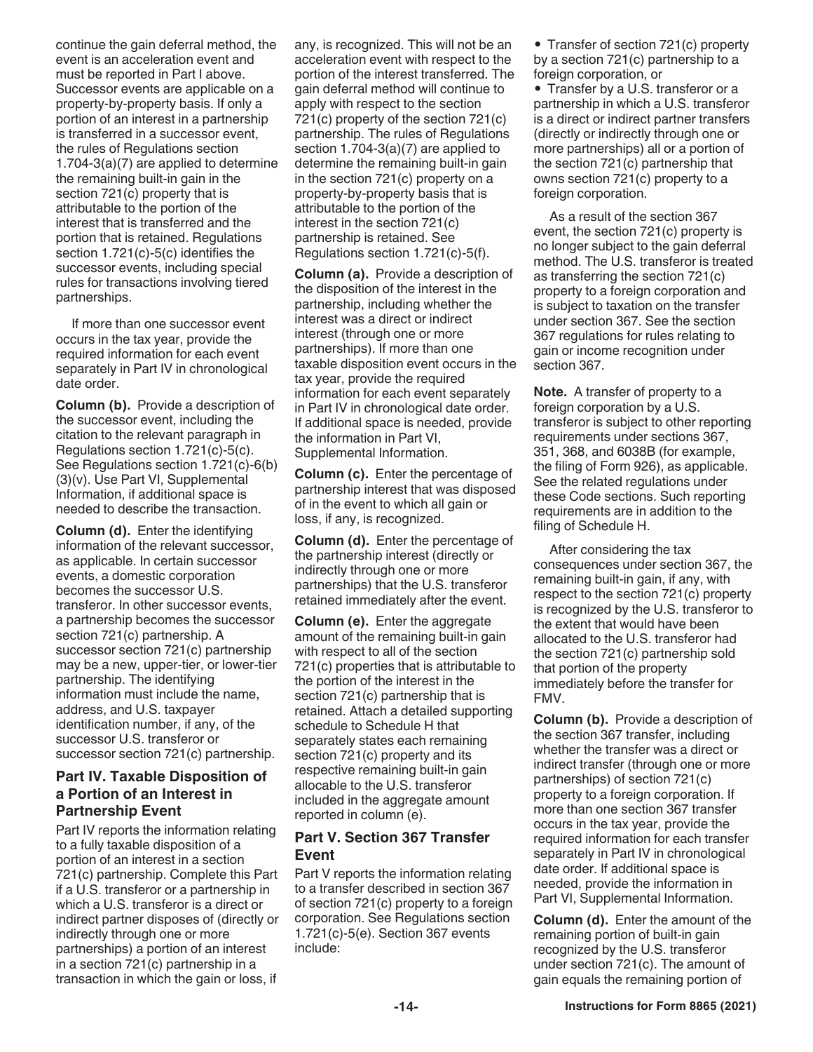continue the gain deferral method, the event is an acceleration event and must be reported in Part I above. Successor events are applicable on a property-by-property basis. If only a portion of an interest in a partnership is transferred in a successor event, the rules of Regulations section 1.704-3(a)(7) are applied to determine the remaining built-in gain in the section 721(c) property that is attributable to the portion of the interest that is transferred and the portion that is retained. Regulations section 1.721(c)-5(c) identifies the successor events, including special rules for transactions involving tiered partnerships.

If more than one successor event occurs in the tax year, provide the required information for each event separately in Part IV in chronological date order.

**Column (b).** Provide a description of the successor event, including the citation to the relevant paragraph in Regulations section 1.721(c)-5(c). See Regulations section 1.721(c)-6(b) (3)(v). Use Part VI, Supplemental Information, if additional space is needed to describe the transaction.

**Column (d).** Enter the identifying information of the relevant successor, as applicable. In certain successor events, a domestic corporation becomes the successor U.S. transferor. In other successor events, a partnership becomes the successor section 721(c) partnership. A successor section 721(c) partnership may be a new, upper-tier, or lower-tier partnership. The identifying information must include the name, address, and U.S. taxpayer identification number, if any, of the successor U.S. transferor or successor section 721(c) partnership.

#### **Part IV. Taxable Disposition of a Portion of an Interest in Partnership Event**

Part IV reports the information relating to a fully taxable disposition of a portion of an interest in a section 721(c) partnership. Complete this Part if a U.S. transferor or a partnership in which a U.S. transferor is a direct or indirect partner disposes of (directly or indirectly through one or more partnerships) a portion of an interest in a section 721(c) partnership in a transaction in which the gain or loss, if

any, is recognized. This will not be an acceleration event with respect to the portion of the interest transferred. The gain deferral method will continue to apply with respect to the section 721(c) property of the section 721(c) partnership. The rules of Regulations section 1.704-3(a)(7) are applied to determine the remaining built-in gain in the section 721(c) property on a property-by-property basis that is attributable to the portion of the interest in the section 721(c) partnership is retained. See Regulations section 1.721(c)-5(f).

**Column (a).** Provide a description of the disposition of the interest in the partnership, including whether the interest was a direct or indirect interest (through one or more partnerships). If more than one taxable disposition event occurs in the tax year, provide the required information for each event separately in Part IV in chronological date order. If additional space is needed, provide the information in Part VI, Supplemental Information.

**Column (c).** Enter the percentage of partnership interest that was disposed of in the event to which all gain or loss, if any, is recognized.

**Column (d).** Enter the percentage of the partnership interest (directly or indirectly through one or more partnerships) that the U.S. transferor retained immediately after the event.

**Column (e).** Enter the aggregate amount of the remaining built-in gain with respect to all of the section 721(c) properties that is attributable to the portion of the interest in the section 721(c) partnership that is retained. Attach a detailed supporting schedule to Schedule H that separately states each remaining section 721(c) property and its respective remaining built-in gain allocable to the U.S. transferor included in the aggregate amount reported in column (e).

## **Part V. Section 367 Transfer Event**

Part V reports the information relating to a transfer described in section 367 of section 721(c) property to a foreign corporation. See Regulations section 1.721(c)-5(e). Section 367 events include:

• Transfer of section 721(c) property by a section 721(c) partnership to a foreign corporation, or

• Transfer by a U.S. transferor or a partnership in which a U.S. transferor is a direct or indirect partner transfers (directly or indirectly through one or more partnerships) all or a portion of the section 721(c) partnership that owns section 721(c) property to a foreign corporation.

As a result of the section 367 event, the section 721(c) property is no longer subject to the gain deferral method. The U.S. transferor is treated as transferring the section 721(c) property to a foreign corporation and is subject to taxation on the transfer under section 367. See the section 367 regulations for rules relating to gain or income recognition under section 367.

**Note.** A transfer of property to a foreign corporation by a U.S. transferor is subject to other reporting requirements under sections 367, 351, 368, and 6038B (for example, the filing of Form 926), as applicable. See the related regulations under these Code sections. Such reporting requirements are in addition to the filing of Schedule H.

After considering the tax consequences under section 367, the remaining built-in gain, if any, with respect to the section 721(c) property is recognized by the U.S. transferor to the extent that would have been allocated to the U.S. transferor had the section 721(c) partnership sold that portion of the property immediately before the transfer for FMV.

**Column (b).** Provide a description of the section 367 transfer, including whether the transfer was a direct or indirect transfer (through one or more partnerships) of section 721(c) property to a foreign corporation. If more than one section 367 transfer occurs in the tax year, provide the required information for each transfer separately in Part IV in chronological date order. If additional space is needed, provide the information in Part VI, Supplemental Information.

**Column (d).** Enter the amount of the remaining portion of built-in gain recognized by the U.S. transferor under section 721(c). The amount of gain equals the remaining portion of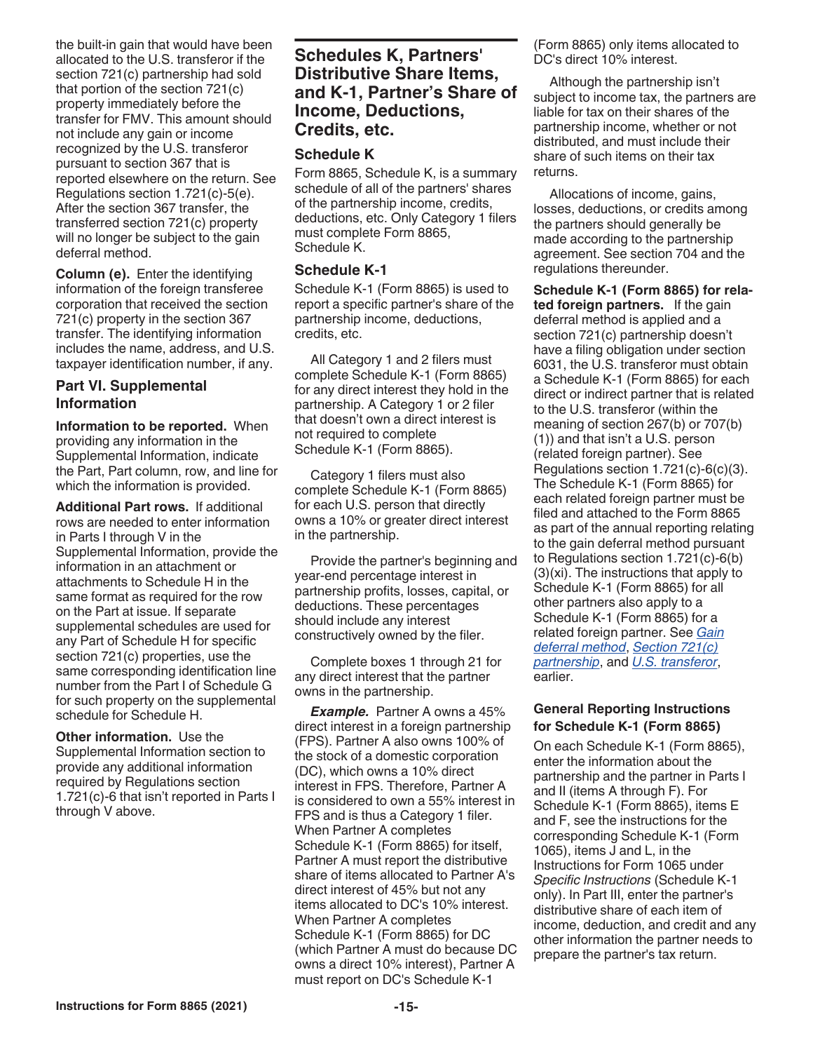the built-in gain that would have been allocated to the U.S. transferor if the section 721(c) partnership had sold that portion of the section 721(c) property immediately before the transfer for FMV. This amount should not include any gain or income recognized by the U.S. transferor pursuant to section 367 that is reported elsewhere on the return. See Regulations section 1.721(c)-5(e). After the section 367 transfer, the transferred section 721(c) property will no longer be subject to the gain deferral method.

**Column (e).** Enter the identifying information of the foreign transferee corporation that received the section 721(c) property in the section 367 transfer. The identifying information includes the name, address, and U.S. taxpayer identification number, if any.

#### **Part VI. Supplemental Information**

**Information to be reported.** When providing any information in the Supplemental Information, indicate the Part, Part column, row, and line for which the information is provided.

**Additional Part rows.** If additional rows are needed to enter information in Parts I through V in the Supplemental Information, provide the information in an attachment or attachments to Schedule H in the same format as required for the row on the Part at issue. If separate supplemental schedules are used for any Part of Schedule H for specific section 721(c) properties, use the same corresponding identification line number from the Part I of Schedule G for such property on the supplemental schedule for Schedule H.

**Other information.** Use the Supplemental Information section to provide any additional information required by Regulations section 1.721(c)-6 that isn't reported in Parts I through V above.

# **Schedules K, Partners' Distributive Share Items, and K-1, Partner's Share of Income, Deductions, Credits, etc.**

#### **Schedule K**

Form 8865, Schedule K, is a summary schedule of all of the partners' shares of the partnership income, credits, deductions, etc. Only Category 1 filers must complete Form 8865, Schedule K.

#### **Schedule K-1**

Schedule K-1 (Form 8865) is used to report a specific partner's share of the partnership income, deductions, credits, etc.

All Category 1 and 2 filers must complete Schedule K-1 (Form 8865) for any direct interest they hold in the partnership. A Category 1 or 2 filer that doesn't own a direct interest is not required to complete Schedule K-1 (Form 8865).

Category 1 filers must also complete Schedule K-1 (Form 8865) for each U.S. person that directly owns a 10% or greater direct interest in the partnership.

Provide the partner's beginning and year-end percentage interest in partnership profits, losses, capital, or deductions. These percentages should include any interest constructively owned by the filer.

Complete boxes 1 through 21 for any direct interest that the partner owns in the partnership.

*Example.* Partner A owns a 45% direct interest in a foreign partnership (FPS). Partner A also owns 100% of the stock of a domestic corporation (DC), which owns a 10% direct interest in FPS. Therefore, Partner A is considered to own a 55% interest in FPS and is thus a Category 1 filer. When Partner A completes Schedule K-1 (Form 8865) for itself, Partner A must report the distributive share of items allocated to Partner A's direct interest of 45% but not any items allocated to DC's 10% interest. When Partner A completes Schedule K-1 (Form 8865) for DC (which Partner A must do because DC owns a direct 10% interest), Partner A must report on DC's Schedule K-1

(Form 8865) only items allocated to DC's direct 10% interest.

Although the partnership isn't subject to income tax, the partners are liable for tax on their shares of the partnership income, whether or not distributed, and must include their share of such items on their tax returns.

Allocations of income, gains, losses, deductions, or credits among the partners should generally be made according to the partnership agreement. See section 704 and the regulations thereunder.

**Schedule K-1 (Form 8865) for related foreign partners.** If the gain deferral method is applied and a section 721(c) partnership doesn't have a filing obligation under section 6031, the U.S. transferor must obtain a Schedule K-1 (Form 8865) for each direct or indirect partner that is related to the U.S. transferor (within the meaning of section 267(b) or 707(b) (1)) and that isn't a U.S. person (related foreign partner). See Regulations section 1.721(c)-6(c)(3). The Schedule K-1 (Form 8865) for each related foreign partner must be filed and attached to the Form 8865 as part of the annual reporting relating to the gain deferral method pursuant to Regulations section 1.721(c)-6(b) (3)(xi). The instructions that apply to Schedule K-1 (Form 8865) for all other partners also apply to a Schedule K-1 (Form 8865) for a related foreign partner. See *Gain deferral method*, *Section 721(c) partnership*, and *U.S. transferor*, earlier.

#### **General Reporting Instructions for Schedule K-1 (Form 8865)**

On each Schedule K-1 (Form 8865), enter the information about the partnership and the partner in Parts I and II (items A through F). For Schedule K-1 (Form 8865), items E and F, see the instructions for the corresponding Schedule K-1 (Form 1065), items J and L, in the Instructions for Form 1065 under *Specific Instructions* (Schedule K-1 only). In Part III, enter the partner's distributive share of each item of income, deduction, and credit and any other information the partner needs to prepare the partner's tax return.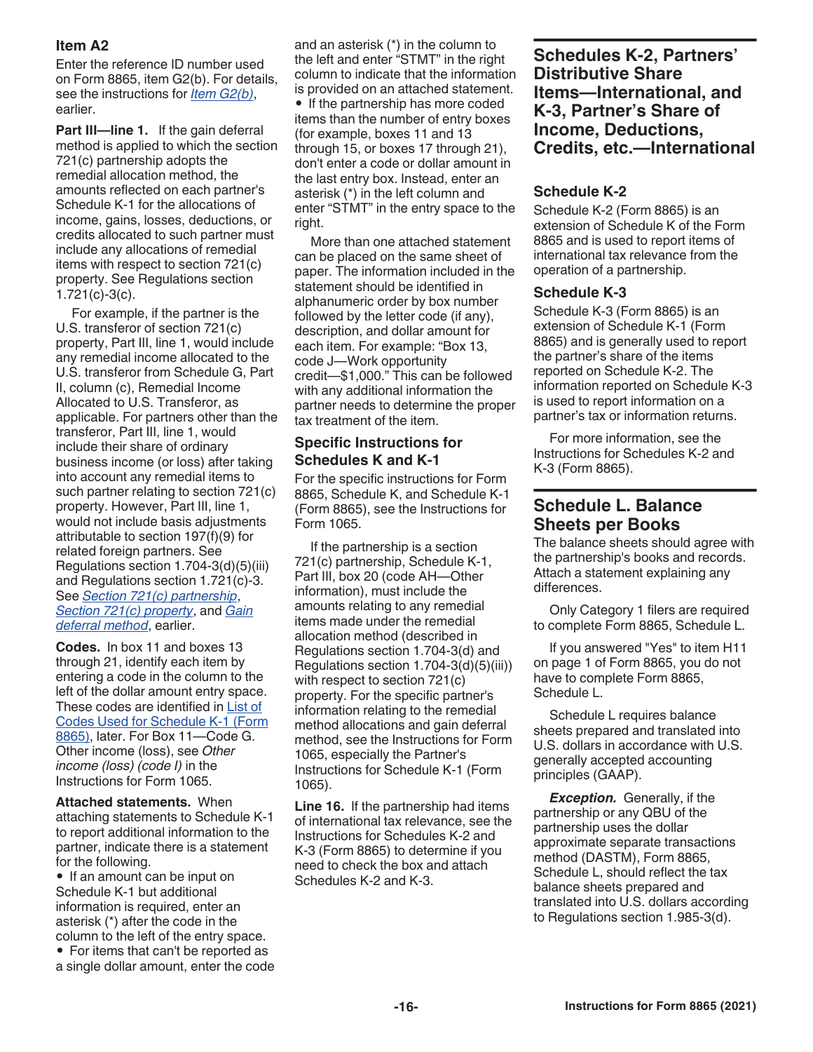## **Item A2**

Enter the reference ID number used on Form 8865, item G2(b). For details, see the instructions for *Item G2(b)*, earlier.

**Part III—line 1.** If the gain deferral method is applied to which the section 721(c) partnership adopts the remedial allocation method, the amounts reflected on each partner's Schedule K-1 for the allocations of income, gains, losses, deductions, or credits allocated to such partner must include any allocations of remedial items with respect to section 721(c) property. See Regulations section 1.721(c)-3(c).

For example, if the partner is the U.S. transferor of section 721(c) property, Part III, line 1, would include any remedial income allocated to the U.S. transferor from Schedule G, Part II, column (c), Remedial Income Allocated to U.S. Transferor, as applicable. For partners other than the transferor, Part III, line 1, would include their share of ordinary business income (or loss) after taking into account any remedial items to such partner relating to section 721(c) property. However, Part III, line 1, would not include basis adjustments attributable to section 197(f)(9) for related foreign partners. See Regulations section 1.704-3(d)(5)(iii) and Regulations section 1.721(c)-3. See *Section 721(c) partnership*, *Section 721(c) property*, and *Gain deferral method*, earlier.

**Codes.** In box 11 and boxes 13 through 21, identify each item by entering a code in the column to the left of the dollar amount entry space. These codes are identified in List of Codes Used for Schedule K-1 (Form 8865), later. For Box 11—Code G. Other income (loss), see *Other income (loss) (code I)* in the Instructions for Form 1065.

**Attached statements.** When attaching statements to Schedule K-1 to report additional information to the partner, indicate there is a statement for the following.

• If an amount can be input on Schedule K-1 but additional information is required, enter an asterisk (\*) after the code in the column to the left of the entry space.

• For items that can't be reported as a single dollar amount, enter the code

and an asterisk (\*) in the column to the left and enter "STMT" in the right column to indicate that the information is provided on an attached statement. • If the partnership has more coded items than the number of entry boxes (for example, boxes 11 and 13 through 15, or boxes 17 through 21), don't enter a code or dollar amount in the last entry box. Instead, enter an asterisk (\*) in the left column and enter "STMT" in the entry space to the right.

More than one attached statement can be placed on the same sheet of paper. The information included in the statement should be identified in alphanumeric order by box number followed by the letter code (if any), description, and dollar amount for each item. For example: "Box 13, code J—Work opportunity credit—\$1,000." This can be followed with any additional information the partner needs to determine the proper tax treatment of the item.

#### **Specific Instructions for Schedules K and K-1**

For the specific instructions for Form 8865, Schedule K, and Schedule K-1 (Form 8865), see the Instructions for Form 1065.

If the partnership is a section 721(c) partnership, Schedule K-1, Part III, box 20 (code AH—Other information), must include the amounts relating to any remedial items made under the remedial allocation method (described in Regulations section 1.704-3(d) and Regulations section 1.704-3(d)(5)(iii)) with respect to section 721(c) property. For the specific partner's information relating to the remedial method allocations and gain deferral method, see the Instructions for Form 1065, especially the Partner's Instructions for Schedule K-1 (Form 1065).

**Line 16.** If the partnership had items of international tax relevance, see the Instructions for Schedules K-2 and K-3 (Form 8865) to determine if you need to check the box and attach Schedules K-2 and K-3.

**Schedules K-2, Partners' Distributive Share Items—International, and K-3, Partner's Share of Income, Deductions, Credits, etc.—International** 

#### **Schedule K-2**

Schedule K-2 (Form 8865) is an extension of Schedule K of the Form 8865 and is used to report items of international tax relevance from the operation of a partnership.

#### **Schedule K-3**

Schedule K-3 (Form 8865) is an extension of Schedule K-1 (Form 8865) and is generally used to report the partner's share of the items reported on Schedule K-2. The information reported on Schedule K-3 is used to report information on a partner's tax or information returns.

For more information, see the Instructions for Schedules K-2 and K-3 (Form 8865).

## **Schedule L. Balance Sheets per Books**

The balance sheets should agree with the partnership's books and records. Attach a statement explaining any differences.

Only Category 1 filers are required to complete Form 8865, Schedule L.

If you answered "Yes" to item H11 on page 1 of Form 8865, you do not have to complete Form 8865, Schedule L.

Schedule L requires balance sheets prepared and translated into U.S. dollars in accordance with U.S. generally accepted accounting principles (GAAP).

*Exception.* Generally, if the partnership or any QBU of the partnership uses the dollar approximate separate transactions method (DASTM), Form 8865, Schedule L, should reflect the tax balance sheets prepared and translated into U.S. dollars according to Regulations section 1.985-3(d).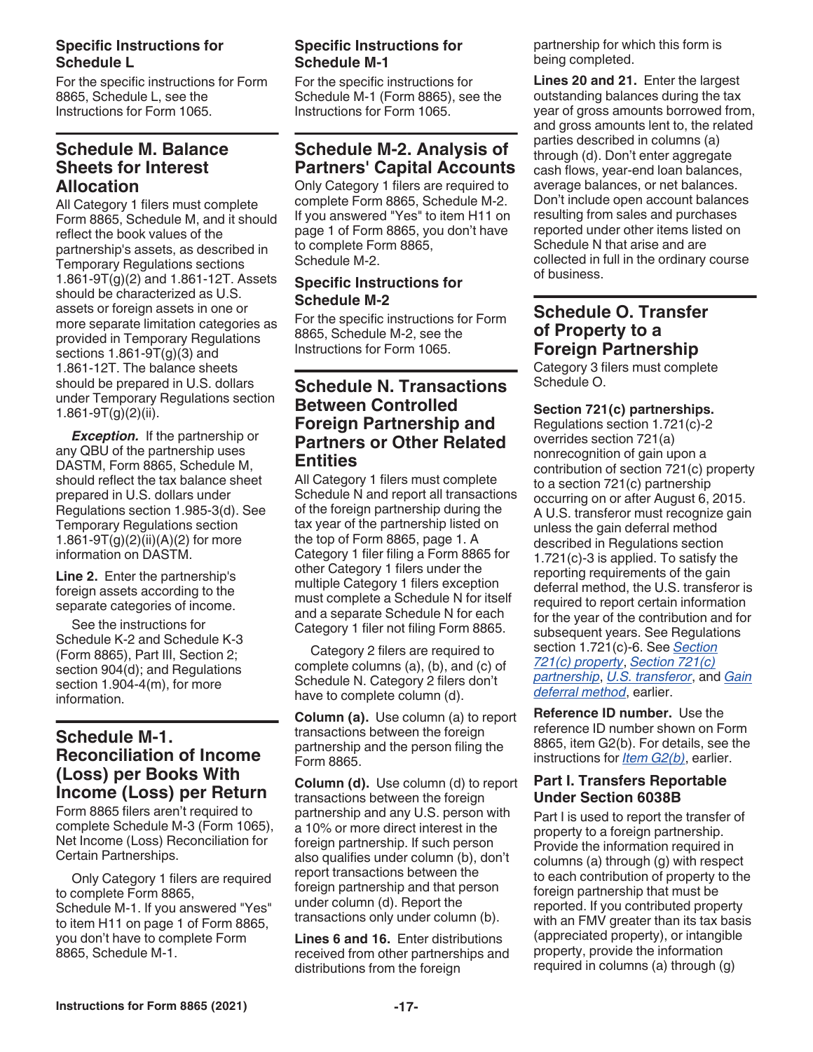#### **Specific Instructions for Schedule L**

For the specific instructions for Form 8865, Schedule L, see the Instructions for Form 1065.

# **Schedule M. Balance Sheets for Interest Allocation**

All Category 1 filers must complete Form 8865, Schedule M, and it should reflect the book values of the partnership's assets, as described in Temporary Regulations sections 1.861-9T(g)(2) and 1.861-12T. Assets should be characterized as U.S. assets or foreign assets in one or more separate limitation categories as provided in Temporary Regulations sections 1.861-9T(g)(3) and 1.861-12T. The balance sheets should be prepared in U.S. dollars under Temporary Regulations section 1.861-9T $(g)(2)(ii)$ .

*Exception.* If the partnership or any QBU of the partnership uses DASTM, Form 8865, Schedule M, should reflect the tax balance sheet prepared in U.S. dollars under Regulations section 1.985-3(d). See Temporary Regulations section 1.861-9T(g)(2)(ii)(A)(2) for more information on DASTM.

**Line 2.** Enter the partnership's foreign assets according to the separate categories of income.

See the instructions for Schedule K-2 and Schedule K-3 (Form 8865), Part III, Section 2; section 904(d); and Regulations section 1.904-4(m), for more information.

# **Schedule M-1. Reconciliation of Income (Loss) per Books With Income (Loss) per Return**

Form 8865 filers aren't required to complete Schedule M-3 (Form 1065), Net Income (Loss) Reconciliation for Certain Partnerships.

Only Category 1 filers are required to complete Form 8865, Schedule M-1. If you answered "Yes" to item H11 on page 1 of Form 8865, you don't have to complete Form 8865, Schedule M-1.

## **Specific Instructions for Schedule M-1**

For the specific instructions for Schedule M-1 (Form 8865), see the Instructions for Form 1065.

# **Schedule M-2. Analysis of Partners' Capital Accounts**

Only Category 1 filers are required to complete Form 8865, Schedule M-2. If you answered "Yes" to item H11 on page 1 of Form 8865, you don't have to complete Form 8865, Schedule M-2.

## **Specific Instructions for Schedule M-2**

For the specific instructions for Form 8865, Schedule M-2, see the Instructions for Form 1065.

# **Schedule N. Transactions Between Controlled Foreign Partnership and Partners or Other Related Entities**

All Category 1 filers must complete Schedule N and report all transactions of the foreign partnership during the tax year of the partnership listed on the top of Form 8865, page 1. A Category 1 filer filing a Form 8865 for other Category 1 filers under the multiple Category 1 filers exception must complete a Schedule N for itself and a separate Schedule N for each Category 1 filer not filing Form 8865.

Category 2 filers are required to complete columns (a), (b), and (c) of Schedule N. Category 2 filers don't have to complete column (d).

**Column (a).** Use column (a) to report transactions between the foreign partnership and the person filing the Form 8865.

**Column (d).** Use column (d) to report transactions between the foreign partnership and any U.S. person with a 10% or more direct interest in the foreign partnership. If such person also qualifies under column (b), don't report transactions between the foreign partnership and that person under column (d). Report the transactions only under column (b).

**Lines 6 and 16.** Enter distributions received from other partnerships and distributions from the foreign

partnership for which this form is being completed.

**Lines 20 and 21.** Enter the largest outstanding balances during the tax year of gross amounts borrowed from, and gross amounts lent to, the related parties described in columns (a) through (d). Don't enter aggregate cash flows, year-end loan balances, average balances, or net balances. Don't include open account balances resulting from sales and purchases reported under other items listed on Schedule N that arise and are collected in full in the ordinary course of business.

# **Schedule O. Transfer of Property to a Foreign Partnership**

Category 3 filers must complete Schedule O.

#### **Section 721(c) partnerships.**

Regulations section 1.721(c)-2 overrides section 721(a) nonrecognition of gain upon a contribution of section 721(c) property to a section 721(c) partnership occurring on or after August 6, 2015. A U.S. transferor must recognize gain unless the gain deferral method described in Regulations section 1.721(c)-3 is applied. To satisfy the reporting requirements of the gain deferral method, the U.S. transferor is required to report certain information for the year of the contribution and for subsequent years. See Regulations section 1.721(c)-6. See *Section 721(c) property*, *Section 721(c) partnership*, *U.S. transferor*, and *Gain deferral method*, earlier.

**Reference ID number.** Use the reference ID number shown on Form 8865, item G2(b). For details, see the instructions for *Item G2(b)*, earlier.

#### **Part I. Transfers Reportable Under Section 6038B**

Part I is used to report the transfer of property to a foreign partnership. Provide the information required in columns (a) through (g) with respect to each contribution of property to the foreign partnership that must be reported. If you contributed property with an FMV greater than its tax basis (appreciated property), or intangible property, provide the information required in columns (a) through (g)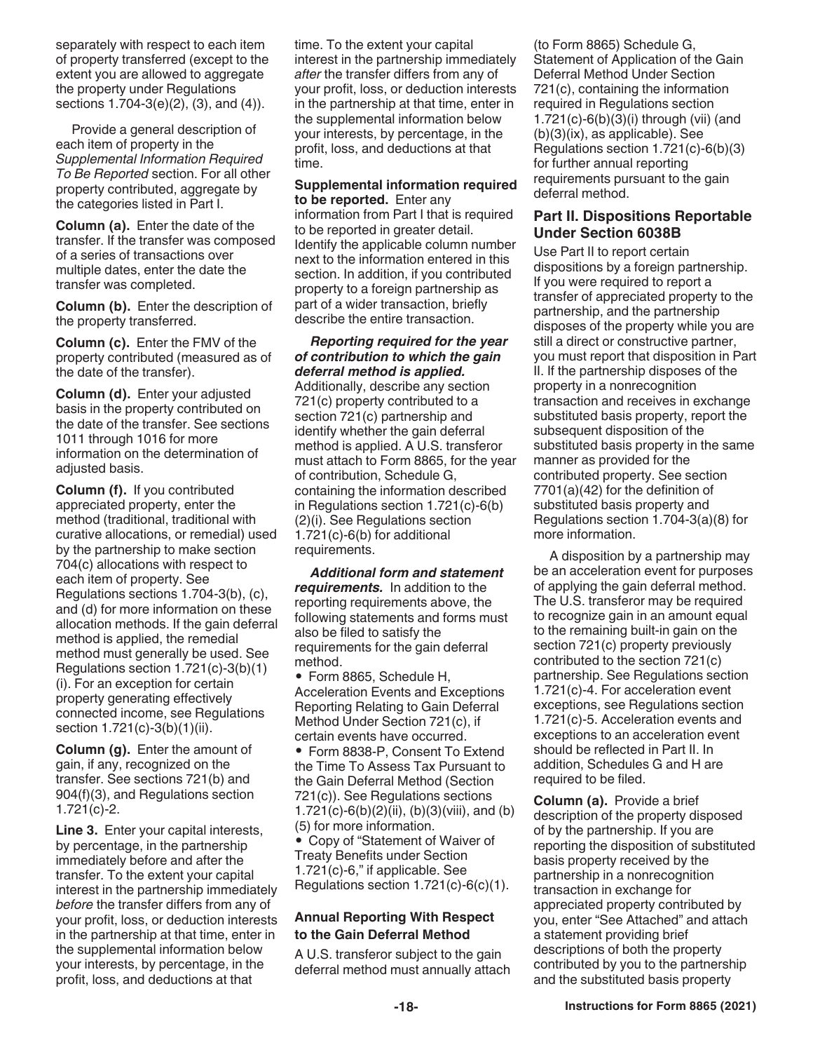separately with respect to each item of property transferred (except to the extent you are allowed to aggregate the property under Regulations sections 1.704-3(e)(2), (3), and (4)).

Provide a general description of each item of property in the *Supplemental Information Required To Be Reported* section. For all other property contributed, aggregate by the categories listed in Part I.

**Column (a).** Enter the date of the transfer. If the transfer was composed of a series of transactions over multiple dates, enter the date the transfer was completed.

**Column (b).** Enter the description of the property transferred.

**Column (c).** Enter the FMV of the property contributed (measured as of the date of the transfer).

**Column (d).** Enter your adjusted basis in the property contributed on the date of the transfer. See sections 1011 through 1016 for more information on the determination of adjusted basis.

**Column (f).** If you contributed appreciated property, enter the method (traditional, traditional with curative allocations, or remedial) used by the partnership to make section 704(c) allocations with respect to each item of property. See Regulations sections 1.704-3(b), (c), and (d) for more information on these allocation methods. If the gain deferral method is applied, the remedial method must generally be used. See Regulations section 1.721(c)-3(b)(1) (i). For an exception for certain property generating effectively connected income, see Regulations section 1.721(c)-3(b)(1)(ii).

**Column (g).** Enter the amount of gain, if any, recognized on the transfer. See sections 721(b) and 904(f)(3), and Regulations section 1.721(c)-2.

**Line 3.** Enter your capital interests, by percentage, in the partnership immediately before and after the transfer. To the extent your capital interest in the partnership immediately *before* the transfer differs from any of your profit, loss, or deduction interests in the partnership at that time, enter in the supplemental information below your interests, by percentage, in the profit, loss, and deductions at that

time. To the extent your capital interest in the partnership immediately *after* the transfer differs from any of your profit, loss, or deduction interests in the partnership at that time, enter in the supplemental information below your interests, by percentage, in the profit, loss, and deductions at that time.

**Supplemental information required to be reported.** Enter any

information from Part I that is required to be reported in greater detail. Identify the applicable column number next to the information entered in this section. In addition, if you contributed property to a foreign partnership as part of a wider transaction, briefly describe the entire transaction.

*Reporting required for the year of contribution to which the gain deferral method is applied.*  Additionally, describe any section 721(c) property contributed to a section 721(c) partnership and identify whether the gain deferral method is applied. A U.S. transferor must attach to Form 8865, for the year of contribution, Schedule G, containing the information described in Regulations section 1.721(c)-6(b) (2)(i). See Regulations section 1.721(c)-6(b) for additional requirements.

*Additional form and statement requirements.* In addition to the reporting requirements above, the following statements and forms must also be filed to satisfy the requirements for the gain deferral method.

• Form 8865, Schedule H, Acceleration Events and Exceptions Reporting Relating to Gain Deferral Method Under Section 721(c), if certain events have occurred.

• Form 8838-P, Consent To Extend the Time To Assess Tax Pursuant to the Gain Deferral Method (Section 721(c)). See Regulations sections 1.721(c)-6(b)(2)(ii), (b)(3)(viii), and (b) (5) for more information. • Copy of "Statement of Waiver of Treaty Benefits under Section 1.721(c)-6," if applicable. See Regulations section 1.721(c)-6(c)(1).

#### **Annual Reporting With Respect to the Gain Deferral Method**

A U.S. transferor subject to the gain deferral method must annually attach (to Form 8865) Schedule G, Statement of Application of the Gain Deferral Method Under Section 721(c), containing the information required in Regulations section 1.721(c)-6(b)(3)(i) through (vii) (and (b)(3)(ix), as applicable). See Regulations section 1.721(c)-6(b)(3) for further annual reporting requirements pursuant to the gain deferral method.

#### **Part II. Dispositions Reportable Under Section 6038B**

Use Part II to report certain dispositions by a foreign partnership. If you were required to report a transfer of appreciated property to the partnership, and the partnership disposes of the property while you are still a direct or constructive partner, you must report that disposition in Part II. If the partnership disposes of the property in a nonrecognition transaction and receives in exchange substituted basis property, report the subsequent disposition of the substituted basis property in the same manner as provided for the contributed property. See section 7701(a)(42) for the definition of substituted basis property and Regulations section 1.704-3(a)(8) for more information.

A disposition by a partnership may be an acceleration event for purposes of applying the gain deferral method. The U.S. transferor may be required to recognize gain in an amount equal to the remaining built-in gain on the section 721(c) property previously contributed to the section 721(c) partnership. See Regulations section 1.721(c)-4. For acceleration event exceptions, see Regulations section 1.721(c)-5. Acceleration events and exceptions to an acceleration event should be reflected in Part II. In addition, Schedules G and H are required to be filed.

**Column (a).** Provide a brief description of the property disposed of by the partnership. If you are reporting the disposition of substituted basis property received by the partnership in a nonrecognition transaction in exchange for appreciated property contributed by you, enter "See Attached" and attach a statement providing brief descriptions of both the property contributed by you to the partnership and the substituted basis property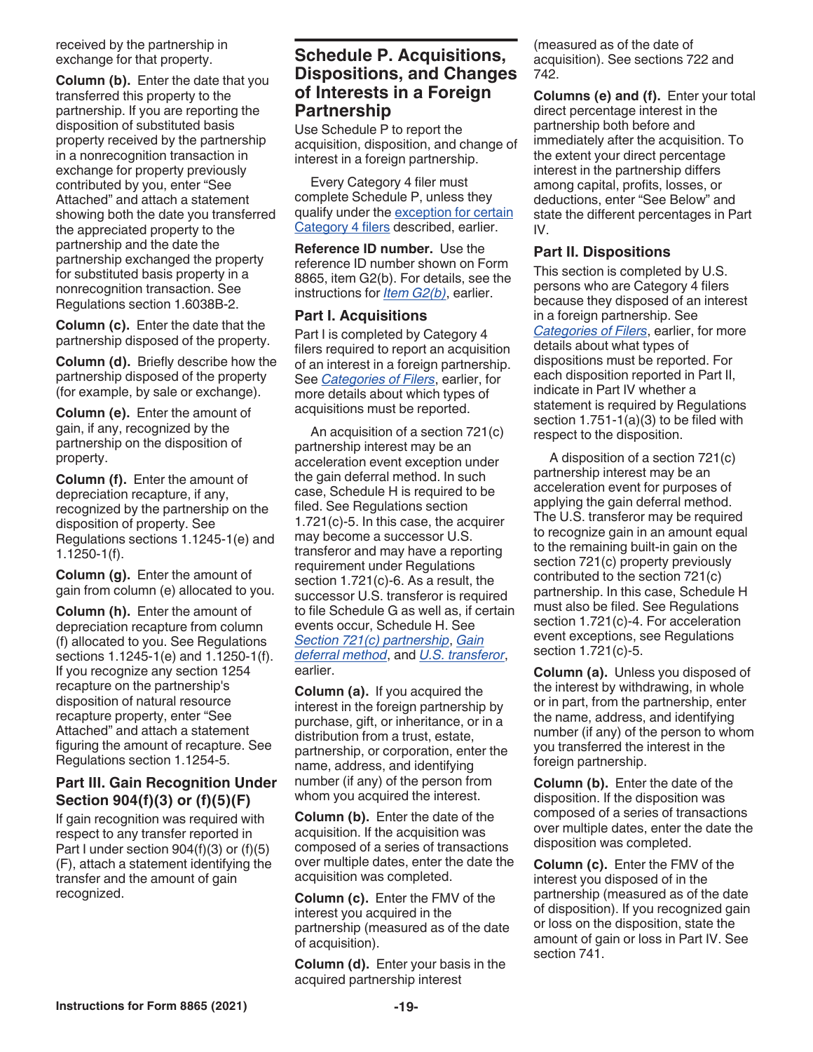received by the partnership in exchange for that property.

**Column (b).** Enter the date that you transferred this property to the partnership. If you are reporting the disposition of substituted basis property received by the partnership in a nonrecognition transaction in exchange for property previously contributed by you, enter "See Attached" and attach a statement showing both the date you transferred the appreciated property to the partnership and the date the partnership exchanged the property for substituted basis property in a nonrecognition transaction. See Regulations section 1.6038B-2.

**Column (c).** Enter the date that the partnership disposed of the property.

**Column (d).** Briefly describe how the partnership disposed of the property (for example, by sale or exchange).

**Column (e).** Enter the amount of gain, if any, recognized by the partnership on the disposition of property.

**Column (f).** Enter the amount of depreciation recapture, if any, recognized by the partnership on the disposition of property. See Regulations sections 1.1245-1(e) and 1.1250-1(f).

**Column (g).** Enter the amount of gain from column (e) allocated to you.

**Column (h).** Enter the amount of depreciation recapture from column (f) allocated to you. See Regulations sections 1.1245-1(e) and 1.1250-1(f). If you recognize any section 1254 recapture on the partnership's disposition of natural resource recapture property, enter "See Attached" and attach a statement figuring the amount of recapture. See Regulations section 1.1254-5.

#### **Part III. Gain Recognition Under Section 904(f)(3) or (f)(5)(F)**

If gain recognition was required with respect to any transfer reported in Part I under section  $904(f)(3)$  or  $(f)(5)$ (F), attach a statement identifying the transfer and the amount of gain recognized.

# **Schedule P. Acquisitions, Dispositions, and Changes of Interests in a Foreign Partnership**

Use Schedule P to report the acquisition, disposition, and change of interest in a foreign partnership.

Every Category 4 filer must complete Schedule P, unless they qualify under the exception for certain Category 4 filers described, earlier.

**Reference ID number.** Use the reference ID number shown on Form 8865, item G2(b). For details, see the instructions for *Item G2(b)*, earlier.

#### **Part I. Acquisitions**

Part I is completed by Category 4 filers required to report an acquisition of an interest in a foreign partnership. See *Categories of Filers*, earlier, for more details about which types of acquisitions must be reported.

An acquisition of a section 721(c) partnership interest may be an acceleration event exception under the gain deferral method. In such case, Schedule H is required to be filed. See Regulations section 1.721(c)-5. In this case, the acquirer may become a successor U.S. transferor and may have a reporting requirement under Regulations section 1.721(c)-6. As a result, the successor U.S. transferor is required to file Schedule G as well as, if certain events occur, Schedule H. See *Section 721(c) partnership*, *Gain deferral method*, and *U.S. transferor*, earlier.

**Column (a).** If you acquired the interest in the foreign partnership by purchase, gift, or inheritance, or in a distribution from a trust, estate, partnership, or corporation, enter the name, address, and identifying number (if any) of the person from whom you acquired the interest.

**Column (b).** Enter the date of the acquisition. If the acquisition was composed of a series of transactions over multiple dates, enter the date the acquisition was completed.

**Column (c).** Enter the FMV of the interest you acquired in the partnership (measured as of the date of acquisition).

**Column (d).** Enter your basis in the acquired partnership interest

(measured as of the date of acquisition). See sections 722 and 742.

**Columns (e) and (f).** Enter your total direct percentage interest in the partnership both before and immediately after the acquisition. To the extent your direct percentage interest in the partnership differs among capital, profits, losses, or deductions, enter "See Below" and state the different percentages in Part IV.

#### **Part II. Dispositions**

This section is completed by U.S. persons who are Category 4 filers because they disposed of an interest in a foreign partnership. See *Categories of Filers*, earlier, for more details about what types of dispositions must be reported. For each disposition reported in Part II, indicate in Part IV whether a statement is required by Regulations section 1.751-1(a)(3) to be filed with respect to the disposition.

A disposition of a section 721(c) partnership interest may be an acceleration event for purposes of applying the gain deferral method. The U.S. transferor may be required to recognize gain in an amount equal to the remaining built-in gain on the section 721(c) property previously contributed to the section 721(c) partnership. In this case, Schedule H must also be filed. See Regulations section 1.721(c)-4. For acceleration event exceptions, see Regulations section 1.721(c)-5.

**Column (a).** Unless you disposed of the interest by withdrawing, in whole or in part, from the partnership, enter the name, address, and identifying number (if any) of the person to whom you transferred the interest in the foreign partnership.

**Column (b).** Enter the date of the disposition. If the disposition was composed of a series of transactions over multiple dates, enter the date the disposition was completed.

**Column (c).** Enter the FMV of the interest you disposed of in the partnership (measured as of the date of disposition). If you recognized gain or loss on the disposition, state the amount of gain or loss in Part IV. See section 741.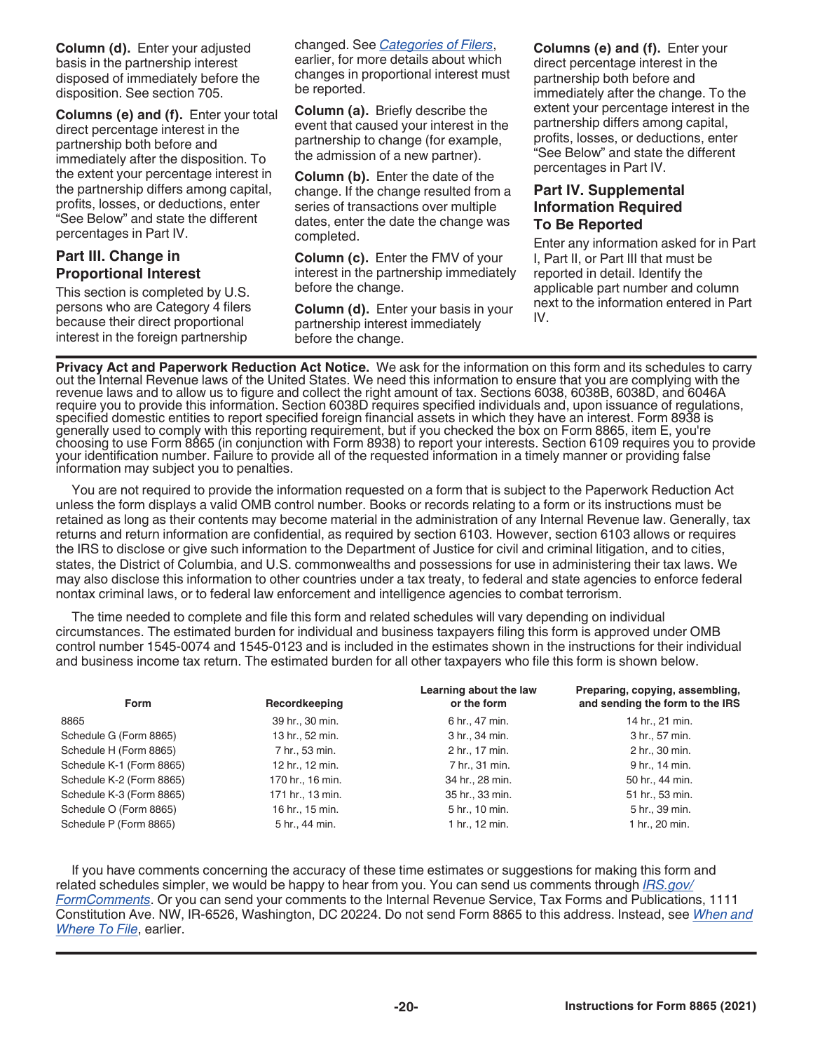**Column (d).** Enter your adjusted basis in the partnership interest disposed of immediately before the disposition. See section 705.

**Columns (e) and (f).** Enter your total direct percentage interest in the partnership both before and immediately after the disposition. To the extent your percentage interest in the partnership differs among capital, profits, losses, or deductions, enter "See Below" and state the different percentages in Part IV.

## **Part III. Change in Proportional Interest**

This section is completed by U.S. persons who are Category 4 filers because their direct proportional interest in the foreign partnership

changed. See *Categories of Filers*, earlier, for more details about which changes in proportional interest must be reported.

**Column (a).** Briefly describe the event that caused your interest in the partnership to change (for example, the admission of a new partner).

**Column (b).** Enter the date of the change. If the change resulted from a series of transactions over multiple dates, enter the date the change was completed.

**Column (c).** Enter the FMV of your interest in the partnership immediately before the change.

**Column (d).** Enter your basis in your partnership interest immediately before the change.

**Columns (e) and (f).** Enter your direct percentage interest in the partnership both before and immediately after the change. To the extent your percentage interest in the partnership differs among capital, profits, losses, or deductions, enter "See Below" and state the different percentages in Part IV.

#### **Part IV. Supplemental Information Required To Be Reported**

Enter any information asked for in Part I, Part II, or Part III that must be reported in detail. Identify the applicable part number and column next to the information entered in Part IV.

**Privacy Act and Paperwork Reduction Act Notice.** We ask for the information on this form and its schedules to carry out the Internal Revenue laws of the United States. We need this information to ensure that you are complying with the revenue laws and to allow us to figure and collect the right amount of tax. Sections 6038, 6038B, 6038D, and 6046A require you to provide this information. Section 6038D requires specified individuals and, upon issuance of regulations, specified domestic entities to report specified foreign financial assets in which they have an interest. Form 8938 is generally used to comply with this reporting requirement, but if you checked the box on Form 8865, item E, you're choosing to use Form 8865 (in conjunction with Form 8938) to report your interests. Section 6109 requires you to provide your identification number. Failure to provide all of the requested information in a timely manner or providing false information may subject you to penalties.

You are not required to provide the information requested on a form that is subject to the Paperwork Reduction Act unless the form displays a valid OMB control number. Books or records relating to a form or its instructions must be retained as long as their contents may become material in the administration of any Internal Revenue law. Generally, tax returns and return information are confidential, as required by section 6103. However, section 6103 allows or requires the IRS to disclose or give such information to the Department of Justice for civil and criminal litigation, and to cities, states, the District of Columbia, and U.S. commonwealths and possessions for use in administering their tax laws. We may also disclose this information to other countries under a tax treaty, to federal and state agencies to enforce federal nontax criminal laws, or to federal law enforcement and intelligence agencies to combat terrorism.

The time needed to complete and file this form and related schedules will vary depending on individual circumstances. The estimated burden for individual and business taxpayers filing this form is approved under OMB control number 1545-0074 and 1545-0123 and is included in the estimates shown in the instructions for their individual and business income tax return. The estimated burden for all other taxpayers who file this form is shown below.

| Form                     | Recordkeeping    | Learning about the law<br>or the form | Preparing, copying, assembling,<br>and sending the form to the IRS |
|--------------------------|------------------|---------------------------------------|--------------------------------------------------------------------|
| 8865                     | 39 hr., 30 min.  | 6 hr., 47 min.                        | 14 hr., 21 min.                                                    |
| Schedule G (Form 8865)   | 13 hr., 52 min.  | 3 hr., 34 min.                        | 3 hr., 57 min.                                                     |
| Schedule H (Form 8865)   | 7 hr., 53 min.   | 2 hr., 17 min.                        | 2 hr., 30 min.                                                     |
| Schedule K-1 (Form 8865) | 12 hr., 12 min.  | 7 hr., 31 min.                        | 9 hr., 14 min.                                                     |
| Schedule K-2 (Form 8865) | 170 hr., 16 min. | 34 hr., 28 min.                       | 50 hr., 44 min.                                                    |
| Schedule K-3 (Form 8865) | 171 hr., 13 min. | 35 hr., 33 min.                       | 51 hr., 53 min.                                                    |
| Schedule O (Form 8865)   | 16 hr., 15 min.  | 5 hr., 10 min.                        | 5 hr., 39 min.                                                     |
| Schedule P (Form 8865)   | 5 hr., 44 min.   | 1 hr., 12 min.                        | 1 hr., 20 min.                                                     |

If you have comments concerning the accuracy of these time estimates or suggestions for making this form and related schedules simpler, we would be happy to hear from you. You can send us comments through *[IRS.gov/](https://www.irs.gov/forms-pubs/comment-on-tax-forms-and-publications) [FormComments](https://www.irs.gov/forms-pubs/comment-on-tax-forms-and-publications)*. Or you can send your comments to the Internal Revenue Service, Tax Forms and Publications, 1111 Constitution Ave. NW, IR-6526, Washington, DC 20224. Do not send Form 8865 to this address. Instead, see *When and Where To File*, earlier.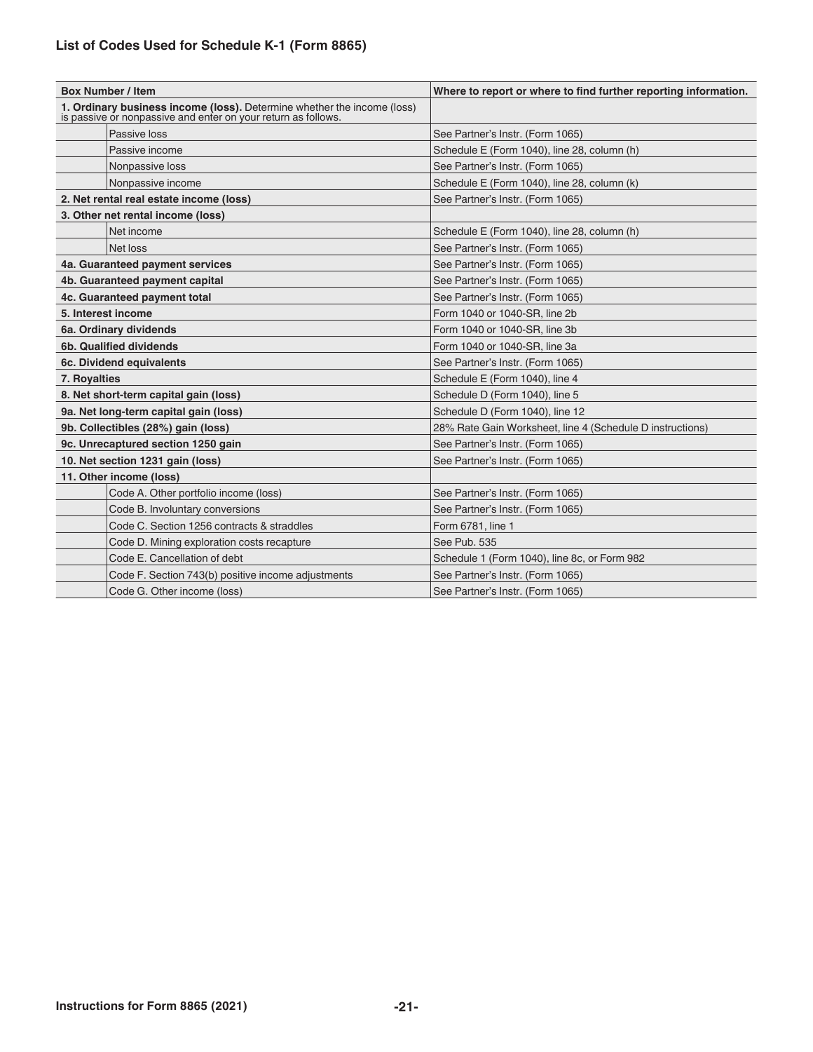# **List of Codes Used for Schedule K-1 (Form 8865)**

|                         | <b>Box Number / Item</b>                                                                                                                 | Where to report or where to find further reporting information. |  |  |  |  |
|-------------------------|------------------------------------------------------------------------------------------------------------------------------------------|-----------------------------------------------------------------|--|--|--|--|
|                         | 1. Ordinary business income (loss). Determine whether the income (loss)<br>is passive or nonpassive and enter on your return as follows. |                                                                 |  |  |  |  |
|                         | Passive loss                                                                                                                             | See Partner's Instr. (Form 1065)                                |  |  |  |  |
|                         | Passive income                                                                                                                           | Schedule E (Form 1040), line 28, column (h)                     |  |  |  |  |
|                         | Nonpassive loss                                                                                                                          | See Partner's Instr. (Form 1065)                                |  |  |  |  |
|                         | Nonpassive income                                                                                                                        | Schedule E (Form 1040), line 28, column (k)                     |  |  |  |  |
|                         | 2. Net rental real estate income (loss)                                                                                                  | See Partner's Instr. (Form 1065)                                |  |  |  |  |
|                         | 3. Other net rental income (loss)                                                                                                        |                                                                 |  |  |  |  |
| Net income              |                                                                                                                                          | Schedule E (Form 1040), line 28, column (h)                     |  |  |  |  |
|                         | Net loss                                                                                                                                 | See Partner's Instr. (Form 1065)                                |  |  |  |  |
|                         | 4a. Guaranteed payment services                                                                                                          | See Partner's Instr. (Form 1065)                                |  |  |  |  |
|                         | 4b. Guaranteed payment capital                                                                                                           | See Partner's Instr. (Form 1065)                                |  |  |  |  |
|                         | 4c. Guaranteed payment total                                                                                                             | See Partner's Instr. (Form 1065)                                |  |  |  |  |
| 5. Interest income      |                                                                                                                                          | Form 1040 or 1040-SR, line 2b                                   |  |  |  |  |
|                         | 6a. Ordinary dividends                                                                                                                   | Form 1040 or 1040-SR, line 3b                                   |  |  |  |  |
| 6b. Qualified dividends |                                                                                                                                          | Form 1040 or 1040-SR, line 3a                                   |  |  |  |  |
|                         | 6c. Dividend equivalents                                                                                                                 | See Partner's Instr. (Form 1065)                                |  |  |  |  |
| 7. Royalties            |                                                                                                                                          | Schedule E (Form 1040), line 4                                  |  |  |  |  |
|                         | 8. Net short-term capital gain (loss)                                                                                                    | Schedule D (Form 1040), line 5                                  |  |  |  |  |
|                         | 9a. Net long-term capital gain (loss)                                                                                                    | Schedule D (Form 1040), line 12                                 |  |  |  |  |
|                         | 9b. Collectibles (28%) gain (loss)                                                                                                       | 28% Rate Gain Worksheet, line 4 (Schedule D instructions)       |  |  |  |  |
|                         | 9c. Unrecaptured section 1250 gain                                                                                                       | See Partner's Instr. (Form 1065)                                |  |  |  |  |
|                         | 10. Net section 1231 gain (loss)                                                                                                         | See Partner's Instr. (Form 1065)                                |  |  |  |  |
|                         | 11. Other income (loss)                                                                                                                  |                                                                 |  |  |  |  |
|                         | Code A. Other portfolio income (loss)                                                                                                    | See Partner's Instr. (Form 1065)                                |  |  |  |  |
|                         | Code B. Involuntary conversions                                                                                                          | See Partner's Instr. (Form 1065)                                |  |  |  |  |
|                         | Code C. Section 1256 contracts & straddles                                                                                               | Form 6781, line 1                                               |  |  |  |  |
|                         | Code D. Mining exploration costs recapture                                                                                               | See Pub. 535                                                    |  |  |  |  |
|                         | Code E. Cancellation of debt                                                                                                             | Schedule 1 (Form 1040), line 8c, or Form 982                    |  |  |  |  |
|                         | Code F. Section 743(b) positive income adjustments                                                                                       | See Partner's Instr. (Form 1065)                                |  |  |  |  |
|                         | Code G. Other income (loss)                                                                                                              | See Partner's Instr. (Form 1065)                                |  |  |  |  |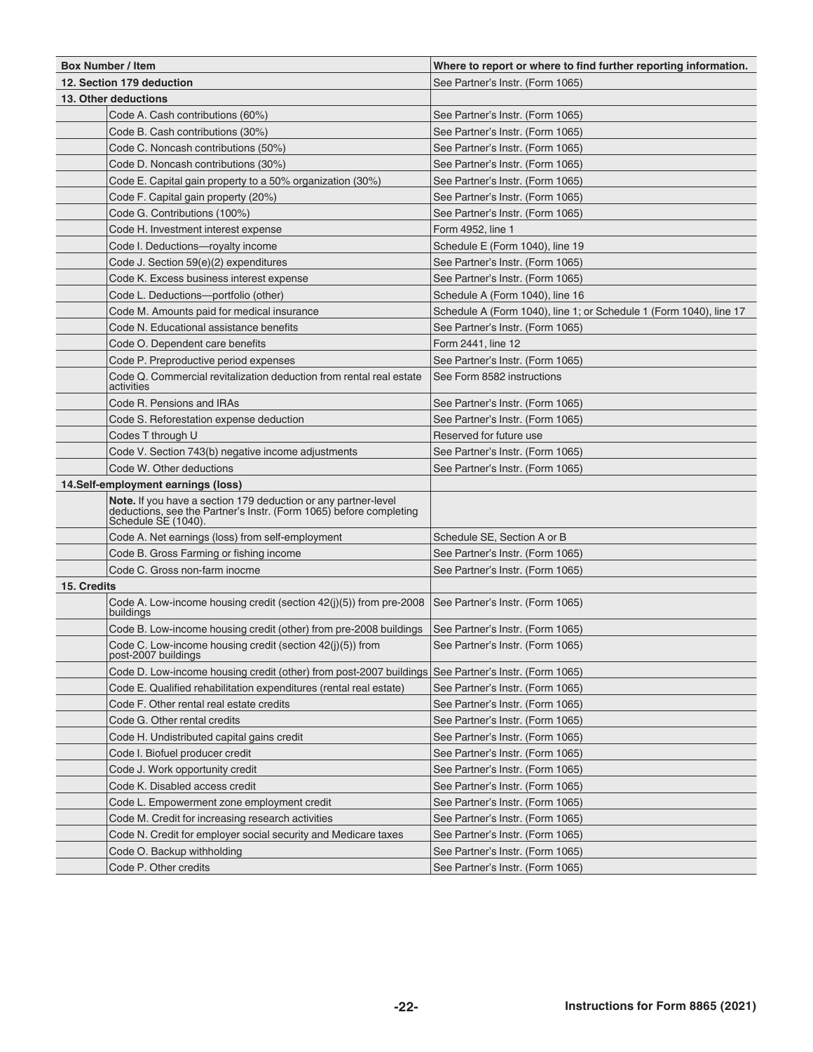|             | <b>Box Number / Item</b>                                                                                                                                    | Where to report or where to find further reporting information.    |  |  |
|-------------|-------------------------------------------------------------------------------------------------------------------------------------------------------------|--------------------------------------------------------------------|--|--|
|             | 12. Section 179 deduction                                                                                                                                   | See Partner's Instr. (Form 1065)                                   |  |  |
|             | 13. Other deductions                                                                                                                                        |                                                                    |  |  |
|             | Code A. Cash contributions (60%)                                                                                                                            | See Partner's Instr. (Form 1065)                                   |  |  |
|             | Code B. Cash contributions (30%)                                                                                                                            | See Partner's Instr. (Form 1065)                                   |  |  |
|             | Code C. Noncash contributions (50%)                                                                                                                         | See Partner's Instr. (Form 1065)                                   |  |  |
|             | Code D. Noncash contributions (30%)                                                                                                                         | See Partner's Instr. (Form 1065)                                   |  |  |
|             | Code E. Capital gain property to a 50% organization (30%)                                                                                                   | See Partner's Instr. (Form 1065)                                   |  |  |
|             | Code F. Capital gain property (20%)                                                                                                                         | See Partner's Instr. (Form 1065)                                   |  |  |
|             | Code G. Contributions (100%)                                                                                                                                | See Partner's Instr. (Form 1065)                                   |  |  |
|             | Code H. Investment interest expense                                                                                                                         | Form 4952, line 1                                                  |  |  |
|             | Code I. Deductions-royalty income                                                                                                                           | Schedule E (Form 1040), line 19                                    |  |  |
|             | Code J. Section 59(e)(2) expenditures                                                                                                                       | See Partner's Instr. (Form 1065)                                   |  |  |
|             | Code K. Excess business interest expense                                                                                                                    | See Partner's Instr. (Form 1065)                                   |  |  |
|             | Code L. Deductions-portfolio (other)                                                                                                                        | Schedule A (Form 1040), line 16                                    |  |  |
|             | Code M. Amounts paid for medical insurance                                                                                                                  | Schedule A (Form 1040), line 1; or Schedule 1 (Form 1040), line 17 |  |  |
|             | Code N. Educational assistance benefits                                                                                                                     | See Partner's Instr. (Form 1065)                                   |  |  |
|             | Code O. Dependent care benefits                                                                                                                             | Form 2441, line 12                                                 |  |  |
|             | Code P. Preproductive period expenses                                                                                                                       | See Partner's Instr. (Form 1065)                                   |  |  |
|             |                                                                                                                                                             |                                                                    |  |  |
|             | Code Q. Commercial revitalization deduction from rental real estate<br>activities                                                                           | See Form 8582 instructions                                         |  |  |
|             | Code R. Pensions and IRAs                                                                                                                                   | See Partner's Instr. (Form 1065)                                   |  |  |
|             | Code S. Reforestation expense deduction                                                                                                                     | See Partner's Instr. (Form 1065)                                   |  |  |
|             | Codes T through U                                                                                                                                           | Reserved for future use                                            |  |  |
|             | Code V. Section 743(b) negative income adjustments                                                                                                          | See Partner's Instr. (Form 1065)                                   |  |  |
|             | Code W. Other deductions                                                                                                                                    | See Partner's Instr. (Form 1065)                                   |  |  |
|             | 14.Self-employment earnings (loss)                                                                                                                          |                                                                    |  |  |
|             | Note. If you have a section 179 deduction or any partner-level<br>deductions, see the Partner's Instr. (Form 1065) before completing<br>Schedule SE (1040). |                                                                    |  |  |
|             | Code A. Net earnings (loss) from self-employment                                                                                                            | Schedule SE, Section A or B                                        |  |  |
|             | Code B. Gross Farming or fishing income                                                                                                                     | See Partner's Instr. (Form 1065)                                   |  |  |
|             | Code C. Gross non-farm inocme                                                                                                                               | See Partner's Instr. (Form 1065)                                   |  |  |
| 15. Credits |                                                                                                                                                             |                                                                    |  |  |
|             | Code A. Low-income housing credit (section $42(j)(5)$ ) from pre-2008<br>buildings                                                                          | See Partner's Instr. (Form 1065)                                   |  |  |
|             | Code B. Low-income housing credit (other) from pre-2008 buildings                                                                                           | See Partner's Instr. (Form 1065)                                   |  |  |
|             | Code C. Low-income housing credit (section 42(j)(5)) from<br>post-2007 bullaings                                                                            | See Partner's Instr. (Form 1065)                                   |  |  |
|             | Code D. Low-income housing credit (other) from post-2007 buildings                                                                                          | See Partner's Instr. (Form 1065)                                   |  |  |
|             | Code E. Qualified rehabilitation expenditures (rental real estate)                                                                                          | See Partner's Instr. (Form 1065)                                   |  |  |
|             | Code F. Other rental real estate credits                                                                                                                    | See Partner's Instr. (Form 1065)                                   |  |  |
|             | Code G. Other rental credits                                                                                                                                | See Partner's Instr. (Form 1065)                                   |  |  |
|             | Code H. Undistributed capital gains credit                                                                                                                  | See Partner's Instr. (Form 1065)                                   |  |  |
|             | Code I. Biofuel producer credit                                                                                                                             | See Partner's Instr. (Form 1065)                                   |  |  |
|             | Code J. Work opportunity credit                                                                                                                             | See Partner's Instr. (Form 1065)                                   |  |  |
|             | Code K. Disabled access credit                                                                                                                              | See Partner's Instr. (Form 1065)                                   |  |  |
|             | Code L. Empowerment zone employment credit                                                                                                                  | See Partner's Instr. (Form 1065)                                   |  |  |
|             | Code M. Credit for increasing research activities                                                                                                           | See Partner's Instr. (Form 1065)                                   |  |  |
|             | Code N. Credit for employer social security and Medicare taxes                                                                                              | See Partner's Instr. (Form 1065)                                   |  |  |
|             | Code O. Backup withholding                                                                                                                                  | See Partner's Instr. (Form 1065)                                   |  |  |
|             | Code P. Other credits                                                                                                                                       | See Partner's Instr. (Form 1065)                                   |  |  |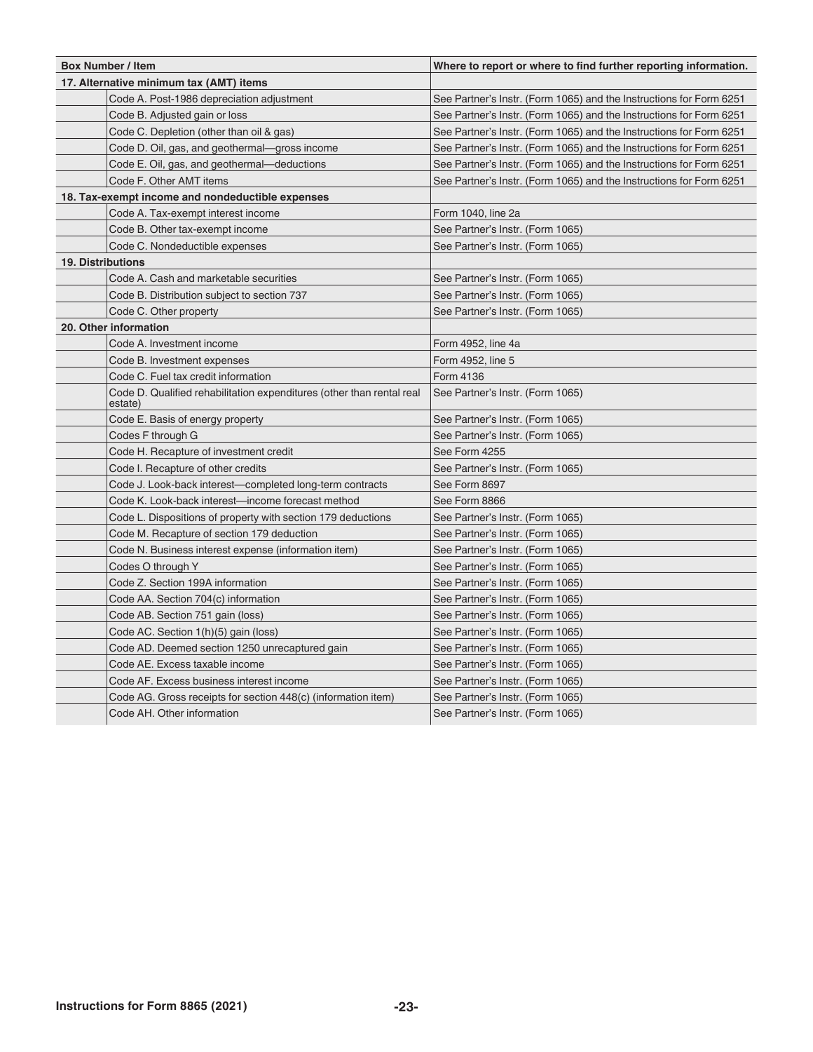| <b>Box Number / Item</b> |                                                                                  | Where to report or where to find further reporting information.     |  |  |
|--------------------------|----------------------------------------------------------------------------------|---------------------------------------------------------------------|--|--|
|                          | 17. Alternative minimum tax (AMT) items                                          |                                                                     |  |  |
|                          | Code A. Post-1986 depreciation adjustment                                        | See Partner's Instr. (Form 1065) and the Instructions for Form 6251 |  |  |
|                          | Code B. Adjusted gain or loss                                                    | See Partner's Instr. (Form 1065) and the Instructions for Form 6251 |  |  |
|                          | Code C. Depletion (other than oil & gas)                                         | See Partner's Instr. (Form 1065) and the Instructions for Form 6251 |  |  |
|                          | Code D. Oil, gas, and geothermal—gross income                                    | See Partner's Instr. (Form 1065) and the Instructions for Form 6251 |  |  |
|                          | Code E. Oil, gas, and geothermal—deductions                                      | See Partner's Instr. (Form 1065) and the Instructions for Form 6251 |  |  |
|                          | Code F. Other AMT items                                                          | See Partner's Instr. (Form 1065) and the Instructions for Form 6251 |  |  |
|                          | 18. Tax-exempt income and nondeductible expenses                                 |                                                                     |  |  |
|                          | Code A. Tax-exempt interest income                                               | Form 1040, line 2a                                                  |  |  |
|                          | Code B. Other tax-exempt income                                                  | See Partner's Instr. (Form 1065)                                    |  |  |
|                          | Code C. Nondeductible expenses                                                   | See Partner's Instr. (Form 1065)                                    |  |  |
| <b>19. Distributions</b> |                                                                                  |                                                                     |  |  |
|                          | Code A. Cash and marketable securities                                           | See Partner's Instr. (Form 1065)                                    |  |  |
|                          | Code B. Distribution subject to section 737                                      | See Partner's Instr. (Form 1065)                                    |  |  |
|                          | Code C. Other property                                                           | See Partner's Instr. (Form 1065)                                    |  |  |
|                          | 20. Other information                                                            |                                                                     |  |  |
|                          | Code A. Investment income                                                        | Form 4952, line 4a                                                  |  |  |
|                          | Code B. Investment expenses                                                      | Form 4952, line 5                                                   |  |  |
|                          | Code C. Fuel tax credit information                                              | Form 4136                                                           |  |  |
|                          | Code D. Qualified rehabilitation expenditures (other than rental real<br>estate) | See Partner's Instr. (Form 1065)                                    |  |  |
|                          | Code E. Basis of energy property                                                 | See Partner's Instr. (Form 1065)                                    |  |  |
|                          | Codes F through G                                                                | See Partner's Instr. (Form 1065)                                    |  |  |
|                          | Code H. Recapture of investment credit                                           | See Form 4255                                                       |  |  |
|                          | Code I. Recapture of other credits                                               | See Partner's Instr. (Form 1065)                                    |  |  |
|                          | Code J. Look-back interest-completed long-term contracts                         | See Form 8697                                                       |  |  |
|                          | Code K. Look-back interest-income forecast method                                | See Form 8866                                                       |  |  |
|                          | Code L. Dispositions of property with section 179 deductions                     | See Partner's Instr. (Form 1065)                                    |  |  |
|                          | Code M. Recapture of section 179 deduction                                       | See Partner's Instr. (Form 1065)                                    |  |  |
|                          | Code N. Business interest expense (information item)                             | See Partner's Instr. (Form 1065)                                    |  |  |
|                          | Codes O through Y                                                                | See Partner's Instr. (Form 1065)                                    |  |  |
|                          | Code Z. Section 199A information                                                 | See Partner's Instr. (Form 1065)                                    |  |  |
|                          | Code AA. Section 704(c) information                                              | See Partner's Instr. (Form 1065)                                    |  |  |
|                          | Code AB. Section 751 gain (loss)                                                 | See Partner's Instr. (Form 1065)                                    |  |  |
|                          | Code AC. Section 1(h)(5) gain (loss)                                             | See Partner's Instr. (Form 1065)                                    |  |  |
|                          | Code AD. Deemed section 1250 unrecaptured gain                                   | See Partner's Instr. (Form 1065)                                    |  |  |
|                          | Code AE. Excess taxable income                                                   | See Partner's Instr. (Form 1065)                                    |  |  |
|                          | Code AF. Excess business interest income                                         | See Partner's Instr. (Form 1065)                                    |  |  |
|                          | Code AG. Gross receipts for section 448(c) (information item)                    | See Partner's Instr. (Form 1065)                                    |  |  |
|                          | Code AH. Other information                                                       | See Partner's Instr. (Form 1065)                                    |  |  |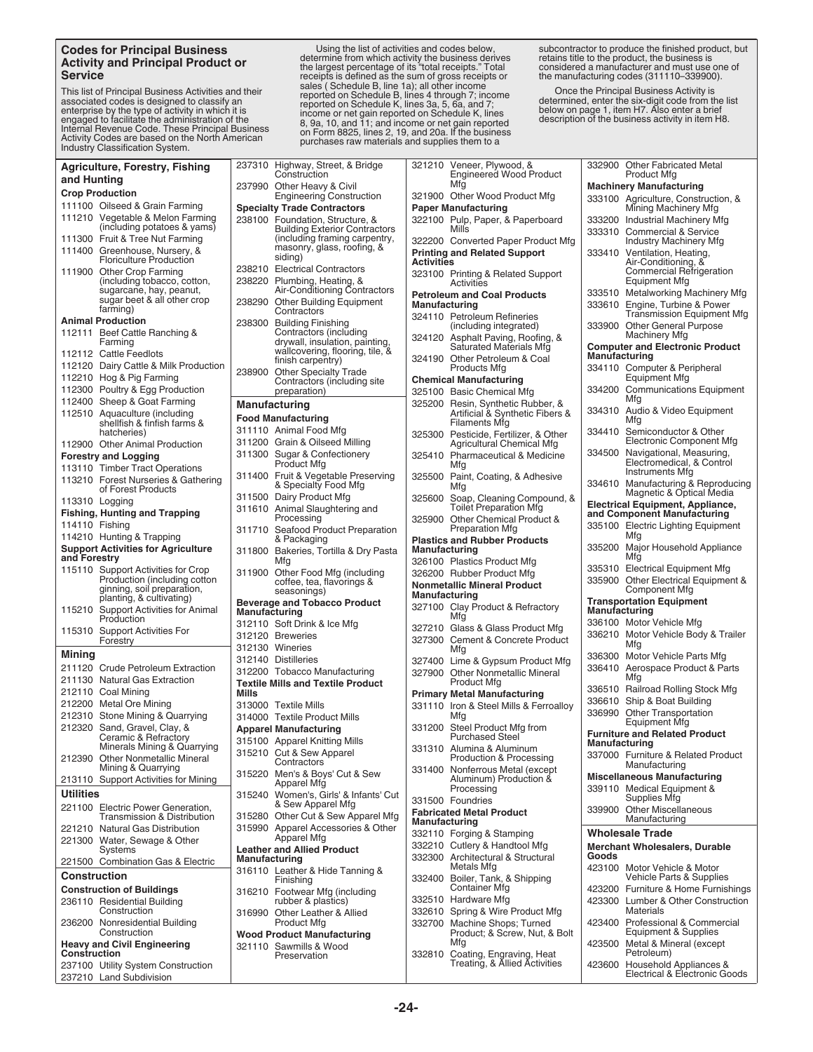#### **Codes for Principal Business Activity and Principal Product or Service**

This list of Principal Business Activities and their<br>associated codes is designed to classify an<br>enterprise by the type of activity in which it is<br>engaged to facilitate the administration of the<br>Internal Revenue Code. Thes

Using the list of activities and codes below, determine from which activity the business derives the largest percentage of its "total receipts." Total receipts is defined as the sum of gross receipts or sales (Schedule B, line 1a); all other income<br>reported on Schedule B, lines 4 through 7; income<br>reported on Schedule K, lines 3a, 5, 6a, and 7;<br>income or net gain reported on Schedule K, lines<br>8, 9a, 10, and 11; and income

subcontractor to produce the finished product, but retains title to the product, the business is considered a manufacturer and must use one of the manufacturing codes (311110–339900).

Once the Principal Business Activity is determined, enter the six-digit code from the list below on page 1, item H7. Also enter a brief description of the business activity in item H8.

|                        | <b>Agriculture, Forestry, Fishing</b>                              |                                                                              | 237310 Highway, Street, & Bridge                                         |                                       | 321210 Veneer, Plywood, &                                            |                                 | 332900 Other Fabricated Metal                                          |
|------------------------|--------------------------------------------------------------------|------------------------------------------------------------------------------|--------------------------------------------------------------------------|---------------------------------------|----------------------------------------------------------------------|---------------------------------|------------------------------------------------------------------------|
| and Hunting            |                                                                    |                                                                              | Construction                                                             | <b>Engineered Wood Product</b><br>Mfg |                                                                      | <b>Product Mfg</b>              |                                                                        |
| <b>Crop Production</b> |                                                                    |                                                                              | 237990 Other Heavy & Civil<br><b>Engineering Construction</b>            |                                       | 321900 Other Wood Product Mfg                                        |                                 | <b>Machinery Manufacturing</b>                                         |
|                        | 111100 Oilseed & Grain Farming                                     |                                                                              | <b>Specialty Trade Contractors</b>                                       | <b>Paper Manufacturing</b>            |                                                                      |                                 | 333100 Agriculture, Construction, &<br>Mining Machinery Mfg            |
|                        | 111210 Vegetable & Melon Farming                                   |                                                                              | 238100 Foundation, Structure, &                                          |                                       | 322100 Pulp, Paper, & Paperboard                                     |                                 | 333200 Industrial Machinery Mfg                                        |
|                        | (including potatoes & yams)                                        |                                                                              | <b>Building Exterior Contractors</b>                                     |                                       | Mills                                                                |                                 | 333310 Commercial & Service                                            |
|                        | 111300 Fruit & Tree Nut Farming                                    |                                                                              | (including framing carpentry,                                            |                                       | 322200 Converted Paper Product Mfg                                   |                                 | <b>Industry Machinery Mfg</b>                                          |
|                        | 111400 Greenhouse, Nursery, &<br><b>Floriculture Production</b>    | masonry, glass, roofing, &<br><b>Printing and Related Support</b><br>siding) |                                                                          |                                       | 333410 Ventilation, Heating,                                         |                                 |                                                                        |
|                        | 111900 Other Crop Farming                                          |                                                                              | 238210 Electrical Contractors                                            | <b>Activities</b>                     |                                                                      |                                 | Air-Conditioning, &<br><b>Commercial Refrigeration</b>                 |
|                        | (including tobacco, cotton,                                        |                                                                              | 238220 Plumbing, Heating, &                                              |                                       | 323100 Printing & Related Support<br>Activities                      |                                 | Equipment Mfg                                                          |
|                        | sugarcane, hay, peanut,                                            |                                                                              | Air-Conditioning Contractors                                             |                                       | <b>Petroleum and Coal Products</b>                                   |                                 | 333510 Metalworking Machinery Mfg                                      |
|                        | sugar beet & all other crop<br>farming)                            |                                                                              | 238290 Other Building Equipment<br>Contractors                           | Manufacturing                         |                                                                      |                                 | 333610 Engine, Turbine & Power                                         |
|                        | <b>Animal Production</b>                                           |                                                                              | 238300 Building Finishing                                                |                                       | 324110 Petroleum Refineries                                          |                                 | <b>Transmission Equipment Mfg</b>                                      |
|                        | 112111 Beef Cattle Ranching &                                      |                                                                              | Contractors (including                                                   |                                       | (including integrated)                                               |                                 | 333900 Other General Purpose<br><b>Machinery Mfg</b>                   |
|                        | Farming                                                            |                                                                              | drywall, insulation, painting,                                           |                                       | 324120 Asphalt Paving, Roofing, &<br><b>Saturated Materials Mfg</b>  |                                 | <b>Computer and Electronic Product</b>                                 |
|                        | 112112 Cattle Feedlots                                             |                                                                              | wallcovering, flooring, tile, &<br>finish carpentry)                     |                                       | 324190 Other Petroleum & Coal                                        | Manufacturing                   |                                                                        |
|                        | 112120 Dairy Cattle & Milk Production                              |                                                                              | 238900 Other Specialty Trade                                             |                                       | Products Mfg                                                         |                                 | 334110 Computer & Peripheral                                           |
|                        | 112210 Hog & Pig Farming                                           |                                                                              | Contractors (including site)                                             |                                       | <b>Chemical Manufacturing</b>                                        |                                 | Equipment Mfg                                                          |
|                        | 112300 Poultry & Egg Production                                    |                                                                              | preparation)                                                             |                                       | 325100 Basic Chemical Mfg                                            |                                 | 334200 Communications Equipment<br>Mfg                                 |
|                        | 112400 Sheep & Goat Farming<br>112510 Aquaculture (including       | <b>Manufacturing</b>                                                         |                                                                          |                                       | 325200 Resin, Synthetic Rubber, &<br>Artificial & Synthetic Fibers & |                                 | 334310 Audio & Video Equipment                                         |
|                        | shellfish & finfish farms &                                        |                                                                              | <b>Food Manufacturing</b>                                                |                                       | <b>Filaments Mfg</b>                                                 |                                 | Mfg                                                                    |
|                        | hatcheries)                                                        |                                                                              | 311110 Animal Food Mfg                                                   |                                       | 325300 Pesticide, Fertilizer, & Other                                |                                 | 334410 Semiconductor & Other                                           |
|                        | 112900 Other Animal Production                                     |                                                                              | 311200 Grain & Oilseed Milling                                           |                                       | <b>Agricultural Chemical Mfg</b>                                     | 334500                          | Electronic Component Mfg                                               |
|                        | <b>Forestry and Logging</b>                                        |                                                                              | 311300 Sugar & Confectionery<br><b>Product Mfg</b>                       |                                       | 325410 Pharmaceutical & Medicine<br>Mfg                              |                                 | Navigational, Measuring,<br>Electromedical, & Control                  |
|                        | 113110 Timber Tract Operations                                     |                                                                              | 311400 Fruit & Vegetable Preserving                                      |                                       | 325500 Paint, Coating, & Adhesive                                    |                                 | <b>Instruments Mfg</b>                                                 |
|                        | 113210 Forest Nurseries & Gathering<br>of Forest Products          |                                                                              | & Specialty Food Mfg                                                     |                                       | Mfg                                                                  |                                 | 334610 Manufacturing & Reproducing                                     |
| 113310 Logging         |                                                                    |                                                                              | 311500 Dairy Product Mfg                                                 |                                       | 325600 Soap, Cleaning Compound, &                                    |                                 | Magnetic & Optical Media<br><b>Electrical Equipment, Appliance,</b>    |
|                        | <b>Fishing, Hunting and Trapping</b>                               |                                                                              | 311610 Animal Slaughtering and                                           |                                       | <b>Toilet Preparation Mfg</b>                                        |                                 | and Component Manufacturing                                            |
| 114110 Fishing         |                                                                    |                                                                              | Processing                                                               |                                       | 325900 Other Chemical Product &<br><b>Preparation Mfg</b>            |                                 | 335100 Electric Lighting Equipment                                     |
|                        | 114210 Hunting & Trapping                                          |                                                                              | 311710 Seafood Product Preparation<br>& Packaging                        |                                       | <b>Plastics and Rubber Products</b>                                  |                                 | Mfg                                                                    |
|                        | <b>Support Activities for Agriculture</b>                          |                                                                              | 311800 Bakeries, Tortilla & Dry Pasta                                    | Manufacturing                         |                                                                      |                                 | 335200 Major Household Appliance                                       |
| and Forestry           |                                                                    |                                                                              | Mfg                                                                      |                                       | 326100 Plastics Product Mfg                                          |                                 | Mfg                                                                    |
|                        | 115110 Support Activities for Crop<br>Production (including cotton |                                                                              | 311900 Other Food Mfg (including                                         |                                       | 326200 Rubber Product Mfg                                            |                                 | 335310 Electrical Equipment Mfg<br>335900 Other Electrical Equipment & |
|                        | ginning, soil preparation,                                         |                                                                              | coffee, tea, flavorings &<br>seasonings)                                 |                                       | <b>Nonmetallic Mineral Product</b>                                   |                                 | <b>Component Mfg</b>                                                   |
|                        | planting, & cultivating)                                           |                                                                              | <b>Beverage and Tobacco Product</b>                                      | <b>Manufacturing</b>                  |                                                                      | <b>Transportation Equipment</b> |                                                                        |
|                        | 115210 Support Activities for Animal<br>Production                 | Manufacturing                                                                |                                                                          |                                       | 327100 Clay Product & Refractory<br>Mfg                              | Manufacturing                   |                                                                        |
|                        | 115310 Support Activities For                                      |                                                                              | 312110 Soft Drink & Ice Mfg                                              |                                       | 327210 Glass & Glass Product Mfg                                     |                                 | 336100 Motor Vehicle Mfg                                               |
|                        | Forestry                                                           |                                                                              | 312120 Breweries                                                         |                                       | 327300 Cement & Concrete Product                                     |                                 | 336210 Motor Vehicle Body & Trailer<br>Mfg                             |
| Mining                 |                                                                    |                                                                              | 312130 Wineries                                                          |                                       | Mfg                                                                  |                                 | 336300 Motor Vehicle Parts Mfg                                         |
|                        | 211120 Crude Petroleum Extraction                                  |                                                                              | 312140 Distilleries                                                      |                                       | 327400 Lime & Gypsum Product Mfg                                     | 336410                          | Aerospace Product & Parts                                              |
|                        | 211130 Natural Gas Extraction                                      |                                                                              | 312200 Tobacco Manufacturing<br><b>Textile Mills and Textile Product</b> |                                       | 327900 Other Nonmetallic Mineral<br>Product Mfg                      |                                 | Mfg                                                                    |
|                        | 212110 Coal Mining                                                 | Mills                                                                        |                                                                          |                                       | <b>Primary Metal Manufacturing</b>                                   |                                 | 336510 Railroad Rolling Stock Mfg                                      |
|                        | 212200 Metal Ore Mining                                            |                                                                              | 313000 Textile Mills                                                     |                                       | 331110 Iron & Steel Mills & Ferroalloy                               |                                 | 336610 Ship & Boat Building                                            |
|                        | 212310 Stone Mining & Quarrying                                    |                                                                              | 314000 Textile Product Mills                                             |                                       | Mfg                                                                  |                                 | 336990 Other Transportation<br><b>Equipment Mfg</b>                    |
|                        | 212320 Sand, Gravel, Clay, &                                       |                                                                              | <b>Apparel Manufacturing</b>                                             |                                       | 331200 Steel Product Mfg from                                        |                                 | <b>Furniture and Related Product</b>                                   |
|                        | Ceramic & Refractory<br>Minerals Mining & Quarrying                |                                                                              | 315100 Apparel Knitting Mills                                            |                                       | <b>Purchased Steel</b><br>331310 Alumina & Aluminum                  | Manufacturing                   |                                                                        |
|                        | 212390 Other Nonmetallic Mineral                                   |                                                                              | 315210 Cut & Sew Apparel                                                 |                                       | Production & Processing                                              |                                 | 337000 Furniture & Related Product                                     |
|                        | Mining & Quarrying                                                 |                                                                              | Contractors                                                              |                                       | 331400 Nonferrous Metal (except                                      |                                 | Manufacturing                                                          |
|                        | 213110 Support Activities for Mining                               |                                                                              | 315220 Men's & Boys' Cut & Sew<br>Apparel Mfg                            |                                       | Aluminum) Production &                                               |                                 | <b>Miscellaneous Manufacturing</b>                                     |
| <b>Utilities</b>       |                                                                    |                                                                              | 315240 Women's, Girls' & Infants' Cut                                    |                                       | Processing                                                           |                                 | 339110 Medical Equipment &<br>Supplies Mfg                             |
|                        | 221100 Electric Power Generation,                                  |                                                                              | & Sew Apparel Mfg                                                        |                                       | 331500 Foundries<br><b>Fabricated Metal Product</b>                  |                                 | 339900 Other Miscellaneous                                             |
|                        | <b>Transmission &amp; Distribution</b>                             |                                                                              | 315280 Other Cut & Sew Apparel Mfg                                       | <b>Manufacturing</b>                  |                                                                      |                                 | Manufacturing                                                          |
|                        | 221210 Natural Gas Distribution                                    |                                                                              | 315990 Apparel Accessories & Other<br>Apparel Mfg                        |                                       | 332110 Forging & Stamping                                            |                                 | <b>Wholesale Trade</b>                                                 |
|                        | 221300 Water, Sewage & Other<br>Systems                            |                                                                              | <b>Leather and Allied Product</b>                                        |                                       | 332210 Cutlery & Handtool Mfg                                        |                                 | Merchant Wholesalers, Durable                                          |
|                        | 221500 Combination Gas & Electric                                  | Manufacturing                                                                |                                                                          |                                       | 332300 Architectural & Structural                                    | Goods                           |                                                                        |
| <b>Construction</b>    |                                                                    |                                                                              | 316110 Leather & Hide Tanning &                                          |                                       | Metals Mfg<br>332400 Boiler, Tank, & Shipping                        |                                 | 423100 Motor Vehicle & Motor<br>Vehicle Parts & Supplies               |
|                        | <b>Construction of Buildings</b>                                   |                                                                              | Finishing<br>316210 Footwear Mfg (including                              |                                       | <b>Container Mfg</b>                                                 |                                 | 423200 Furniture & Home Furnishings                                    |
|                        | 236110 Residential Building                                        |                                                                              | rubber & plastics)                                                       |                                       | 332510 Hardware Mfg                                                  |                                 | 423300 Lumber & Other Construction                                     |
|                        | Construction                                                       |                                                                              | 316990 Other Leather & Allied                                            |                                       | 332610 Spring & Wire Product Mfg                                     |                                 | <b>Materials</b>                                                       |
|                        | 236200 Nonresidential Building                                     |                                                                              | <b>Product Mfg</b>                                                       |                                       | 332700 Machine Shops; Turned                                         |                                 | 423400 Professional & Commercial                                       |
|                        | Construction                                                       |                                                                              | <b>Wood Product Manufacturing</b>                                        |                                       | Product; & Screw, Nut, & Bolt<br>Mfg                                 |                                 | Equipment & Supplies                                                   |
| Construction           | <b>Heavy and Civil Engineering</b>                                 |                                                                              | 321110 Sawmills & Wood<br>Preservation                                   |                                       |                                                                      |                                 | 423500 Metal & Mineral (except<br>Petroleum)                           |
|                        | 237100 Utility System Construction                                 |                                                                              |                                                                          |                                       | 332810 Coating, Engraving, Heat<br>Treating, & Allied Activities     | 423600                          | Household Appliances &                                                 |
|                        | 237210 Land Subdivision                                            |                                                                              |                                                                          |                                       |                                                                      |                                 | Electrical & Electronic Goods                                          |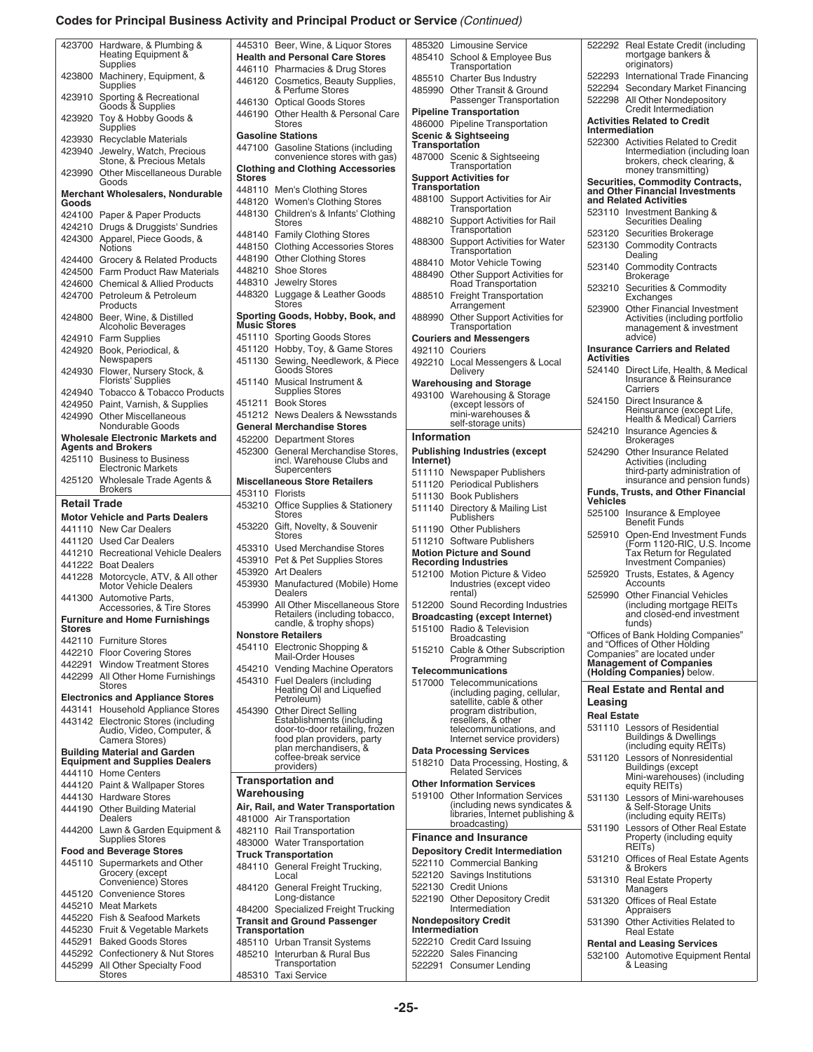#### **Codes for Principal Business Activity and Principal Product or Service** *(Continued)*

| 423700              | Hardware, & Plumbing &<br>Heating Equipment &              |  |  |  |  |
|---------------------|------------------------------------------------------------|--|--|--|--|
| 423800              | Supplies<br>Machinery, Equipment, &                        |  |  |  |  |
|                     | <b>Supplies</b>                                            |  |  |  |  |
| 423910              | Sporting & Recreational<br>Goods & Supplies                |  |  |  |  |
| 423920              | Toy & Hobby Goods &<br>Supplies                            |  |  |  |  |
| 423930              | <b>Recyclable Materials</b>                                |  |  |  |  |
| 423940              | Jewelry, Watch, Precious<br>Stone, & Precious Metals       |  |  |  |  |
| 423990              | <b>Other Miscellaneous Durable</b>                         |  |  |  |  |
|                     | Goods<br>Merchant Wholesalers, Nondurable                  |  |  |  |  |
| Goods               |                                                            |  |  |  |  |
| 424100              | Paper & Paper Products                                     |  |  |  |  |
| 424210              | Drugs & Druggists' Sundries                                |  |  |  |  |
| 424300              | Apparel, Piece Goods, &<br>Notions                         |  |  |  |  |
| 424400              | Grocery & Related Products                                 |  |  |  |  |
| 424500              | <b>Farm Product Raw Materials</b>                          |  |  |  |  |
| 424600              | <b>Chemical &amp; Allied Products</b>                      |  |  |  |  |
| 424700              | Petroleum & Petroleum<br>Products                          |  |  |  |  |
| 424800              | Beer, Wine, & Distilled<br><b>Alcoholic Beverages</b>      |  |  |  |  |
| 424910              | <b>Farm Supplies</b>                                       |  |  |  |  |
| 424920              | Book, Periodical, &<br>Newspapers                          |  |  |  |  |
| 424930              | Flower, Nursery Stock, &<br>Florists' Supplies             |  |  |  |  |
|                     |                                                            |  |  |  |  |
| 424940              | <b>Tobacco &amp; Tobacco Products</b>                      |  |  |  |  |
| 424950              | Paint, Varnish, & Supplies                                 |  |  |  |  |
| 424990              | <b>Other Miscellaneous</b><br>Nondurable Goods             |  |  |  |  |
|                     | <b>Wholesale Electronic Markets and</b>                    |  |  |  |  |
| 425110              | <b>Agents and Brokers</b><br><b>Business to Business</b>   |  |  |  |  |
|                     | <b>Electronic Markets</b>                                  |  |  |  |  |
| 425120              | Wholesale Trade Agents &<br><b>Brokers</b>                 |  |  |  |  |
|                     |                                                            |  |  |  |  |
| <b>Retail Trade</b> |                                                            |  |  |  |  |
|                     |                                                            |  |  |  |  |
|                     | <b>Motor Vehicle and Parts Dealers</b>                     |  |  |  |  |
| 441110              | <b>New Car Dealers</b>                                     |  |  |  |  |
| 441120<br>441210    | <b>Used Car Dealers</b>                                    |  |  |  |  |
| 441222              | <b>Recreational Vehicle Dealers</b><br><b>Boat Dealers</b> |  |  |  |  |
| 441228              | Motorcycle, ATV, & All other                               |  |  |  |  |
|                     | Motor Vehicle Dealers                                      |  |  |  |  |
| 441300              | Automotive Parts,<br>Accessories, & Tire Stores            |  |  |  |  |
| Stores              | <b>Furniture and Home Furnishings</b>                      |  |  |  |  |
| 442110              | <b>Furniture Stores</b>                                    |  |  |  |  |
| 442210              | <b>Floor Covering Stores</b>                               |  |  |  |  |
| 442291              | <b>Window Treatment Stores</b>                             |  |  |  |  |
| 442299              | All Other Home Furnishings<br><b>Stores</b>                |  |  |  |  |
|                     | <b>Electronics and Appliance Stores</b>                    |  |  |  |  |
| 443141              | <b>Household Appliance Stores</b>                          |  |  |  |  |
| 443142              | Electronic Stores (including                               |  |  |  |  |
|                     | Audio, Video, Computer, &<br>Camera Stores)                |  |  |  |  |
|                     | <b>Building Material and Garden</b>                        |  |  |  |  |
|                     | <b>Equipment and Supplies Dealers</b>                      |  |  |  |  |
| 444110<br>444120    | <b>Home Centers</b>                                        |  |  |  |  |
| 444130              | Paint & Wallpaper Stores                                   |  |  |  |  |
| 444190              | <b>Hardware Stores</b><br><b>Other Building Material</b>   |  |  |  |  |
|                     | <b>Dealers</b>                                             |  |  |  |  |
| 444200              | Lawn & Garden Equipment &<br><b>Supplies Stores</b>        |  |  |  |  |
|                     | <b>Food and Beverage Stores</b>                            |  |  |  |  |
| 445110              | Supermarkets and Other                                     |  |  |  |  |
|                     | Grocery (except<br>Convenience) Stores                     |  |  |  |  |
| 445120              | <b>Convenience Stores</b>                                  |  |  |  |  |
| 445210              | <b>Meat Markets</b>                                        |  |  |  |  |
| 445220              | Fish & Seafood Markets                                     |  |  |  |  |
| 445230              | Fruit & Vegetable Markets                                  |  |  |  |  |
| 445291              | <b>Baked Goods Stores</b>                                  |  |  |  |  |
| 445292<br>445299    | Confectionery & Nut Stores<br>All Other Specialty Food     |  |  |  |  |

|                     | 445310 Beer, Wine, & Liquor Stores       |                       | 485320 Limousine Service                       |
|---------------------|------------------------------------------|-----------------------|------------------------------------------------|
|                     | <b>Health and Personal Care Stores</b>   | 485410                | School & Employee                              |
|                     |                                          |                       | Transportation                                 |
|                     | 446110 Pharmacies & Drug Stores          |                       |                                                |
| 446120              | Cosmetics, Beauty Supplies,              | 485510                | <b>Charter Bus Industi</b>                     |
|                     | & Perfume Stores                         | 485990                | <b>Other Transit &amp; Gro</b>                 |
|                     | 446130 Optical Goods Stores              |                       | Passenger Transpo                              |
| 446190              | Other Health & Personal Care             |                       | <b>Pipeline Transportation</b>                 |
|                     | Stores                                   |                       |                                                |
|                     |                                          |                       | 486000 Pipeline Transporta                     |
|                     | <b>Gasoline Stations</b>                 |                       | <b>Scenic &amp; Sightseeing</b>                |
|                     | 447100 Gasoline Stations (including      | Transportation        |                                                |
|                     |                                          |                       |                                                |
|                     | convenience stores with gas)             |                       | 487000 Scenic & Sightseei<br>Transportation    |
|                     | <b>Clothing and Clothing Accessories</b> |                       |                                                |
| <b>Stores</b>       |                                          |                       | <b>Support Activities for</b>                  |
|                     | 448110 Men's Clothing Stores             | <b>Transportation</b> |                                                |
|                     | 448120 Women's Clothing Stores           | 488100                | Support Activities fo                          |
|                     |                                          |                       | Transportation                                 |
| 448130              | Children's & Infants' Clothing           |                       |                                                |
|                     | <b>Stores</b>                            | 488210                | Support Activities fo<br>Transportation        |
| 448140              | <b>Family Clothing Stores</b>            |                       |                                                |
| 448150              | <b>Clothing Accessories Stores</b>       | 488300                | Support Activities fo                          |
|                     |                                          |                       | Transportation                                 |
| 448190              | <b>Other Clothing Stores</b>             | 488410                | Motor Vehicle Towi                             |
| 448210              | <b>Shoe Stores</b>                       | 488490                |                                                |
| 448310              | <b>Jewelry Stores</b>                    |                       | Other Support Activ                            |
|                     |                                          |                       | Road Transportatio                             |
| 448320              | Luggage & Leather Goods                  | 488510                | <b>Freight Transportat</b>                     |
|                     | <b>Stores</b>                            |                       | Arrangement                                    |
|                     | Sporting Goods, Hobby, Book, and         | 488990                | <b>Other Support Activ</b>                     |
| <b>Music Stores</b> |                                          |                       | Transportation                                 |
|                     |                                          |                       |                                                |
|                     | 451110 Sporting Goods Stores             |                       | <b>Couriers and Messengers</b>                 |
| 451120              | Hobby, Toy, & Game Stores                |                       | 492110 Couriers                                |
| 451130              | Sewing, Needlework, & Piece              |                       |                                                |
|                     | Goods Stores                             |                       | 492210 Local Messengers                        |
|                     |                                          |                       | Delivery                                       |
| 451140              | Musical Instrument &                     |                       | <b>Warehousing and Storage</b>                 |
|                     | <b>Supplies Stores</b>                   |                       | 493100 Warehousing & Sto                       |
| 451211              | <b>Book Stores</b>                       |                       | (except lessors of                             |
|                     |                                          |                       |                                                |
| 451212              | News Dealers & Newsstands                |                       | mini-warehouses &                              |
|                     | <b>General Merchandise Stores</b>        |                       | self-storage units)                            |
|                     | 452200 Department Stores                 | Information           |                                                |
|                     |                                          |                       |                                                |
| 452300              | General Merchandise Stores,              |                       | <b>Publishing Industries (exc</b>              |
|                     | incl. Warehouse Clubs and                | Internet)             |                                                |
|                     | Supercenters                             |                       | 511110 Newspaper Publish                       |
|                     | <b>Miscellaneous Store Retailers</b>     |                       | 511120 Periodical Publishe                     |
|                     |                                          |                       |                                                |
| 453110              | <b>Florists</b>                          | 511130                | <b>Book Publishers</b>                         |
| 453210              | <b>Office Supplies &amp; Stationery</b>  | 511140                | Directory & Mailing                            |
|                     |                                          |                       |                                                |
|                     | <b>Stores</b>                            |                       |                                                |
|                     |                                          |                       | <b>Publishers</b>                              |
| 453220              | Gift, Novelty, & Souvenir                |                       | 511190 Other Publishers                        |
|                     | <b>Stores</b>                            |                       |                                                |
| 453310              | <b>Used Merchandise Stores</b>           |                       | 511210 Software Publisher                      |
|                     |                                          |                       | <b>Motion Picture and Sound</b>                |
| 453910              | Pet & Pet Supplies Stores                |                       | <b>Recording Industries</b>                    |
| 453920              | <b>Art Dealers</b>                       |                       | 512100 Motion Picture & Vi                     |
| 453930              | Manufactured (Mobile) Home               |                       | Industries (except \                           |
|                     | Dealers                                  |                       | rental)                                        |
|                     |                                          |                       |                                                |
| 453990              | All Other Miscellaneous Store            |                       | 512200 Sound Recording In                      |
|                     | Retailers (including tobacco,            |                       | <b>Broadcasting (except Inte</b>               |
|                     | candle, & trophy shops)                  |                       |                                                |
|                     | <b>Nonstore Retailers</b>                |                       | 515100 Radio & Television                      |
|                     |                                          |                       | Broadcasting                                   |
|                     | 454110 Electronic Shopping &             | 515210                | Cable & Other Sub                              |
|                     | <b>Mail-Order Houses</b>                 |                       | Programming                                    |
|                     | 454210 Vending Machine Operators         |                       | Telecommunications                             |
| 454310              |                                          |                       |                                                |
|                     | <b>Fuel Dealers (including</b>           | 517000                | Telecommunication                              |
|                     | Heating Oil and Liquefied<br>Petroleum)  |                       |                                                |
|                     |                                          |                       | (including paging, d<br>satellite, cable & otl |
| 454390              | <b>Other Direct Selling</b>              |                       | program distributior                           |
|                     | Establishments (including                |                       | resellers, & other                             |
|                     | door-to-door retailing, frozen           |                       | telecommunication                              |
|                     | food plan providers, party               |                       | Internet service pro                           |
|                     | plan merchandisers, &                    |                       | <b>Data Processing Services</b>                |
|                     | coffee-break service                     |                       |                                                |
|                     | providers)                               | 518210                | Data Processing, H                             |
|                     |                                          |                       | <b>Related Services</b>                        |
|                     | <b>Transportation and</b>                |                       | <b>Other Information Service</b>               |
| Warehousing         |                                          |                       | 519100 Other Information S                     |
|                     |                                          |                       |                                                |
|                     | Air, Rail, and Water Transportation      |                       | (including news syr                            |
|                     | 481000 Air Transportation                |                       | libraries, Internet pu                         |
|                     |                                          |                       | broadcasting)                                  |
|                     | 482110 Rail Transportation               |                       | <b>Finance and Insurance</b>                   |
|                     | 483000 Water Transportation              |                       |                                                |
|                     | <b>Truck Transportation</b>              |                       | <b>Depository Credit Interme</b>               |
|                     |                                          |                       | 522110 Commercial Bankir                       |
|                     | 484110 General Freight Trucking,         |                       |                                                |
|                     | Local                                    |                       | 522120 Savings Institutions                    |
| 484120              | General Freight Trucking,                |                       | 522130 Credit Unions                           |
|                     | Long-distance                            |                       | 522190 Other Depository C                      |
|                     | 484200 Specialized Freight Trucking      |                       | Intermediation                                 |
|                     |                                          |                       |                                                |
|                     | <b>Transit and Ground Passenger</b>      |                       | <b>Nondepository Credit</b>                    |
| Transportation      |                                          | Intermediation        |                                                |
|                     | 485110 Urban Transit Systems             |                       | 522210 Credit Card Issuing                     |
|                     |                                          |                       |                                                |
| 485210              | Interurban & Rural Bus                   |                       | 522220 Sales Financing                         |
|                     | Transportation<br>485310 Taxi Service    | 522291                | <b>Consumer Lending</b>                        |

|                              | 485320 Limousine Service<br>485410 School & Employee Bus                          |                                                       | 522292 Real Estate Credit (including<br>mortgage bankers &                                      |  |
|------------------------------|-----------------------------------------------------------------------------------|-------------------------------------------------------|-------------------------------------------------------------------------------------------------|--|
|                              | Transportation<br>485510 Charter Bus Industry                                     |                                                       | originators)<br>522293 International Trade Financing                                            |  |
|                              | 485990 Other Transit & Ground                                                     |                                                       | 522294 Secondary Market Financing                                                               |  |
|                              | Passenger Transportation<br><b>Pipeline Transportation</b>                        |                                                       | 522298 All Other Nondepository<br>Credit Intermediation                                         |  |
|                              | 486000 Pipeline Transportation                                                    | <b>Activities Related to Credit</b><br>Intermediation |                                                                                                 |  |
| Transportation               | <b>Scenic &amp; Sightseeing</b>                                                   |                                                       | 522300 Activities Related to Credit                                                             |  |
|                              | 487000 Scenic & Sightseeing<br>Transportation                                     |                                                       | Intermediation (including loan<br>brokers, check clearing, &<br>money transmitting)             |  |
| Transportation               | <b>Support Activities for</b>                                                     |                                                       | <b>Securities, Commodity Contracts,</b>                                                         |  |
|                              | 488100 Support Activities for Air                                                 |                                                       | and Other Financial Investments<br>and Related Activities                                       |  |
|                              | Transportation<br>488210 Support Activities for Rail                              |                                                       | 523110 Investment Banking &<br>Securities Dealing                                               |  |
|                              | Transportation<br>488300 Support Activities for Water<br>Transportation           | 523120                                                | Securities Brokerage<br>523130 Commodity Contracts                                              |  |
|                              | 488410 Motor Vehicle Towing                                                       |                                                       | Dealing<br>523140 Commodity Contracts                                                           |  |
|                              | 488490 Other Support Activities for<br>Road Transportation                        |                                                       | <b>Brokerage</b>                                                                                |  |
|                              | 488510 Freight Transportation<br>Arrangement                                      |                                                       | 523210 Securities & Commodity<br>Exchanges                                                      |  |
|                              | 488990 Other Support Activities for<br>Transportation                             |                                                       | 523900 Other Financial Investment<br>Activities (including portfolio<br>management & investment |  |
|                              | <b>Couriers and Messengers</b><br>492110 Couriers                                 |                                                       | advice)<br><b>Insurance Carriers and Related</b>                                                |  |
|                              | 492210 Local Messengers & Local                                                   | Activities                                            |                                                                                                 |  |
|                              | Delivery<br>Warehousing and Storage                                               | 524140                                                | Direct Life, Health, & Medical<br>Insurance & Reinsurance<br>Carriers                           |  |
|                              | 493100 Warehousing & Storage<br>(except lessors of                                |                                                       | 524150 Direct Insurance &                                                                       |  |
|                              | mini-warehouses &<br>self-storage units)                                          |                                                       | Reinsurance (except Life,<br>Health & Medical) Carriers<br>524210 Insurance Agencies &          |  |
| Information                  | Publishing Industries (except                                                     |                                                       | <b>Brokerages</b>                                                                               |  |
| Internet)                    |                                                                                   |                                                       | 524290 Other Insurance Related<br>Activities (including                                         |  |
|                              | 511110 Newspaper Publishers<br>511120 Periodical Publishers                       |                                                       | third-party administration of<br>insurance and pension funds)                                   |  |
|                              | 511130 Book Publishers                                                            |                                                       | <b>Funds, Trusts, and Other Financial</b>                                                       |  |
|                              | 511140 Directory & Mailing List<br>Publishers                                     | Vehicles                                              | 525100 Insurance & Employee                                                                     |  |
|                              | 511190 Other Publishers                                                           |                                                       | Benefit Funds                                                                                   |  |
|                              | 511210 Software Publishers                                                        |                                                       | 525910 Open-End Investment Funds<br>(Form 1120-RIC, U.S. Income                                 |  |
|                              | <b>Motion Picture and Sound</b><br><b>Recording Industries</b>                    |                                                       | Tax Return for Regulated<br><b>Investment Companies)</b>                                        |  |
|                              | 512100 Motion Picture & Video<br>Industries (except video<br>rental)              | 525920                                                | Trusts, Estates, & Agency<br>Accounts<br>525990 Other Financial Vehicles                        |  |
|                              | 512200 Sound Recording Industries                                                 |                                                       | (including mortgage REITs)<br>and closed-end investment                                         |  |
|                              | <b>Broadcasting (except Internet)</b><br>515100 Radio & Television                |                                                       | funds)                                                                                          |  |
|                              | <b>Broadcasting</b><br>515210 Cable & Other Subscription                          |                                                       | "Offices of Bank Holding Companies"<br>and "Offices of Other Holding                            |  |
|                              | Programming                                                                       |                                                       | Companies" are located under<br><b>Management of Companies</b>                                  |  |
|                              | Telecommunications<br>517000 Telecommunications                                   |                                                       | (Holding Companies) below.                                                                      |  |
|                              | (including paging, cellular,                                                      |                                                       | Real Estate and Rental and                                                                      |  |
|                              | satellite, cable & other<br>program distribution,                                 | Leasing<br><b>Real Estate</b>                         |                                                                                                 |  |
|                              | resellers, & other<br>telecommunications, and                                     |                                                       | 531110 Lessors of Residential                                                                   |  |
|                              | Internet service providers)<br><b>Data Processing Services</b>                    |                                                       | <b>Buildings &amp; Dwellings</b><br>(including equity REITs)                                    |  |
|                              | 518210 Data Processing, Hosting, &                                                |                                                       | 531120 Lessors of Nonresidential<br><b>Buildings (except</b>                                    |  |
|                              | <b>Related Services</b><br><b>Other Information Services</b>                      |                                                       | Mini-warehouses) (including                                                                     |  |
|                              | 519100 Other Information Services                                                 |                                                       | equity REITs)<br>531130 Lessors of Mini-warehouses                                              |  |
|                              | (including news syndicates &<br>libraries, Internet publishing &<br>broadcasting) |                                                       | & Self-Storage Units<br>(including equity REITs)                                                |  |
| <b>Finance and Insurance</b> |                                                                                   |                                                       | 531190 Lessors of Other Real Estate<br>Property (including equity                               |  |
|                              | <b>Depository Credit Intermediation</b>                                           |                                                       | REIT <sub>S</sub> )<br>531210 Offices of Real Estate Agents                                     |  |
|                              | 522110 Commercial Banking<br>522120 Savings Institutions                          |                                                       | & Brokers                                                                                       |  |
|                              | 522130 Credit Unions                                                              |                                                       | 531310 Real Estate Property<br>Managers                                                         |  |
|                              | 522190 Other Depository Credit<br>Intermediation                                  | 531320                                                | <b>Offices of Real Estate</b><br>Appraisers                                                     |  |
| Intermediation               | <b>Nondepository Credit</b>                                                       |                                                       | 531390 Other Activities Related to<br><b>Real Estate</b>                                        |  |
|                              | 522210 Credit Card Issuing                                                        |                                                       | <b>Rental and Leasing Services</b>                                                              |  |
|                              | 522220 Sales Financing                                                            |                                                       | 532100 Automotive Equipment Rental                                                              |  |

& Leasing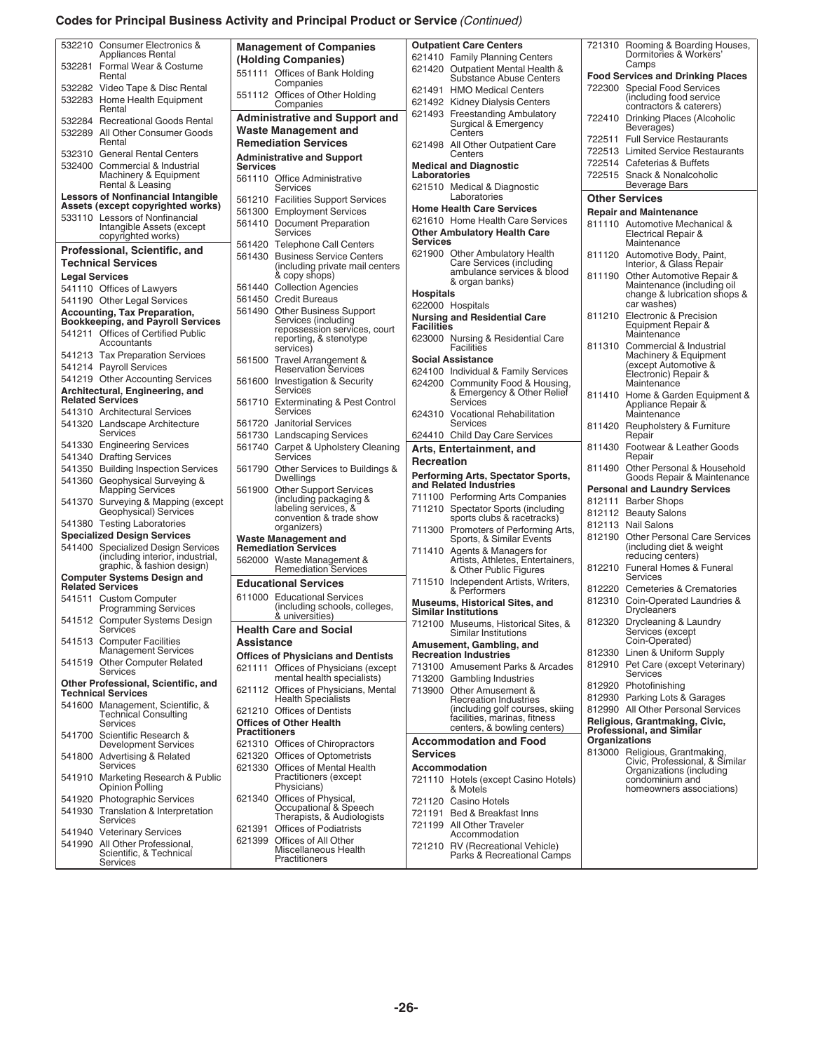# **Codes for Principal Business Activity and Principal Product or Service** *(Continued)*

| 532210 Consumer Electronics &                                    | <b>Management of Companies</b>                      | <b>Outpatient Care Centers</b>                           | 721310 Rooming & Boarding Houses,                                |
|------------------------------------------------------------------|-----------------------------------------------------|----------------------------------------------------------|------------------------------------------------------------------|
| Appliances Rental                                                |                                                     | 621410 Family Planning Centers                           | Dormitories & Workers'                                           |
| 532281 Formal Wear & Costume                                     | (Holding Companies)                                 |                                                          | Camps                                                            |
| Rental                                                           | 551111 Offices of Bank Holding                      | 621420 Outpatient Mental Health &                        | <b>Food Services and Drinking Places</b>                         |
|                                                                  | Companies                                           | <b>Substance Abuse Centers</b>                           |                                                                  |
| 532282 Video Tape & Disc Rental                                  | 551112 Offices of Other Holding                     | 621491 HMO Medical Centers                               | 722300 Special Food Services                                     |
| 532283 Home Health Equipment                                     | Companies                                           | 621492 Kidney Dialysis Centers                           | (including food service                                          |
| Rental                                                           |                                                     | 621493 Freestanding Ambulatory                           | contractors & caterers)                                          |
| 532284 Recreational Goods Rental                                 | <b>Administrative and Support and</b>               | Surgical & Emergency                                     | 722410 Drinking Places (Alcoholic                                |
| 532289 All Other Consumer Goods                                  | <b>Waste Management and</b>                         | Centers                                                  | Beverages)                                                       |
| Rental                                                           | <b>Remediation Services</b>                         |                                                          | 722511 Full Service Restaurants                                  |
|                                                                  |                                                     | 621498 All Other Outpatient Care                         | 722513 Limited Service Restaurants                               |
| 532310 General Rental Centers                                    | <b>Administrative and Support</b>                   | Centers                                                  |                                                                  |
| 532400 Commercial & Industrial                                   | <b>Services</b>                                     | <b>Medical and Diagnostic</b>                            | 722514 Cafeterias & Buffets                                      |
| Machinery & Equipment                                            | 561110 Office Administrative                        | Laboratories                                             | 722515 Snack & Nonalcoholic                                      |
| Rental & Leasing                                                 | Services                                            | 621510 Medical & Diagnostic                              | Beverage Bars                                                    |
| <b>Lessors of Nonfinancial Intangible</b>                        |                                                     | Laboratories                                             | <b>Other Services</b>                                            |
| Assets (except copyrighted works)                                | 561210 Facilities Support Services                  | <b>Home Health Care Services</b>                         |                                                                  |
|                                                                  | 561300 Employment Services                          |                                                          | <b>Repair and Maintenance</b>                                    |
| 533110 Lessors of Nonfinancial                                   | 561410 Document Preparation                         | 621610 Home Health Care Services                         | 811110 Automotive Mechanical &                                   |
| Intangible Assets (except                                        | Services                                            | <b>Other Ambulatory Health Care</b>                      | Electrical Repair &                                              |
| copyrighted works)                                               | 561420 Telephone Call Centers                       | <b>Services</b>                                          | Maintenance                                                      |
| Professional, Scientific, and                                    |                                                     | 621900 Other Ambulatory Health                           | 811120 Automotive Body, Paint,                                   |
| <b>Technical Services</b>                                        | 561430 Business Service Centers                     | Care Services (including                                 | Interior, & Glass Repair                                         |
|                                                                  | including private mail centers                      | ambulance services & blood                               |                                                                  |
| <b>Legal Services</b>                                            | & copy shops)                                       | & organ banks)                                           | 811190 Other Automotive Repair &                                 |
| 541110 Offices of Lawyers                                        | 561440 Collection Agencies                          |                                                          | Maintenance (including oil                                       |
| 541190 Other Legal Services                                      | 561450 Credit Bureaus                               | <b>Hospitals</b>                                         | change & lubrication shops &                                     |
|                                                                  | 561490 Other Business Support                       | 622000 Hospitals                                         | car washes)                                                      |
| <b>Accounting, Tax Preparation,</b>                              |                                                     | <b>Nursing and Residential Care</b>                      | 811210 Electronic & Precision                                    |
| <b>Bookkeeping, and Payroll Services</b>                         | Services (including<br>repossession services, court | <b>Facilities</b>                                        | Equipment Repair &                                               |
| 541211 Offices of Certified Public                               | reporting, & stenotype                              | 623000 Nursing & Residential Care                        | Maintenance                                                      |
| Accountants                                                      |                                                     | Facilities                                               | 811310 Commercial & Industrial                                   |
| 541213 Tax Preparation Services                                  | services)                                           |                                                          | Machinery & Equipment                                            |
| 541214 Payroll Services                                          | 561500<br>Travel Arrangement &                      | <b>Social Assistance</b>                                 | (except Automotive &                                             |
|                                                                  | <b>Reservation Services</b>                         | 624100 Individual & Family Services                      | Electronic) Repair &                                             |
| 541219 Other Accounting Services                                 | 561600 Investigation & Security                     | 624200 Community Food & Housing,                         | Maintenance                                                      |
| Architectural, Engineering, and                                  | Services                                            | & Emergency & Other Relief                               |                                                                  |
| <b>Related Services</b>                                          | 561710 Exterminating & Pest Control                 | <b>Services</b>                                          | 811410 Home & Garden Equipment &                                 |
| 541310 Architectural Services                                    | Services                                            | 624310 Vocational Rehabilitation                         | Appliance Repair &                                               |
|                                                                  |                                                     | Services                                                 | Maintenance                                                      |
| 541320 Landscape Architecture                                    | 561720 Janitorial Services                          |                                                          | 811420 Reupholstery & Furniture                                  |
| Services                                                         | 561730 Landscaping Services                         | 624410 Child Day Care Services                           | Repair                                                           |
| 541330 Engineering Services                                      | 561740 Carpet & Upholstery Cleaning                 | Arts, Entertainment, and                                 | 811430<br>Footwear & Leather Goods                               |
|                                                                  | Services                                            |                                                          | Repair                                                           |
|                                                                  |                                                     |                                                          |                                                                  |
| 541340 Drafting Services                                         |                                                     | Recreation                                               |                                                                  |
| 541350 Building Inspection Services                              | 561790 Other Services to Buildings &                |                                                          | 811490 Other Personal & Household                                |
| 541360 Geophysical Surveying &                                   | Dwellings                                           | Performing Arts, Spectator Sports,                       | Goods Repair & Maintenance                                       |
| <b>Mapping Services</b>                                          | 561900 Other Support Services                       | and Related Industries                                   | <b>Personal and Laundry Services</b>                             |
|                                                                  | (including packaging &                              | 711100 Performing Arts Companies                         | 812111 Barber Shops                                              |
| 541370 Surveying & Mapping (except                               | labeling services, &                                | 711210 Spectator Sports (including                       |                                                                  |
| Geophysical) Services                                            | convention & trade show                             | sports clubs & racetracks)                               | 812112 Beauty Salons                                             |
| 541380 Testing Laboratories                                      | organizers)                                         | 711300 Promoters of Performing Arts,                     | 812113 Nail Salons                                               |
| <b>Specialized Design Services</b>                               | <b>Waste Management and</b>                         | Sports, & Similar Events                                 | 812190 Other Personal Care Services                              |
| 541400 Specialized Design Services                               | <b>Remediation Services</b>                         |                                                          | (including diet & weight)                                        |
| (including interior, industrial,                                 |                                                     | 711410 Agents & Managers for                             | reducing centers)                                                |
| graphic, & fashion design)                                       | 562000 Waste Management &                           | Artists, Athletes, Entertainers,                         |                                                                  |
| <b>Computer Systems Design and</b>                               | <b>Remediation Services</b>                         | & Other Public Figures                                   | 812210 Funeral Homes & Funeral<br><b>Services</b>                |
| <b>Related Services</b>                                          | <b>Educational Services</b>                         | 711510 Independent Artists, Writers,                     |                                                                  |
|                                                                  |                                                     | & Performers                                             | 812220 Cemeteries & Crematories                                  |
| 541511 Custom Computer                                           | 611000 Educational Services                         | <b>Museums, Historical Sites, and</b>                    | 812310 Coin-Operated Laundries &                                 |
| <b>Programming Services</b>                                      | (including schools, colleges,<br>& universities)    | <b>Similar Institutions</b>                              | <b>Drycleaners</b>                                               |
| 541512 Computer Systems Design                                   |                                                     | 712100 Museums, Historical Sites, &                      | 812320 Drycleaning & Laundry                                     |
| Services                                                         | <b>Health Care and Social</b>                       | Similar Institutions                                     | Services (except                                                 |
| 541513 Computer Facilities                                       | <b>Assistance</b>                                   |                                                          | Coin-Operated)                                                   |
| <b>Management Services</b>                                       |                                                     | Amusement, Gambling, and<br><b>Recreation Industries</b> | 812330 Linen & Uniform Supply                                    |
| 541519 Other Computer Related                                    | <b>Offices of Physicians and Dentists</b>           |                                                          |                                                                  |
| <b>Services</b>                                                  | 621111 Offices of Physicians (except                | 713100 Amusement Parks & Arcades                         | 812910 Pet Care (except Veterinary)                              |
|                                                                  | mental health specialists)                          | 713200 Gambling Industries                               | Services                                                         |
| Other Professional, Scientific, and<br><b>Technical Services</b> | 621112 Offices of Physicians, Mental                | 713900 Other Amusement &                                 | 812920 Photofinishing                                            |
|                                                                  | <b>Health Specialists</b>                           | <b>Recreation Industries</b>                             | 812930 Parking Lots & Garages                                    |
| 541600 Management, Scientific, &                                 | 621210 Offices of Dentists                          | (including golf courses, skiing                          | 812990 All Other Personal Services                               |
| <b>Technical Consulting</b>                                      |                                                     | facilities. marinas, fitness                             |                                                                  |
| Services                                                         | <b>Offices of Other Health</b>                      | centers, & bowling centers)                              | Religious, Grantmaking, Civic,                                   |
| 541700 Scientific Research &                                     | <b>Practitioners</b>                                |                                                          | <b>Professional, and Similar</b>                                 |
| <b>Development Services</b>                                      | 621310 Offices of Chiropractors                     | <b>Accommodation and Food</b>                            | Organizations                                                    |
| 541800 Advertising & Related                                     | 621320 Offices of Optometrists                      | <b>Services</b>                                          |                                                                  |
| <b>Services</b>                                                  |                                                     |                                                          | 813000 Religious, Grantmaking,<br>Civic, Professional, & Similar |
|                                                                  | 621330 Offices of Mental Health                     | <b>Accommodation</b>                                     | Organizations (including                                         |
| 541910 Marketing Research & Public                               | Practitioners (except                               | 721110 Hotels (except Casino Hotels)                     | condominium and                                                  |
| Opinion Polling                                                  | Physicians)                                         | & Motels                                                 | homeowners associations)                                         |
| 541920 Photographic Services                                     | 621340 Offices of Physical,                         | 721120 Casino Hotels                                     |                                                                  |
| 541930 Translation & Interpretation                              | Occupational & Speech                               | 721191 Bed & Breakfast Inns                              |                                                                  |
| Services                                                         | Therapists, & Audiologists                          |                                                          |                                                                  |
|                                                                  | 621391 Offices of Podiatrists                       | 721199 All Other Traveler                                |                                                                  |
| 541940 Veterinary Services                                       |                                                     | Accommodation                                            |                                                                  |
| 541990 All Other Professional,                                   | 621399 Offices of All Other<br>Miscellaneous Health | 721210 RV (Recreational Vehicle)                         |                                                                  |
| Scientific, & Technical<br>Services                              | Practitioners                                       | Parks & Recreational Camps                               |                                                                  |